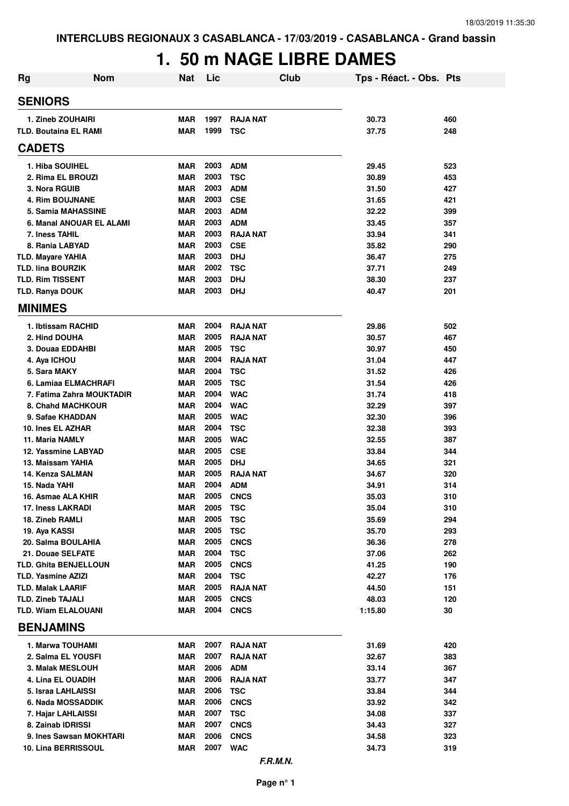# **1. 50 m NAGE LIBRE DAMES**

| <b>Rg</b> | <b>Nom</b>                                          | Nat                      | Lic          | Club                      | Tps - Réact. - Obs. Pts |            |
|-----------|-----------------------------------------------------|--------------------------|--------------|---------------------------|-------------------------|------------|
|           | <b>SENIORS</b>                                      |                          |              |                           |                         |            |
|           | 1. Zineb ZOUHAIRI                                   | <b>MAR</b>               | 1997         | <b>RAJA NAT</b>           | 30.73                   | 460        |
|           | <b>TLD. Boutaina EL RAMI</b>                        | <b>MAR</b>               | 1999         | <b>TSC</b>                | 37.75                   | 248        |
|           | <b>CADETS</b>                                       |                          |              |                           |                         |            |
|           | 1. Hiba SOUIHEL                                     | <b>MAR</b>               | 2003         | <b>ADM</b>                | 29.45                   | 523        |
|           | 2. Rima EL BROUZI                                   | <b>MAR</b>               | 2003         | <b>TSC</b>                | 30.89                   | 453        |
|           | 3. Nora RGUIB                                       | <b>MAR</b>               | 2003         | <b>ADM</b>                | 31.50                   | 427        |
|           | <b>4. Rim BOUJNANE</b>                              | <b>MAR</b>               | 2003         | <b>CSE</b>                | 31.65                   | 421        |
|           | 5. Samia MAHASSINE                                  | <b>MAR</b>               | 2003         | <b>ADM</b>                | 32.22                   | 399        |
|           | 6. Manal ANOUAR EL ALAMI                            | <b>MAR</b>               | 2003         | <b>ADM</b>                | 33.45                   | 357        |
|           | 7. Iness TAHIL                                      | <b>MAR</b>               | 2003         | <b>RAJA NAT</b>           | 33.94                   | 341        |
|           | 8. Rania LABYAD                                     | <b>MAR</b>               | 2003         | <b>CSE</b>                | 35.82                   | 290        |
|           | <b>TLD. Mayare YAHIA</b>                            | <b>MAR</b>               | 2003         | <b>DHJ</b>                | 36.47                   | 275        |
|           | <b>TLD. lina BOURZIK</b><br><b>TLD. Rim TISSENT</b> | <b>MAR</b><br><b>MAR</b> | 2002<br>2003 | <b>TSC</b><br><b>DHJ</b>  | 37.71                   | 249<br>237 |
|           |                                                     | <b>MAR</b>               | 2003         | <b>DHJ</b>                | 38.30<br>40.47          | 201        |
|           | <b>TLD. Ranya DOUK</b><br><b>MINIMES</b>            |                          |              |                           |                         |            |
|           | 1. Ibtissam RACHID                                  | <b>MAR</b>               | 2004         | <b>RAJA NAT</b>           | 29.86                   | 502        |
|           | 2. Hind DOUHA                                       | <b>MAR</b>               | 2005         | <b>RAJA NAT</b>           | 30.57                   | 467        |
|           | 3. Douaa EDDAHBI                                    | <b>MAR</b>               | 2005         | <b>TSC</b>                | 30.97                   | 450        |
|           | 4. Aya ICHOU                                        | <b>MAR</b>               | 2004         | <b>RAJA NAT</b>           | 31.04                   | 447        |
|           | 5. Sara MAKY                                        | <b>MAR</b>               | 2004         | <b>TSC</b>                | 31.52                   | 426        |
|           | 6. Lamiaa ELMACHRAFI                                | <b>MAR</b>               | 2005         | <b>TSC</b>                | 31.54                   | 426        |
|           | 7. Fatima Zahra MOUKTADIR                           | <b>MAR</b>               | 2004         | <b>WAC</b>                | 31.74                   | 418        |
|           | <b>8. Chand MACHKOUR</b>                            | <b>MAR</b>               | 2004         | <b>WAC</b>                | 32.29                   | 397        |
|           | 9. Safae KHADDAN                                    | <b>MAR</b>               | 2005         | <b>WAC</b>                | 32.30                   | 396        |
|           | 10. Ines EL AZHAR                                   | <b>MAR</b>               | 2004         | <b>TSC</b>                | 32.38                   | 393        |
|           | 11. Maria NAMLY                                     | <b>MAR</b>               | 2005         | <b>WAC</b>                | 32.55                   | 387        |
|           | 12. Yassmine LABYAD                                 | <b>MAR</b>               | 2005         | <b>CSE</b>                | 33.84                   | 344        |
|           | 13. Maissam YAHIA                                   | <b>MAR</b>               | 2005         | <b>DHJ</b>                | 34.65                   | 321        |
|           | 14. Kenza SALMAN                                    | <b>MAR</b>               | 2005         | <b>RAJA NAT</b>           | 34.67                   | 320        |
|           | 15. Nada YAHI                                       | <b>MAR</b>               | 2004         | <b>ADM</b>                | 34.91                   | 314        |
|           | 16. Asmae ALA KHIR                                  | <b>MAR</b>               | 2005         | <b>CNCS</b>               | 35.03                   | 310        |
|           | <b>17. Iness LAKRADI</b><br>18. Zineb RAMLI         | <b>MAR</b><br><b>MAR</b> | 2005<br>2005 | <b>TSC</b><br><b>TSC</b>  | 35.04<br>35.69          | 310<br>294 |
|           | 19. Aya KASSI                                       | <b>MAR</b>               | 2005         | <b>TSC</b>                | 35.70                   | 293        |
|           | 20. Salma BOULAHIA                                  | MAR                      | 2005         | <b>CNCS</b>               | 36.36                   | 278        |
|           | 21. Douae SELFATE                                   | <b>MAR</b>               | 2004         | <b>TSC</b>                | 37.06                   | 262        |
|           | <b>TLD. Ghita BENJELLOUN</b>                        | <b>MAR</b>               | 2005         | <b>CNCS</b>               | 41.25                   | 190        |
|           | <b>TLD. Yasmine AZIZI</b>                           | <b>MAR</b>               | 2004         | <b>TSC</b>                | 42.27                   | 176        |
|           | <b>TLD. Malak LAARIF</b>                            | <b>MAR</b>               | 2005         | <b>RAJA NAT</b>           | 44.50                   | 151        |
|           | <b>TLD. Zineb TAJALI</b>                            | MAR                      | 2005         | <b>CNCS</b>               | 48.03                   | 120        |
|           | <b>TLD. Wiam ELALOUANI</b>                          | MAR                      |              | <b>2004 CNCS</b>          | 1:15.80                 | 30         |
|           | <b>BENJAMINS</b>                                    |                          |              |                           |                         |            |
|           | 1. Marwa TOUHAMI                                    | MAR                      | 2007         | RAJA NAT                  | 31.69                   | 420        |
|           | 2. Salma EL YOUSFI                                  | MAR                      | 2007         | <b>RAJA NAT</b>           | 32.67                   | 383        |
|           | 3. Malak MESLOUH                                    | <b>MAR</b>               | 2006         | <b>ADM</b>                | 33.14                   | 367        |
|           | 4. Lina EL OUADIH                                   | <b>MAR</b>               | 2006         | <b>RAJA NAT</b>           | 33.77                   | 347        |
|           | 5. Israa LAHLAISSI                                  | MAR                      | 2006         | <b>TSC</b>                | 33.84                   | 344        |
|           | 6. Nada MOSSADDIK                                   | MAR                      | 2006<br>2007 | <b>CNCS</b>               | 33.92                   | 342        |
|           | 7. Hajar LAHLAISSI<br>8. Zainab IDRISSI             | MAR<br><b>MAR</b>        | 2007         | <b>TSC</b><br><b>CNCS</b> | 34.08<br>34.43          | 337<br>327 |
|           | 9. Ines Sawsan MOKHTARI                             | <b>MAR</b>               | 2006         | <b>CNCS</b>               | 34.58                   | 323        |
|           | 10. Lina BERRISSOUL                                 | <b>MAR</b>               |              | 2007 WAC                  | 34.73                   | 319        |
|           |                                                     |                          |              |                           |                         |            |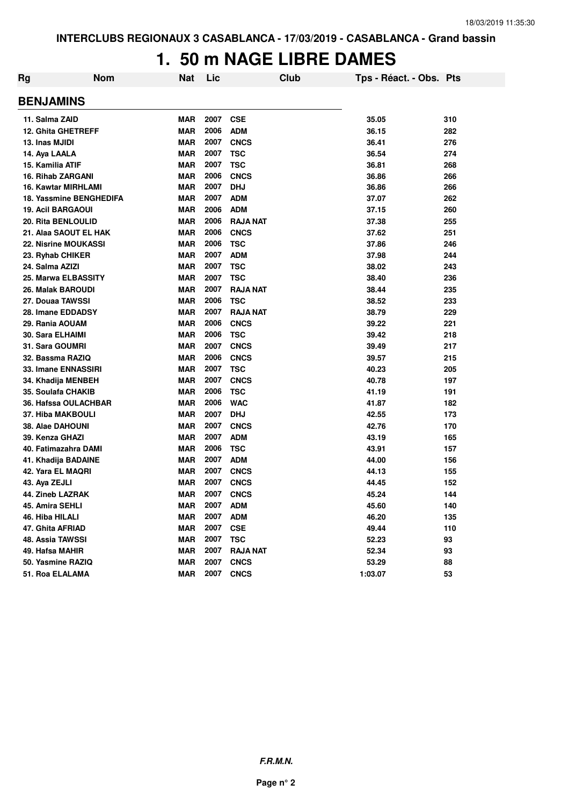# **1. 50 m NAGE LIBRE DAMES**

| Rg | <b>Nom</b>                  | <b>Nat</b> | Lic  | Club            | Tps - Réact. - Obs. Pts |     |
|----|-----------------------------|------------|------|-----------------|-------------------------|-----|
|    | <b>BENJAMINS</b>            |            |      |                 |                         |     |
|    | 11. Salma ZAID              | <b>MAR</b> | 2007 | <b>CSE</b>      | 35.05                   | 310 |
|    | <b>12. Ghita GHETREFF</b>   | <b>MAR</b> | 2006 | <b>ADM</b>      | 36.15                   | 282 |
|    | 13. Inas MJIDI              | <b>MAR</b> | 2007 | <b>CNCS</b>     | 36.41                   | 276 |
|    | 14. Aya LAALA               | <b>MAR</b> | 2007 | <b>TSC</b>      | 36.54                   | 274 |
|    | 15. Kamilia ATIF            | <b>MAR</b> | 2007 | <b>TSC</b>      | 36.81                   | 268 |
|    | <b>16. Rihab ZARGANI</b>    | <b>MAR</b> | 2006 | <b>CNCS</b>     | 36.86                   | 266 |
|    | 16. Kawtar MIRHLAMI         | <b>MAR</b> | 2007 | DHJ             | 36.86                   | 266 |
|    | 18. Yassmine BENGHEDIFA     | <b>MAR</b> | 2007 | <b>ADM</b>      | 37.07                   | 262 |
|    | <b>19. Acil BARGAOUI</b>    | <b>MAR</b> | 2006 | <b>ADM</b>      | 37.15                   | 260 |
|    | 20. Rita BENLOULID          | <b>MAR</b> | 2006 | <b>RAJA NAT</b> | 37.38                   | 255 |
|    | 21. Alaa SAOUT EL HAK       | <b>MAR</b> | 2006 | <b>CNCS</b>     | 37.62                   | 251 |
|    | <b>22. Nisrine MOUKASSI</b> | <b>MAR</b> | 2006 | <b>TSC</b>      | 37.86                   | 246 |
|    | 23. Ryhab CHIKER            | <b>MAR</b> | 2007 | <b>ADM</b>      | 37.98                   | 244 |
|    | 24. Salma AZIZI             | <b>MAR</b> | 2007 | <b>TSC</b>      | 38.02                   | 243 |
|    | 25. Marwa ELBASSITY         | <b>MAR</b> | 2007 | <b>TSC</b>      | 38.40                   | 236 |
|    | 26. Malak BAROUDI           | <b>MAR</b> | 2007 | <b>RAJA NAT</b> | 38.44                   | 235 |
|    | 27. Douaa TAWSSI            | <b>MAR</b> | 2006 | <b>TSC</b>      | 38.52                   | 233 |
|    | 28. Imane EDDADSY           | <b>MAR</b> | 2007 | <b>RAJA NAT</b> | 38.79                   | 229 |
|    | 29. Rania AOUAM             | <b>MAR</b> | 2006 | <b>CNCS</b>     | 39.22                   | 221 |
|    | 30. Sara ELHAIMI            | <b>MAR</b> | 2006 | <b>TSC</b>      | 39.42                   | 218 |
|    | 31. Sara GOUMRI             | <b>MAR</b> | 2007 | <b>CNCS</b>     | 39.49                   | 217 |
|    | 32. Bassma RAZIQ            | <b>MAR</b> | 2006 | <b>CNCS</b>     | 39.57                   | 215 |
|    | 33. Imane ENNASSIRI         | <b>MAR</b> | 2007 | <b>TSC</b>      | 40.23                   | 205 |
|    | 34. Khadija MENBEH          | <b>MAR</b> | 2007 | <b>CNCS</b>     | 40.78                   | 197 |
|    | 35. Soulafa CHAKIB          | <b>MAR</b> | 2006 | <b>TSC</b>      | 41.19                   | 191 |
|    | 36. Hafssa OULACHBAR        | <b>MAR</b> | 2006 | <b>WAC</b>      | 41.87                   | 182 |
|    | 37. Hiba MAKBOULI           | <b>MAR</b> | 2007 | <b>DHJ</b>      | 42.55                   | 173 |
|    | <b>38. Alae DAHOUNI</b>     | <b>MAR</b> | 2007 | <b>CNCS</b>     | 42.76                   | 170 |
|    | 39. Kenza GHAZI             | <b>MAR</b> | 2007 | <b>ADM</b>      | 43.19                   | 165 |
|    | 40. Fatimazahra DAMI        | <b>MAR</b> | 2006 | <b>TSC</b>      | 43.91                   | 157 |
|    | 41. Khadija BADAINE         | <b>MAR</b> | 2007 | <b>ADM</b>      | 44.00                   | 156 |
|    | 42. Yara EL MAQRI           | <b>MAR</b> | 2007 | <b>CNCS</b>     | 44.13                   | 155 |
|    | 43. Aya ZEJLI               | <b>MAR</b> | 2007 | <b>CNCS</b>     | 44.45                   | 152 |
|    | 44. Zineb LAZRAK            | <b>MAR</b> | 2007 | <b>CNCS</b>     | 45.24                   | 144 |
|    | 45. Amira SEHLI             | <b>MAR</b> | 2007 | <b>ADM</b>      | 45.60                   | 140 |
|    | 46. Hiba HILALI             | <b>MAR</b> | 2007 | <b>ADM</b>      | 46.20                   | 135 |
|    | 47. Ghita AFRIAD            | <b>MAR</b> | 2007 | <b>CSE</b>      | 49.44                   | 110 |
|    | 48. Assia TAWSSI            | <b>MAR</b> | 2007 | <b>TSC</b>      | 52.23                   | 93  |
|    | 49. Hafsa MAHIR             | <b>MAR</b> | 2007 | <b>RAJA NAT</b> | 52.34                   | 93  |
|    | 50. Yasmine RAZIQ           | <b>MAR</b> | 2007 | <b>CNCS</b>     | 53.29                   | 88  |
|    | 51. Roa ELALAMA             | <b>MAR</b> | 2007 | <b>CNCS</b>     | 1:03.07                 | 53  |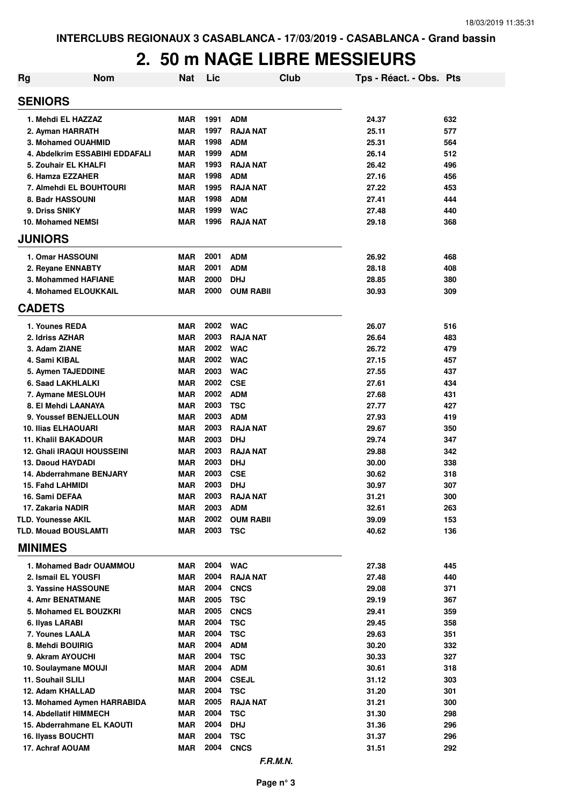| <b>Rg</b>      | <b>Nom</b>                                          | <b>Nat</b> | Lic          |                               | Club | Tps - Réact. - Obs. Pts |            |
|----------------|-----------------------------------------------------|------------|--------------|-------------------------------|------|-------------------------|------------|
| <b>SENIORS</b> |                                                     |            |              |                               |      |                         |            |
|                | 1. Mehdi EL HAZZAZ                                  | <b>MAR</b> | 1991         | <b>ADM</b>                    |      | 24.37                   | 632        |
|                | 2. Ayman HARRATH                                    | <b>MAR</b> | 1997         | <b>RAJA NAT</b>               |      | 25.11                   | 577        |
|                | 3. Mohamed OUAHMID                                  | <b>MAR</b> | 1998         | <b>ADM</b>                    |      | 25.31                   | 564        |
|                | 4. Abdelkrim ESSABIHI EDDAFALI                      | <b>MAR</b> | 1999         | <b>ADM</b>                    |      | 26.14                   | 512        |
|                | 5. Zouhair EL KHALFI                                | <b>MAR</b> | 1993         | <b>RAJA NAT</b>               |      | 26.42                   | 496        |
|                | 6. Hamza EZZAHER                                    | <b>MAR</b> | 1998         | <b>ADM</b>                    |      | 27.16                   | 456        |
|                | 7. Almehdi EL BOUHTOURI                             | <b>MAR</b> | 1995         | <b>RAJA NAT</b>               |      | 27.22                   | 453        |
|                | 8. Badr HASSOUNI                                    | <b>MAR</b> | 1998         | <b>ADM</b>                    |      | 27.41                   | 444        |
|                | 9. Driss SNIKY                                      | <b>MAR</b> | 1999         | <b>WAC</b>                    |      | 27.48                   | 440        |
|                | <b>10. Mohamed NEMSI</b>                            | <b>MAR</b> | 1996         | <b>RAJA NAT</b>               |      | 29.18                   | 368        |
| <b>JUNIORS</b> |                                                     |            |              |                               |      |                         |            |
|                | 1. Omar HASSOUNI                                    | <b>MAR</b> | 2001         | <b>ADM</b>                    |      | 26.92                   | 468        |
|                | 2. Reyane ENNABTY                                   | <b>MAR</b> | 2001         | <b>ADM</b>                    |      | 28.18                   | 408        |
|                | 3. Mohammed HAFIANE                                 | <b>MAR</b> | 2000         | <b>DHJ</b>                    |      | 28.85                   | 380        |
|                | 4. Mohamed ELOUKKAIL                                | <b>MAR</b> | 2000         | <b>OUM RABII</b>              |      | 30.93                   | 309        |
| <b>CADETS</b>  |                                                     |            |              |                               |      |                         |            |
|                | 1. Younes REDA                                      | <b>MAR</b> | 2002         | <b>WAC</b>                    |      | 26.07                   | 516        |
|                | 2. Idriss AZHAR                                     | <b>MAR</b> | 2003         | <b>RAJA NAT</b>               |      | 26.64                   | 483        |
|                | 3. Adam ZIANE                                       | <b>MAR</b> | 2002         | <b>WAC</b>                    |      | 26.72                   | 479        |
|                | 4. Sami KIBAL                                       | <b>MAR</b> | 2002         | <b>WAC</b>                    |      | 27.15                   | 457        |
|                | 5. Aymen TAJEDDINE                                  | <b>MAR</b> | 2003         | <b>WAC</b>                    |      | 27.55                   | 437        |
|                | 6. Saad LAKHLALKI                                   | <b>MAR</b> | 2002         | <b>CSE</b>                    |      | 27.61                   | 434        |
|                | 7. Aymane MESLOUH                                   | <b>MAR</b> | 2002         | <b>ADM</b>                    |      | 27.68                   | 431        |
|                | 8. El Mehdi LAANAYA                                 | <b>MAR</b> | 2003         | <b>TSC</b>                    |      | 27.77                   | 427        |
|                | 9. Youssef BENJELLOUN<br><b>10. Ilias ELHAOUARI</b> | MAR<br>MAR | 2003<br>2003 | <b>ADM</b><br><b>RAJA NAT</b> |      | 27.93                   | 419<br>350 |
|                | <b>11. Khalil BAKADOUR</b>                          | MAR        | 2003         | <b>DHJ</b>                    |      | 29.67<br>29.74          | 347        |
|                | <b>12. Ghali IRAQUI HOUSSEINI</b>                   | MAR        | 2003         | <b>RAJA NAT</b>               |      | 29.88                   | 342        |
|                | 13. Daoud HAYDADI                                   | <b>MAR</b> | 2003         | <b>DHJ</b>                    |      | 30.00                   | 338        |
|                | 14. Abderrahmane BENJARY                            | MAR        | 2003         | <b>CSE</b>                    |      | 30.62                   | 318        |
|                | <b>15. Fahd LAHMIDI</b>                             | <b>MAR</b> | 2003         | <b>DHJ</b>                    |      | 30.97                   | 307        |
|                | 16. Sami DEFAA                                      | MAR        | 2003         | <b>RAJA NAT</b>               |      | 31.21                   | 300        |
|                | 17. Zakaria NADIR                                   | <b>MAR</b> | 2003         | <b>ADM</b>                    |      | 32.61                   | 263        |
|                | <b>TLD. Younesse AKIL</b>                           | MAR        | 2002         | <b>OUM RABII</b>              |      | 39.09                   | 153        |
|                | <b>TLD. Mouad BOUSLAMTI</b>                         | MAR        | 2003         | <b>TSC</b>                    |      | 40.62                   | 136        |
| <b>MINIMES</b> |                                                     |            |              |                               |      |                         |            |
|                | 1. Mohamed Badr OUAMMOU                             | MAR        | 2004         | <b>WAC</b>                    |      | 27.38                   | 445        |
|                | 2. Ismail EL YOUSFI                                 | MAR        | 2004         | <b>RAJA NAT</b>               |      | 27.48                   | 440        |
|                | 3. Yassine HASSOUNE                                 | MAR        | 2004         | <b>CNCS</b>                   |      | 29.08                   | 371        |
|                | <b>4. Amr BENATMANE</b>                             | MAR        | 2005         | <b>TSC</b>                    |      | 29.19                   | 367        |
|                | 5. Mohamed EL BOUZKRI                               | MAR        | 2005         | <b>CNCS</b>                   |      | 29.41                   | 359        |
|                | 6. Ilyas LARABI                                     | MAR        | 2004         | <b>TSC</b>                    |      | 29.45                   | 358        |
|                | 7. Younes LAALA                                     | MAR        | 2004         | <b>TSC</b>                    |      | 29.63                   | 351        |
|                | 8. Mehdi BOUIRIG                                    | MAR        | 2004         | <b>ADM</b>                    |      | 30.20                   | 332        |
|                | 9. Akram AYOUCHI                                    | MAR        | 2004         | <b>TSC</b>                    |      | 30.33                   | 327        |
|                | 10. Soulaymane MOUJI                                | MAR        | 2004         | <b>ADM</b>                    |      | 30.61                   | 318        |
|                | 11. Souhail SLILI                                   | MAR        | 2004         | <b>CSEJL</b>                  |      | 31.12                   | 303        |
|                | 12. Adam KHALLAD                                    | <b>MAR</b> | 2004         | <b>TSC</b>                    |      | 31.20                   | 301        |
|                | 13. Mohamed Aymen HARRABIDA                         | <b>MAR</b> | 2005         | <b>RAJA NAT</b>               |      | 31.21                   | 300        |
|                | 14. Abdellatif HIMMECH                              | <b>MAR</b> | 2004         | <b>TSC</b>                    |      | 31.30                   | 298        |
|                | 15. Abderrahmane EL KAOUTI                          | MAR        | 2004         | <b>DHJ</b>                    |      | 31.36                   | 296        |
|                | 16. Ilyass BOUCHTI                                  | <b>MAR</b> | 2004         | <b>TSC</b>                    |      | 31.37                   | 296        |
|                | 17. Achraf AOUAM                                    | MAR        | 2004         | <b>CNCS</b>                   |      | 31.51                   | 292        |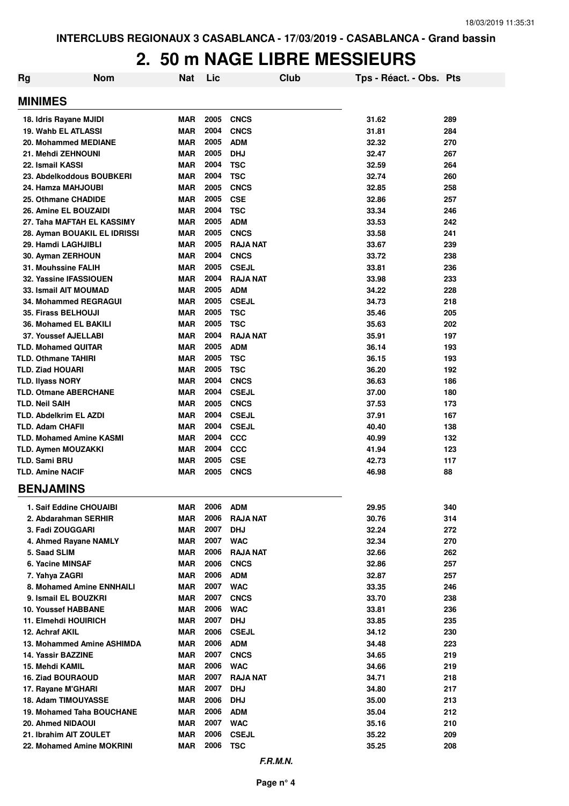| <b>Rg</b>                       | <b>Nom</b>                 | <b>Nat</b> | Lic  | Club            | Tps - Réact. - Obs. Pts |     |
|---------------------------------|----------------------------|------------|------|-----------------|-------------------------|-----|
| <b>MINIMES</b>                  |                            |            |      |                 |                         |     |
| 18. Idris Rayane MJIDI          |                            | MAR        | 2005 | <b>CNCS</b>     | 31.62                   | 289 |
| 19. Wahb EL ATLASSI             |                            | <b>MAR</b> | 2004 | <b>CNCS</b>     | 31.81                   | 284 |
| 20. Mohammed MEDIANE            |                            | <b>MAR</b> | 2005 | <b>ADM</b>      | 32.32                   | 270 |
| 21. Mehdi ZEHNOUNI              |                            | <b>MAR</b> | 2005 | <b>DHJ</b>      | 32.47                   | 267 |
| 22. Ismail KASSI                |                            | <b>MAR</b> | 2004 | <b>TSC</b>      | 32.59                   | 264 |
| 23. Abdelkoddous BOUBKERI       |                            | <b>MAR</b> | 2004 | <b>TSC</b>      | 32.74                   | 260 |
| 24. Hamza MAHJOUBI              |                            | <b>MAR</b> | 2005 | <b>CNCS</b>     | 32.85                   | 258 |
| 25. Othmane CHADIDE             |                            | <b>MAR</b> | 2005 | <b>CSE</b>      | 32.86                   | 257 |
| 26. Amine EL BOUZAIDI           |                            | <b>MAR</b> | 2004 | <b>TSC</b>      | 33.34                   | 246 |
| 27. Taha MAFTAH EL KASSIMY      |                            | <b>MAR</b> | 2005 | <b>ADM</b>      | 33.53                   | 242 |
| 28. Ayman BOUAKIL EL IDRISSI    |                            | <b>MAR</b> | 2005 | <b>CNCS</b>     | 33.58                   | 241 |
| 29. Hamdi LAGHJIBLI             |                            | <b>MAR</b> | 2005 | <b>RAJA NAT</b> | 33.67                   | 239 |
| 30. Ayman ZERHOUN               |                            | <b>MAR</b> | 2004 | <b>CNCS</b>     | 33.72                   | 238 |
| 31. Mouhssine FALIH             |                            | <b>MAR</b> | 2005 | <b>CSEJL</b>    | 33.81                   | 236 |
| 32. Yassine IFASSIOUEN          |                            | <b>MAR</b> | 2004 | <b>RAJA NAT</b> | 33.98                   | 233 |
| <b>33. Ismail AIT MOUMAD</b>    |                            | <b>MAR</b> | 2005 | <b>ADM</b>      | 34.22                   | 228 |
| <b>34. Mohammed REGRAGUI</b>    |                            | <b>MAR</b> | 2005 | <b>CSEJL</b>    | 34.73                   | 218 |
| <b>35. Firass BELHOUJI</b>      |                            | <b>MAR</b> | 2005 | <b>TSC</b>      | 35.46                   | 205 |
| 36. Mohamed EL BAKILI           |                            | <b>MAR</b> | 2005 | <b>TSC</b>      | 35.63                   | 202 |
| 37. Youssef AJELLABI            |                            | <b>MAR</b> | 2004 | <b>RAJA NAT</b> | 35.91                   | 197 |
| <b>TLD. Mohamed QUITAR</b>      |                            | <b>MAR</b> | 2005 | <b>ADM</b>      | 36.14                   | 193 |
| <b>TLD. Othmane TAHIRI</b>      |                            | <b>MAR</b> | 2005 | <b>TSC</b>      | 36.15                   | 193 |
| <b>TLD. Ziad HOUARI</b>         |                            | <b>MAR</b> | 2005 | <b>TSC</b>      | 36.20                   | 192 |
| <b>TLD. Ilyass NORY</b>         |                            | <b>MAR</b> | 2004 | <b>CNCS</b>     | 36.63                   | 186 |
| <b>TLD. Otmane ABERCHANE</b>    |                            | MAR        | 2004 | <b>CSEJL</b>    | 37.00                   | 180 |
| TLD. Neil SAIH                  |                            | <b>MAR</b> | 2005 | <b>CNCS</b>     | 37.53                   | 173 |
| TLD. Abdelkrim EL AZDI          |                            | <b>MAR</b> | 2004 | <b>CSEJL</b>    | 37.91                   | 167 |
| <b>TLD. Adam CHAFII</b>         |                            | <b>MAR</b> | 2004 | <b>CSEJL</b>    | 40.40                   | 138 |
| <b>TLD. Mohamed Amine KASMI</b> |                            | MAR        | 2004 | <b>CCC</b>      | 40.99                   | 132 |
| TLD. Aymen MOUZAKKI             |                            | <b>MAR</b> | 2004 | <b>CCC</b>      | 41.94                   | 123 |
| TLD. Sami BRU                   |                            | <b>MAR</b> | 2005 | <b>CSE</b>      | 42.73                   | 117 |
| <b>TLD. Amine NACIF</b>         |                            | <b>MAR</b> | 2005 | <b>CNCS</b>     | 46.98                   | 88  |
| <b>BENJAMINS</b>                |                            |            |      |                 |                         |     |
| 1. Saif Eddine CHOUAIBI         |                            | MAR        | 2006 | <b>ADM</b>      | 29.95                   | 340 |
| 2. Abdarahman SERHIR            |                            | MAR        | 2006 | <b>RAJA NAT</b> | 30.76                   | 314 |
| 3. Fadi ZOUGGARI                |                            | <b>MAR</b> | 2007 | <b>DHJ</b>      | 32.24                   | 272 |
| 4. Ahmed Rayane NAMLY           |                            | <b>MAR</b> | 2007 | <b>WAC</b>      | 32.34                   | 270 |
| 5. Saad SLIM                    |                            | MAR        | 2006 | <b>RAJA NAT</b> | 32.66                   | 262 |
| 6. Yacine MINSAF                |                            | <b>MAR</b> | 2006 | <b>CNCS</b>     | 32.86                   | 257 |
| 7. Yahya ZAGRI                  |                            | <b>MAR</b> | 2006 | <b>ADM</b>      | 32.87                   | 257 |
| 8. Mohamed Amine ENNHAILI       |                            | MAR        | 2007 | <b>WAC</b>      | 33.35                   | 246 |
| 9. Ismail EL BOUZKRI            |                            | MAR        | 2007 | <b>CNCS</b>     | 33.70                   | 238 |
| <b>10. Youssef HABBANE</b>      |                            | MAR        | 2006 | <b>WAC</b>      | 33.81                   | 236 |
| 11. Elmehdi HOUIRICH            |                            | MAR        | 2007 | <b>DHJ</b>      | 33.85                   | 235 |
| 12. Achraf AKIL                 |                            | <b>MAR</b> | 2006 | <b>CSEJL</b>    | 34.12                   | 230 |
|                                 | 13. Mohammed Amine ASHIMDA | <b>MAR</b> | 2006 | <b>ADM</b>      | 34.48                   | 223 |
| 14. Yassir BAZZINE              |                            | <b>MAR</b> | 2007 | <b>CNCS</b>     | 34.65                   | 219 |
| 15. Mehdi KAMIL                 |                            | <b>MAR</b> | 2006 | <b>WAC</b>      | 34.66                   | 219 |
| <b>16. Ziad BOURAOUD</b>        |                            | <b>MAR</b> | 2007 | <b>RAJA NAT</b> | 34.71                   | 218 |
| 17. Rayane M'GHARI              |                            | <b>MAR</b> | 2007 | <b>DHJ</b>      | 34.80                   | 217 |
| 18. Adam TIMOUYASSE             |                            | <b>MAR</b> | 2006 | <b>DHJ</b>      | 35.00                   | 213 |
| 19. Mohamed Taha BOUCHANE       |                            | <b>MAR</b> | 2006 | <b>ADM</b>      | 35.04                   | 212 |
| 20. Ahmed NIDAOUI               |                            | <b>MAR</b> | 2007 | <b>WAC</b>      | 35.16                   | 210 |
| 21. Ibrahim AIT ZOULET          |                            | <b>MAR</b> | 2006 | <b>CSEJL</b>    | 35.22                   | 209 |
| 22. Mohamed Amine MOKRINI       |                            | MAR        | 2006 | <b>TSC</b>      | 35.25                   | 208 |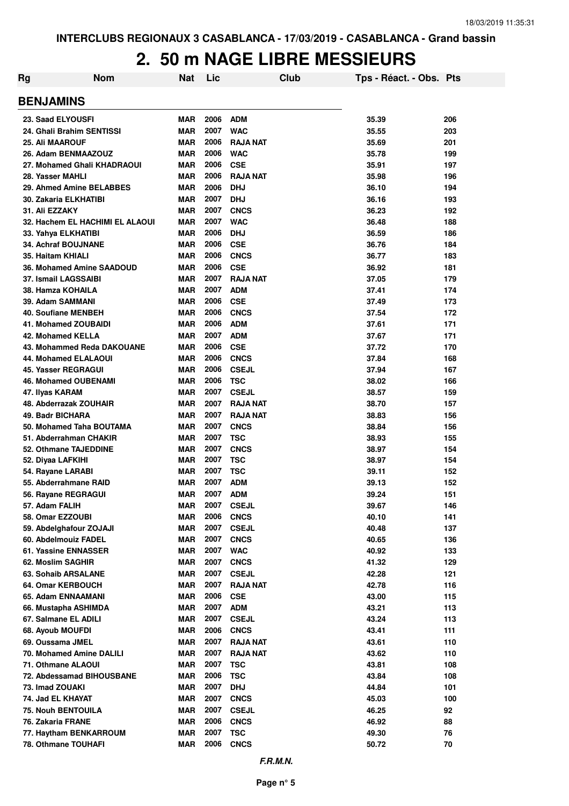| Rg                     | <b>Nom</b>                      | <b>Nat</b> | Lic  | Club            | Tps - Réact. - Obs. Pts |     |
|------------------------|---------------------------------|------------|------|-----------------|-------------------------|-----|
| <b>BENJAMINS</b>       |                                 |            |      |                 |                         |     |
| 23. Saad ELYOUSFI      |                                 | <b>MAR</b> | 2006 | <b>ADM</b>      | 35.39                   | 206 |
|                        | 24. Ghali Brahim SENTISSI       | <b>MAR</b> | 2007 | <b>WAC</b>      | 35.55                   | 203 |
| <b>25. Ali MAAROUF</b> |                                 | <b>MAR</b> | 2006 | <b>RAJA NAT</b> | 35.69                   | 201 |
|                        | 26. Adam BENMAAZOUZ             | <b>MAR</b> | 2006 | <b>WAC</b>      | 35.78                   | 199 |
|                        | 27. Mohamed Ghali KHADRAOUI     | <b>MAR</b> | 2006 | <b>CSE</b>      | 35.91                   | 197 |
| 28. Yasser MAHLI       |                                 | <b>MAR</b> | 2006 | <b>RAJA NAT</b> | 35.98                   | 196 |
|                        | 29. Ahmed Amine BELABBES        | <b>MAR</b> | 2006 | <b>DHJ</b>      | 36.10                   | 194 |
|                        | <b>30. Zakaria ELKHATIBI</b>    | <b>MAR</b> | 2007 | <b>DHJ</b>      | 36.16                   | 193 |
| 31. Ali EZZAKY         |                                 | <b>MAR</b> | 2007 | <b>CNCS</b>     | 36.23                   | 192 |
|                        | 32. Hachem EL HACHIMI EL ALAOUI | <b>MAR</b> | 2007 | <b>WAC</b>      | 36.48                   | 188 |
|                        | 33. Yahya ELKHATIBI             | <b>MAR</b> | 2006 | <b>DHJ</b>      | 36.59                   | 186 |
|                        | <b>34. Achraf BOUJNANE</b>      | <b>MAR</b> | 2006 | <b>CSE</b>      | 36.76                   | 184 |
| 35. Haitam KHIALI      |                                 | <b>MAR</b> | 2006 | <b>CNCS</b>     | 36.77                   | 183 |
|                        | 36. Mohamed Amine SAADOUD       | <b>MAR</b> | 2006 | <b>CSE</b>      | 36.92                   | 181 |
|                        | 37. Ismail LAGSSAIBI            | <b>MAR</b> | 2007 | <b>RAJA NAT</b> | 37.05                   | 179 |
| 38. Hamza KOHAILA      |                                 | <b>MAR</b> | 2007 | <b>ADM</b>      | 37.41                   | 174 |
| 39. Adam SAMMANI       |                                 | <b>MAR</b> | 2006 | <b>CSE</b>      | 37.49                   | 173 |
|                        | <b>40. Soufiane MENBEH</b>      | <b>MAR</b> | 2006 | <b>CNCS</b>     | 37.54                   | 172 |
|                        | <b>41. Mohamed ZOUBAIDI</b>     | <b>MAR</b> | 2006 | <b>ADM</b>      | 37.61                   | 171 |
|                        | 42. Mohamed KELLA               | <b>MAR</b> | 2007 | <b>ADM</b>      | 37.67                   | 171 |
|                        | 43. Mohammed Reda DAKOUANE      | <b>MAR</b> | 2006 | <b>CSE</b>      | 37.72                   | 170 |
|                        | 44. Mohamed ELALAOUI            | <b>MAR</b> | 2006 | <b>CNCS</b>     | 37.84                   | 168 |
|                        | 45. Yasser REGRAGUI             | <b>MAR</b> | 2006 | <b>CSEJL</b>    | 37.94                   | 167 |
|                        | <b>46. Mohamed OUBENAMI</b>     | <b>MAR</b> | 2006 | <b>TSC</b>      | 38.02                   | 166 |
| 47. Ilyas KARAM        |                                 | <b>MAR</b> | 2007 | <b>CSEJL</b>    | 38.57                   | 159 |
|                        | 48. Abderrazak ZOUHAIR          | <b>MAR</b> | 2007 | <b>RAJA NAT</b> | 38.70                   | 157 |
| 49. Badr BICHARA       |                                 | <b>MAR</b> | 2007 | <b>RAJA NAT</b> | 38.83                   | 156 |
|                        | 50. Mohamed Taha BOUTAMA        | <b>MAR</b> | 2007 | <b>CNCS</b>     | 38.84                   | 156 |
|                        | 51. Abderrahman CHAKIR          | <b>MAR</b> | 2007 | <b>TSC</b>      | 38.93                   | 155 |
|                        | 52. Othmane TAJEDDINE           | <b>MAR</b> | 2007 | <b>CNCS</b>     | 38.97                   | 154 |
| 52. Diyaa LAFKIHI      |                                 | <b>MAR</b> | 2007 | <b>TSC</b>      | 38.97                   | 154 |
| 54. Rayane LARABI      |                                 | <b>MAR</b> | 2007 | <b>TSC</b>      | 39.11                   | 152 |
|                        | 55. Abderrahmane RAID           | <b>MAR</b> | 2007 | <b>ADM</b>      | 39.13                   | 152 |
|                        | 56. Rayane REGRAGUI             | <b>MAR</b> | 2007 | <b>ADM</b>      | 39.24                   | 151 |
| 57. Adam FALIH         |                                 | <b>MAR</b> | 2007 | <b>CSEJL</b>    | 39.67                   | 146 |
| 58. Omar EZZOUBI       |                                 | <b>MAR</b> | 2006 | <b>CNCS</b>     | 40.10                   | 141 |
|                        | 59. Abdelghafour ZOJAJI         | <b>MAR</b> | 2007 | <b>CSEJL</b>    | 40.48                   | 137 |
|                        | 60. Abdelmouiz FADEL            | MAR        | 2007 | <b>CNCS</b>     | 40.65                   | 136 |
|                        | 61. Yassine ENNASSER            | <b>MAR</b> | 2007 | <b>WAC</b>      | 40.92                   | 133 |
| 62. Moslim SAGHIR      |                                 | <b>MAR</b> | 2007 | <b>CNCS</b>     | 41.32                   | 129 |
|                        | 63. Sohaib ARSALANE             | <b>MAR</b> | 2007 | <b>CSEJL</b>    | 42.28                   | 121 |
|                        | 64. Omar KERBOUCH               | <b>MAR</b> | 2007 | <b>RAJA NAT</b> | 42.78                   | 116 |
|                        | 65. Adam ENNAAMANI              | <b>MAR</b> | 2006 | <b>CSE</b>      | 43.00                   | 115 |
|                        | 66. Mustapha ASHIMDA            | <b>MAR</b> | 2007 | <b>ADM</b>      | 43.21                   | 113 |
|                        | 67. Salmane EL ADILI            | <b>MAR</b> | 2007 | <b>CSEJL</b>    | 43.24                   | 113 |
| 68. Ayoub MOUFDI       |                                 | <b>MAR</b> | 2006 | <b>CNCS</b>     | 43.41                   | 111 |
| 69. Oussama JMEL       |                                 | <b>MAR</b> | 2007 | <b>RAJA NAT</b> | 43.61                   | 110 |
|                        | 70. Mohamed Amine DALILI        | <b>MAR</b> | 2007 | <b>RAJA NAT</b> | 43.62                   | 110 |
|                        | 71. Othmane ALAOUI              | <b>MAR</b> | 2007 | TSC             | 43.81                   | 108 |
|                        | 72. Abdessamad BIHOUSBANE       | <b>MAR</b> | 2006 | <b>TSC</b>      | 43.84                   | 108 |
| 73. Imad ZOUAKI        |                                 | MAR        | 2007 | <b>DHJ</b>      | 44.84                   | 101 |
| 74. Jad EL KHAYAT      |                                 | <b>MAR</b> | 2007 | <b>CNCS</b>     | 45.03                   | 100 |
|                        | 75. Nouh BENTOUILA              | <b>MAR</b> | 2007 | <b>CSEJL</b>    | 46.25                   | 92  |
| 76. Zakaria FRANE      |                                 | <b>MAR</b> | 2006 | <b>CNCS</b>     | 46.92                   | 88  |
|                        | 77. Haytham BENKARROUM          | <b>MAR</b> | 2007 | <b>TSC</b>      | 49.30                   | 76  |
|                        | 78. Othmane TOUHAFI             | <b>MAR</b> | 2006 | <b>CNCS</b>     | 50.72                   | 70  |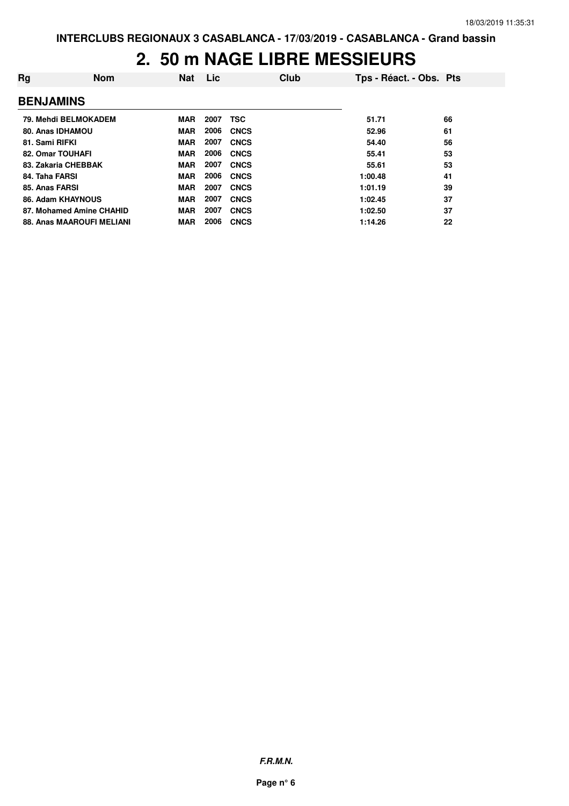| Rg               | <b>Nom</b>                | <b>Nat</b> | <b>Lic</b> | Club        | Tps - Réact. - Obs. Pts |    |
|------------------|---------------------------|------------|------------|-------------|-------------------------|----|
| <b>BENJAMINS</b> |                           |            |            |             |                         |    |
|                  | 79. Mehdi BELMOKADEM      | <b>MAR</b> | 2007       | <b>TSC</b>  | 51.71                   | 66 |
|                  | 80. Anas IDHAMOU          | <b>MAR</b> | 2006       | <b>CNCS</b> | 52.96                   | 61 |
| 81. Sami RIFKI   |                           | <b>MAR</b> | 2007       | <b>CNCS</b> | 54.40                   | 56 |
|                  | 82. Omar TOUHAFI          | MAR        | 2006       | <b>CNCS</b> | 55.41                   | 53 |
|                  | 83. Zakaria CHEBBAK       | <b>MAR</b> | 2007       | <b>CNCS</b> | 55.61                   | 53 |
| 84. Taha FARSI   |                           | <b>MAR</b> | 2006       | <b>CNCS</b> | 1:00.48                 | 41 |
| 85. Anas FARSI   |                           | MAR        | 2007       | <b>CNCS</b> | 1:01.19                 | 39 |
|                  | 86. Adam KHAYNOUS         | <b>MAR</b> | 2007       | <b>CNCS</b> | 1:02.45                 | 37 |
|                  | 87. Mohamed Amine CHAHID  | <b>MAR</b> | 2007       | <b>CNCS</b> | 1:02.50                 | 37 |
|                  | 88. Anas MAAROUFI MELIANI | <b>MAR</b> | 2006       | <b>CNCS</b> | 1:14.26                 | 22 |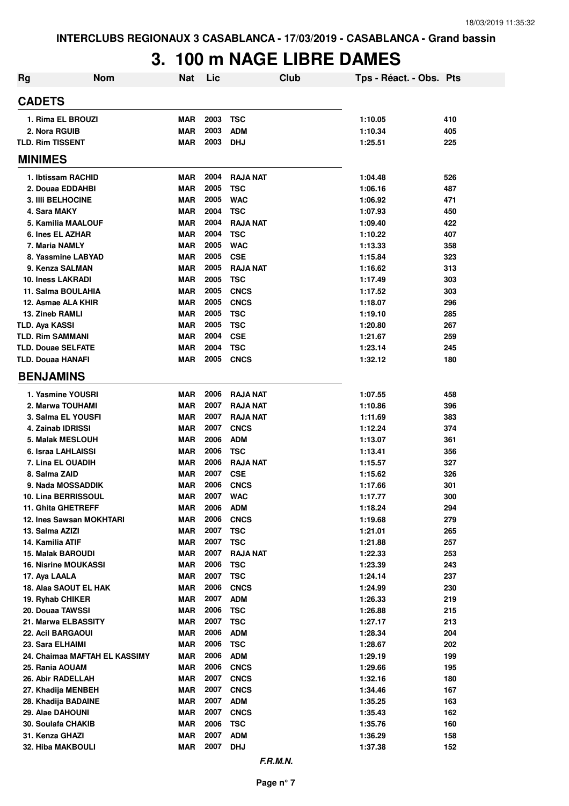# **3. 100 m NAGE LIBRE DAMES**

| <b>Rg</b>      | <b>Nom</b>                                       | <b>Nat</b>               | Lic          | <b>Club</b>                   | Tps - Réact. - Obs. Pts |            |
|----------------|--------------------------------------------------|--------------------------|--------------|-------------------------------|-------------------------|------------|
| <b>CADETS</b>  |                                                  |                          |              |                               |                         |            |
|                | 1. Rima EL BROUZI                                | <b>MAR</b>               | 2003         | <b>TSC</b>                    | 1:10.05                 | 410        |
|                | 2. Nora RGUIB                                    | <b>MAR</b>               | 2003         | <b>ADM</b>                    | 1:10.34                 | 405        |
|                | <b>TLD. Rim TISSENT</b>                          | <b>MAR</b>               | 2003         | <b>DHJ</b>                    | 1:25.51                 | 225        |
| <b>MINIMES</b> |                                                  |                          |              |                               |                         |            |
|                | 1. Ibtissam RACHID                               | <b>MAR</b>               | 2004         | <b>RAJA NAT</b>               | 1:04.48                 | 526        |
|                | 2. Douaa EDDAHBI                                 | <b>MAR</b>               | 2005         | <b>TSC</b>                    | 1:06.16                 | 487        |
|                | <b>3. IIII BELHOCINE</b>                         | <b>MAR</b>               | 2005         | <b>WAC</b>                    | 1:06.92                 | 471        |
|                | 4. Sara MAKY                                     | <b>MAR</b>               | 2004         | <b>TSC</b>                    | 1:07.93                 | 450        |
|                | 5. Kamilia MAALOUF                               | <b>MAR</b>               | 2004         | <b>RAJA NAT</b>               | 1:09.40                 | 422        |
|                | 6. Ines EL AZHAR                                 | <b>MAR</b>               | 2004         | <b>TSC</b>                    | 1:10.22                 | 407        |
|                | 7. Maria NAMLY                                   | <b>MAR</b>               | 2005         | <b>WAC</b>                    | 1:13.33                 | 358        |
|                | 8. Yassmine LABYAD                               | <b>MAR</b>               | 2005         | <b>CSE</b>                    | 1:15.84                 | 323        |
|                | 9. Kenza SALMAN                                  | <b>MAR</b>               | 2005         | <b>RAJA NAT</b>               | 1:16.62                 | 313        |
|                | 10. Iness LAKRADI                                | <b>MAR</b>               | 2005         | <b>TSC</b>                    | 1:17.49                 | 303        |
|                | 11. Salma BOULAHIA                               | <b>MAR</b>               | 2005         | <b>CNCS</b>                   | 1:17.52                 | 303        |
|                | 12. Asmae ALA KHIR                               | <b>MAR</b>               | 2005         | <b>CNCS</b>                   | 1:18.07                 | 296        |
|                | 13. Zineb RAMLI                                  | <b>MAR</b>               | 2005         | <b>TSC</b>                    | 1:19.10                 | 285        |
|                | <b>TLD. Aya KASSI</b>                            | <b>MAR</b>               | 2005         | <b>TSC</b>                    | 1:20.80                 | 267        |
|                | <b>TLD. Rim SAMMANI</b>                          | <b>MAR</b>               | 2004         | <b>CSE</b>                    | 1:21.67                 | 259        |
|                | <b>TLD. Douae SELFATE</b>                        | <b>MAR</b>               | 2004         | <b>TSC</b>                    | 1:23.14                 | 245        |
|                | <b>TLD. Douaa HANAFI</b>                         | <b>MAR</b>               | 2005         | <b>CNCS</b>                   | 1:32.12                 | 180        |
|                | <b>BENJAMINS</b>                                 |                          |              |                               |                         |            |
|                | 1. Yasmine YOUSRI                                | <b>MAR</b>               | 2006         | <b>RAJA NAT</b>               | 1:07.55                 | 458        |
|                | 2. Marwa TOUHAMI                                 | <b>MAR</b>               | 2007         | <b>RAJA NAT</b>               | 1:10.86                 | 396        |
|                | 3. Salma EL YOUSFI                               | <b>MAR</b>               | 2007         | <b>RAJA NAT</b>               | 1:11.69                 | 383        |
|                | 4. Zainab IDRISSI                                | <b>MAR</b>               | 2007         | <b>CNCS</b>                   | 1:12.24                 | 374        |
|                | 5. Malak MESLOUH                                 | <b>MAR</b>               | 2006         | <b>ADM</b>                    | 1:13.07                 | 361        |
|                | 6. Israa LAHLAISSI<br>7. Lina EL OUADIH          | <b>MAR</b><br><b>MAR</b> | 2006<br>2006 | <b>TSC</b><br><b>RAJA NAT</b> | 1:13.41<br>1:15.57      | 356<br>327 |
|                | 8. Salma ZAID                                    | <b>MAR</b>               | 2007         | <b>CSE</b>                    | 1:15.62                 | 326        |
|                | 9. Nada MOSSADDIK                                | <b>MAR</b>               | 2006         | <b>CNCS</b>                   | 1:17.66                 | 301        |
|                | 10. Lina BERRISSOUL                              | <b>MAR</b>               | 2007         | <b>WAC</b>                    | 1:17.77                 | 300        |
|                | <b>11. Ghita GHETREFF</b>                        | <b>MAR</b>               | 2006         | <b>ADM</b>                    | 1:18.24                 | 294        |
|                | 12. Ines Sawsan MOKHTARI                         | <b>MAR</b>               | 2006         | <b>CNCS</b>                   | 1:19.68                 | 279        |
|                | 13. Salma AZIZI                                  | <b>MAR</b>               | 2007         | <b>TSC</b>                    | 1:21.01                 | 265        |
|                | 14. Kamilia ATIF                                 | <b>MAR</b>               | 2007         | <b>TSC</b>                    | 1:21.88                 | 257        |
|                | <b>15. Malak BAROUDI</b>                         | <b>MAR</b>               | 2007         | <b>RAJA NAT</b>               | 1:22.33                 | 253        |
|                | <b>16. Nisrine MOUKASSI</b>                      | <b>MAR</b>               | 2006         | <b>TSC</b>                    | 1:23.39                 | 243        |
|                | 17. Aya LAALA                                    | <b>MAR</b>               | 2007         | <b>TSC</b>                    | 1:24.14                 | 237        |
|                | 18. Alaa SAOUT EL HAK                            | <b>MAR</b>               | 2006         | <b>CNCS</b>                   | 1:24.99                 | 230        |
|                | 19. Ryhab CHIKER                                 | <b>MAR</b>               | 2007         | <b>ADM</b>                    | 1:26.33                 | 219        |
|                | 20. Douaa TAWSSI                                 | <b>MAR</b>               | 2006         | <b>TSC</b>                    | 1:26.88                 | 215        |
|                | 21. Marwa ELBASSITY                              | <b>MAR</b>               | 2007         | <b>TSC</b>                    | 1:27.17                 | 213        |
|                | 22. Acil BARGAOUI                                | <b>MAR</b>               | 2006         | <b>ADM</b>                    | 1:28.34                 | 204        |
|                | 23. Sara ELHAIMI                                 | <b>MAR</b>               | 2006<br>2006 | <b>TSC</b>                    | 1:28.67                 | 202        |
|                | 24. Chaimaa MAFTAH EL KASSIMY<br>25. Rania AOUAM | <b>MAR</b><br><b>MAR</b> | 2006         | <b>ADM</b><br><b>CNCS</b>     | 1:29.19                 | 199<br>195 |
|                | 26. Abir RADELLAH                                | <b>MAR</b>               | 2007         | <b>CNCS</b>                   | 1:29.66<br>1:32.16      | 180        |
|                | 27. Khadija MENBEH                               | <b>MAR</b>               | 2007         | <b>CNCS</b>                   | 1:34.46                 | 167        |
|                | 28. Khadija BADAINE                              | <b>MAR</b>               | 2007         | <b>ADM</b>                    | 1:35.25                 | 163        |
|                | 29. Alae DAHOUNI                                 | <b>MAR</b>               | 2007         | <b>CNCS</b>                   | 1:35.43                 | 162        |
|                | 30. Soulafa CHAKIB                               | <b>MAR</b>               | 2006         | <b>TSC</b>                    | 1:35.76                 | 160        |
|                | 31. Kenza GHAZI                                  | <b>MAR</b>               | 2007         | <b>ADM</b>                    | 1:36.29                 | 158        |
|                | 32. Hiba MAKBOULI                                | <b>MAR</b>               | 2007         | <b>DHJ</b>                    | 1:37.38                 | 152        |
|                |                                                  |                          |              | F.R.M.N.                      |                         |            |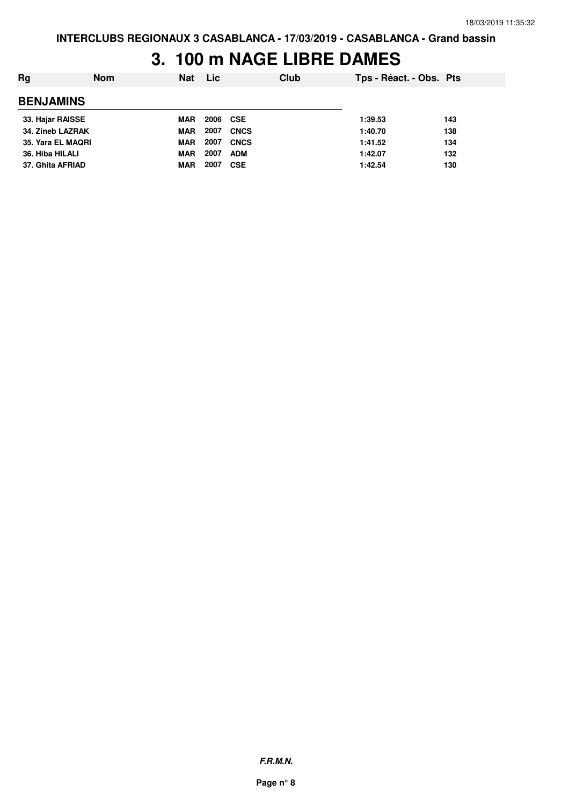## **3. 100 m NAGE LIBRE DAMES**

| Rg                | <b>Nom</b> | <b>Nat</b> | <b>Lic</b> |             | Club | Tps - Réact. - Obs. Pts |     |
|-------------------|------------|------------|------------|-------------|------|-------------------------|-----|
| <b>BENJAMINS</b>  |            |            |            |             |      |                         |     |
| 33. Hajar RAISSE  |            | <b>MAR</b> | 2006 CSE   |             |      | 1:39.53                 | 143 |
| 34. Zineb LAZRAK  |            | <b>MAR</b> | 2007       | <b>CNCS</b> |      | 1:40.70                 | 138 |
| 35. Yara EL MAQRI |            | <b>MAR</b> | 2007       | <b>CNCS</b> |      | 1:41.52                 | 134 |
| 36. Hiba HILALI   |            | <b>MAR</b> | 2007       | <b>ADM</b>  |      | 1:42.07                 | 132 |
| 37. Ghita AFRIAD  |            | MAR        | 2007       | <b>CSE</b>  |      | 1:42.54                 | 130 |

**F.R.M.N.**

**Page n° 8**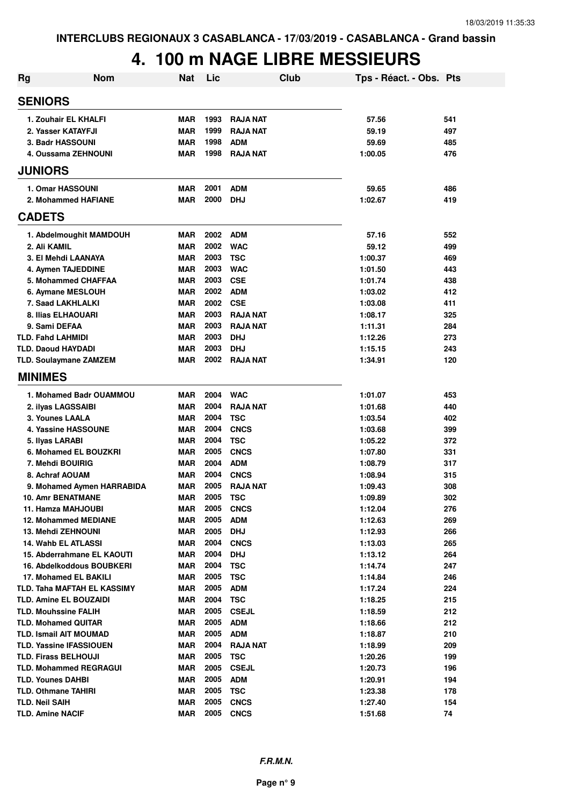| <b>Rg</b> | <b>Nom</b>                                                    | <b>Nat</b> | Lic          | Club                   | Tps - Réact. - Obs. Pts |            |
|-----------|---------------------------------------------------------------|------------|--------------|------------------------|-------------------------|------------|
|           | <b>SENIORS</b>                                                |            |              |                        |                         |            |
|           | 1. Zouhair EL KHALFI                                          | <b>MAR</b> | 1993         | <b>RAJA NAT</b>        | 57.56                   | 541        |
|           | 2. Yasser KATAYFJI                                            | <b>MAR</b> | 1999         | <b>RAJA NAT</b>        | 59.19                   | 497        |
|           | 3. Badr HASSOUNI                                              | <b>MAR</b> | 1998         | <b>ADM</b>             | 59.69                   | 485        |
|           | 4. Oussama ZEHNOUNI                                           | <b>MAR</b> | 1998         | <b>RAJA NAT</b>        | 1:00.05                 | 476        |
|           | <b>JUNIORS</b>                                                |            |              |                        |                         |            |
|           |                                                               | <b>MAR</b> | 2001         | <b>ADM</b>             | 59.65                   | 486        |
|           | 1. Omar HASSOUNI<br>2. Mohammed HAFIANE                       | <b>MAR</b> | 2000         | <b>DHJ</b>             | 1:02.67                 | 419        |
|           |                                                               |            |              |                        |                         |            |
|           | <b>CADETS</b>                                                 |            |              |                        |                         |            |
|           | 1. Abdelmoughit MAMDOUH                                       | <b>MAR</b> | 2002         | <b>ADM</b>             | 57.16                   | 552        |
|           | 2. Ali KAMIL                                                  | <b>MAR</b> | 2002         | <b>WAC</b>             | 59.12                   | 499        |
|           | 3. El Mehdi LAANAYA                                           | <b>MAR</b> | 2003         | <b>TSC</b>             | 1:00.37                 | 469        |
|           | 4. Aymen TAJEDDINE                                            | <b>MAR</b> | 2003         | <b>WAC</b>             | 1:01.50                 | 443        |
|           | 5. Mohammed CHAFFAA                                           | <b>MAR</b> | 2003         | <b>CSE</b>             | 1:01.74                 | 438        |
|           | 6. Aymane MESLOUH                                             | <b>MAR</b> | 2002         | <b>ADM</b>             | 1:03.02                 | 412        |
|           | 7. Saad LAKHLALKI                                             | <b>MAR</b> | 2002         | <b>CSE</b>             | 1:03.08                 | 411        |
|           | 8. Ilias ELHAOUARI                                            | <b>MAR</b> | 2003         | <b>RAJA NAT</b>        | 1:08.17                 | 325        |
|           | 9. Sami DEFAA                                                 | <b>MAR</b> | 2003         | <b>RAJA NAT</b>        | 1:11.31                 | 284        |
|           | <b>TLD. Fahd LAHMIDI</b>                                      | <b>MAR</b> | 2003         | <b>DHJ</b>             | 1:12.26                 | 273        |
|           | <b>TLD. Daoud HAYDADI</b>                                     | <b>MAR</b> | 2003         | <b>DHJ</b>             | 1:15.15                 | 243        |
|           | <b>TLD. Soulaymane ZAMZEM</b>                                 | <b>MAR</b> | 2002         | <b>RAJA NAT</b>        | 1:34.91                 | 120        |
|           | <b>MINIMES</b>                                                |            |              |                        |                         |            |
|           | 1. Mohamed Badr OUAMMOU                                       | <b>MAR</b> | 2004         | <b>WAC</b>             | 1:01.07                 | 453        |
|           | 2. ilyas LAGSSAIBI                                            | <b>MAR</b> | 2004         | <b>RAJA NAT</b>        | 1:01.68                 | 440        |
|           | 3. Younes LAALA                                               | <b>MAR</b> | 2004         | <b>TSC</b>             | 1:03.54                 | 402        |
|           | 4. Yassine HASSOUNE                                           | <b>MAR</b> | 2004         | <b>CNCS</b>            | 1:03.68                 | 399        |
|           | 5. Ilyas LARABI                                               | <b>MAR</b> | 2004         | <b>TSC</b>             | 1:05.22                 | 372        |
|           | 6. Mohamed EL BOUZKRI                                         | <b>MAR</b> | 2005         | <b>CNCS</b>            | 1:07.80                 | 331        |
|           | 7. Mehdi BOUIRIG                                              | <b>MAR</b> | 2004         | <b>ADM</b>             | 1:08.79                 | 317        |
|           | 8. Achraf AOUAM                                               | <b>MAR</b> | 2004         | <b>CNCS</b>            | 1:08.94                 | 315        |
|           | 9. Mohamed Aymen HARRABIDA                                    | <b>MAR</b> | 2005         | <b>RAJA NAT</b>        | 1:09.43                 | 308        |
|           | <b>10. Amr BENATMANE</b>                                      | <b>MAR</b> | 2005         | TSC                    | 1:09.89                 | 302        |
|           | 11. Hamza MAHJOUBI                                            | MAR        | 2005         | <b>CNCS</b>            | 1:12.04                 | 276        |
|           | <b>12. Mohammed MEDIANE</b>                                   | MAR        | 2005         | <b>ADM</b>             | 1:12.63                 | 269        |
|           | <b>13. Mehdi ZEHNOUNI</b>                                     | MAR        | 2005         | <b>DHJ</b>             | 1:12.93                 | 266        |
|           | <b>14. Wahb EL ATLASSI</b>                                    | MAR        | 2004         | <b>CNCS</b>            | 1:13.03                 | 265        |
|           | 15. Abderrahmane EL KAOUTI                                    | MAR        | 2004         | <b>DHJ</b>             | 1:13.12                 | 264        |
|           | 16. Abdelkoddous BOUBKERI                                     | MAR        | 2004         | <b>TSC</b>             | 1:14.74                 | 247        |
|           | 17. Mohamed EL BAKILI                                         | <b>MAR</b> | 2005         | <b>TSC</b>             | 1:14.84                 | 246        |
|           | TLD. Taha MAFTAH EL KASSIMY                                   | <b>MAR</b> | 2005<br>2004 | <b>ADM</b>             | 1:17.24                 | 224        |
|           | <b>TLD. Amine EL BOUZAIDI</b>                                 | <b>MAR</b> | 2005         | <b>TSC</b>             | 1:18.25                 | 215        |
|           | <b>TLD. Mouhssine FALIH</b>                                   | <b>MAR</b> | 2005         | <b>CSEJL</b>           | 1:18.59                 | 212        |
|           | <b>TLD. Mohamed QUITAR</b>                                    | <b>MAR</b> | 2005         | <b>ADM</b>             | 1:18.66                 | 212        |
|           | <b>TLD. Ismail AIT MOUMAD</b>                                 | <b>MAR</b> | 2004         | <b>ADM</b>             | 1:18.87                 | 210        |
|           | <b>TLD. Yassine IFASSIOUEN</b><br><b>TLD. Firass BELHOUJI</b> | MAR<br>MAR | 2005         | <b>RAJA NAT</b><br>TSC | 1:18.99<br>1:20.26      | 209<br>199 |
|           | <b>TLD. Mohammed REGRAGUI</b>                                 | <b>MAR</b> | 2005         | <b>CSEJL</b>           | 1:20.73                 | 196        |
|           | <b>TLD. Younes DAHBI</b>                                      | <b>MAR</b> | 2005         | <b>ADM</b>             | 1:20.91                 | 194        |
|           | <b>TLD. Othmane TAHIRI</b>                                    | <b>MAR</b> | 2005         | <b>TSC</b>             | 1:23.38                 | 178        |
|           | <b>TLD. Neil SAIH</b>                                         | <b>MAR</b> | 2005         | <b>CNCS</b>            | 1:27.40                 | 154        |
|           | <b>TLD. Amine NACIF</b>                                       | <b>MAR</b> | 2005         | <b>CNCS</b>            | 1:51.68                 | 74         |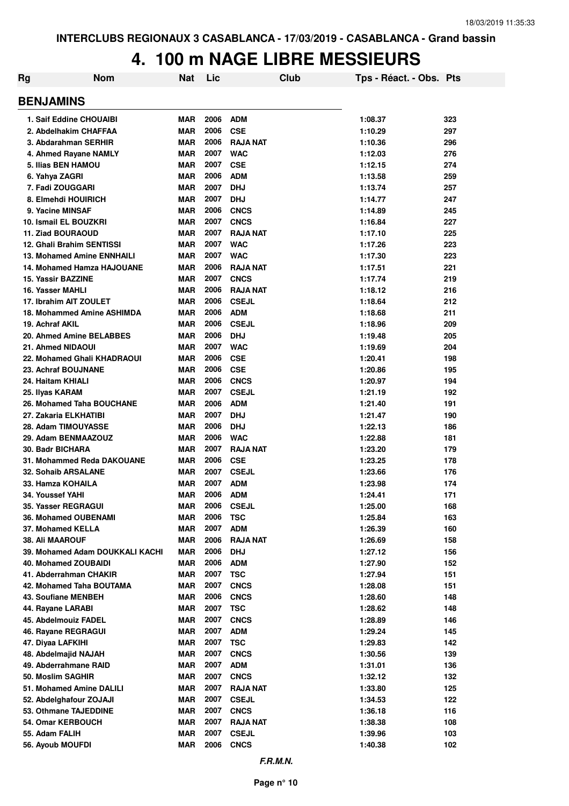| Rg                               | <b>Nom</b>                      | Nat        | Lic  |                 | Club | Tps - Réact. - Obs. Pts |     |
|----------------------------------|---------------------------------|------------|------|-----------------|------|-------------------------|-----|
| <b>BENJAMINS</b>                 |                                 |            |      |                 |      |                         |     |
| 1. Saif Eddine CHOUAIBI          |                                 | <b>MAR</b> | 2006 | <b>ADM</b>      |      | 1:08.37                 | 323 |
| 2. Abdelhakim CHAFFAA            |                                 | <b>MAR</b> | 2006 | <b>CSE</b>      |      | 1:10.29                 | 297 |
| 3. Abdarahman SERHIR             |                                 | <b>MAR</b> | 2006 | <b>RAJA NAT</b> |      | 1:10.36                 | 296 |
| 4. Ahmed Rayane NAMLY            |                                 | <b>MAR</b> | 2007 | <b>WAC</b>      |      | 1:12.03                 | 276 |
| 5. Ilias BEN HAMOU               |                                 | <b>MAR</b> | 2007 | <b>CSE</b>      |      | 1:12.15                 | 274 |
| 6. Yahya ZAGRI                   |                                 | <b>MAR</b> | 2006 | <b>ADM</b>      |      | 1:13.58                 | 259 |
| 7. Fadi ZOUGGARI                 |                                 | <b>MAR</b> | 2007 | <b>DHJ</b>      |      | 1:13.74                 | 257 |
| 8. Elmehdi HOUIRICH              |                                 | <b>MAR</b> | 2007 | <b>DHJ</b>      |      | 1:14.77                 | 247 |
| 9. Yacine MINSAF                 |                                 | <b>MAR</b> | 2006 | <b>CNCS</b>     |      | 1:14.89                 | 245 |
| 10. Ismail EL BOUZKRI            |                                 | <b>MAR</b> | 2007 | <b>CNCS</b>     |      | 1:16.84                 | 227 |
| 11. Ziad BOURAOUD                |                                 | <b>MAR</b> | 2007 | <b>RAJA NAT</b> |      | 1:17.10                 | 225 |
| <b>12. Ghali Brahim SENTISSI</b> |                                 | <b>MAR</b> | 2007 | <b>WAC</b>      |      | 1:17.26                 | 223 |
| 13. Mohamed Amine ENNHAILI       |                                 | <b>MAR</b> | 2007 | <b>WAC</b>      |      | 1:17.30                 | 223 |
| 14. Mohamed Hamza HAJOUANE       |                                 | <b>MAR</b> | 2006 | <b>RAJA NAT</b> |      | 1:17.51                 | 221 |
| 15. Yassir BAZZINE               |                                 | <b>MAR</b> | 2007 | <b>CNCS</b>     |      | 1:17.74                 | 219 |
| 16. Yasser MAHLI                 |                                 | <b>MAR</b> | 2006 | <b>RAJA NAT</b> |      | 1:18.12                 | 216 |
| 17. Ibrahim AIT ZOULET           |                                 | <b>MAR</b> | 2006 | <b>CSEJL</b>    |      | 1:18.64                 | 212 |
| 18. Mohammed Amine ASHIMDA       |                                 | <b>MAR</b> | 2006 | <b>ADM</b>      |      | 1:18.68                 | 211 |
| 19. Achraf AKIL                  |                                 | <b>MAR</b> | 2006 | <b>CSEJL</b>    |      | 1:18.96                 | 209 |
| 20. Ahmed Amine BELABBES         |                                 | <b>MAR</b> | 2006 | <b>DHJ</b>      |      | 1:19.48                 | 205 |
| 21. Ahmed NIDAOUI                |                                 | <b>MAR</b> | 2007 | <b>WAC</b>      |      | 1:19.69                 | 204 |
| 22. Mohamed Ghali KHADRAOUI      |                                 | <b>MAR</b> | 2006 | <b>CSE</b>      |      | 1:20.41                 | 198 |
| 23. Achraf BOUJNANE              |                                 | <b>MAR</b> | 2006 | <b>CSE</b>      |      | 1:20.86                 | 195 |
| 24. Haitam KHIALI                |                                 | <b>MAR</b> | 2006 | <b>CNCS</b>     |      | 1:20.97                 | 194 |
| 25. Ilyas KARAM                  |                                 | <b>MAR</b> | 2007 | <b>CSEJL</b>    |      | 1:21.19                 | 192 |
| 26. Mohamed Taha BOUCHANE        |                                 | <b>MAR</b> | 2006 | <b>ADM</b>      |      | 1:21.40                 | 191 |
| 27. Zakaria ELKHATIBI            |                                 | <b>MAR</b> | 2007 | <b>DHJ</b>      |      | 1:21.47                 | 190 |
| 28. Adam TIMOUYASSE              |                                 | <b>MAR</b> | 2006 | <b>DHJ</b>      |      | 1:22.13                 | 186 |
| 29. Adam BENMAAZOUZ              |                                 | <b>MAR</b> | 2006 | <b>WAC</b>      |      | 1:22.88                 | 181 |
| 30. Badr BICHARA                 |                                 | <b>MAR</b> | 2007 | <b>RAJA NAT</b> |      | 1:23.20                 | 179 |
| 31. Mohammed Reda DAKOUANE       |                                 | <b>MAR</b> | 2006 | <b>CSE</b>      |      | 1:23.25                 | 178 |
| 32. Sohaib ARSALANE              |                                 | <b>MAR</b> | 2007 | <b>CSEJL</b>    |      | 1:23.66                 | 176 |
| 33. Hamza KOHAILA                |                                 | <b>MAR</b> | 2007 | <b>ADM</b>      |      | 1:23.98                 | 174 |
| 34. Youssef YAHI                 |                                 | <b>MAR</b> | 2006 | <b>ADM</b>      |      | 1:24.41                 | 171 |
| 35. Yasser REGRAGUI              |                                 | <b>MAR</b> | 2006 | <b>CSEJL</b>    |      | 1:25.00                 | 168 |
| <b>36. Mohamed OUBENAMI</b>      |                                 | <b>MAR</b> | 2006 | <b>TSC</b>      |      | 1:25.84                 | 163 |
| 37. Mohamed KELLA                |                                 | <b>MAR</b> | 2007 | <b>ADM</b>      |      | 1:26.39                 | 160 |
| <b>38. Ali MAAROUF</b>           |                                 | <b>MAR</b> | 2006 | <b>RAJA NAT</b> |      | 1:26.69                 | 158 |
|                                  | 39. Mohamed Adam DOUKKALI KACHI | <b>MAR</b> | 2006 | <b>DHJ</b>      |      | 1:27.12                 | 156 |
| 40. Mohamed ZOUBAIDI             |                                 | MAR        | 2006 | <b>ADM</b>      |      | 1:27.90                 | 152 |
| 41. Abderrahman CHAKIR           |                                 | <b>MAR</b> | 2007 | <b>TSC</b>      |      | 1:27.94                 | 151 |
| 42. Mohamed Taha BOUTAMA         |                                 | <b>MAR</b> | 2007 | <b>CNCS</b>     |      | 1:28.08                 | 151 |
| 43. Soufiane MENBEH              |                                 | <b>MAR</b> | 2006 | <b>CNCS</b>     |      | 1:28.60                 | 148 |
| 44. Rayane LARABI                |                                 | <b>MAR</b> | 2007 | <b>TSC</b>      |      | 1:28.62                 | 148 |
| 45. Abdelmouiz FADEL             |                                 | <b>MAR</b> | 2007 | <b>CNCS</b>     |      | 1:28.89                 | 146 |
| 46. Rayane REGRAGUI              |                                 | <b>MAR</b> | 2007 | <b>ADM</b>      |      | 1:29.24                 | 145 |
| 47. Diyaa LAFKIHI                |                                 | <b>MAR</b> | 2007 | <b>TSC</b>      |      | 1:29.83                 | 142 |
| 48. Abdelmajid NAJAH             |                                 | <b>MAR</b> | 2007 | <b>CNCS</b>     |      | 1:30.56                 | 139 |
| 49. Abderrahmane RAID            |                                 | <b>MAR</b> | 2007 | <b>ADM</b>      |      | 1:31.01                 | 136 |
| 50. Moslim SAGHIR                |                                 | <b>MAR</b> | 2007 | <b>CNCS</b>     |      | 1:32.12                 | 132 |
| 51. Mohamed Amine DALILI         |                                 | <b>MAR</b> | 2007 | <b>RAJA NAT</b> |      | 1:33.80                 | 125 |
| 52. Abdelghafour ZOJAJI          |                                 | <b>MAR</b> | 2007 | <b>CSEJL</b>    |      | 1:34.53                 | 122 |
| 53. Othmane TAJEDDINE            |                                 | <b>MAR</b> | 2007 | <b>CNCS</b>     |      | 1:36.18                 | 116 |
| 54. Omar KERBOUCH                |                                 | <b>MAR</b> | 2007 | <b>RAJA NAT</b> |      | 1:38.38                 | 108 |
| 55. Adam FALIH                   |                                 | <b>MAR</b> | 2007 | <b>CSEJL</b>    |      | 1:39.96                 | 103 |
| 56. Ayoub MOUFDI                 |                                 | <b>MAR</b> | 2006 | <b>CNCS</b>     |      | 1:40.38                 | 102 |
|                                  |                                 |            |      |                 |      |                         |     |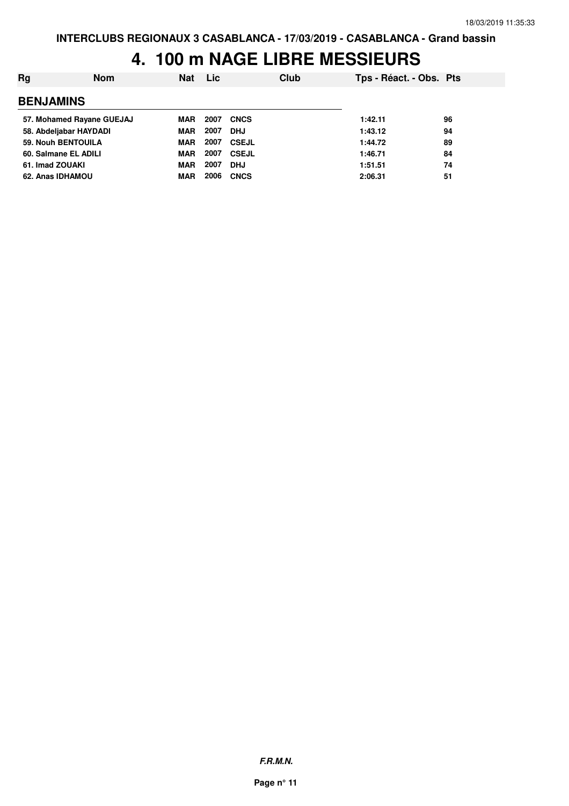| Rg                        | <b>Nom</b> | <b>Nat</b> | Lic  | Club         | Tps - Réact. - Obs. Pts |    |
|---------------------------|------------|------------|------|--------------|-------------------------|----|
| <b>BENJAMINS</b>          |            |            |      |              |                         |    |
| 57. Mohamed Rayane GUEJAJ |            | MAR        | 2007 | <b>CNCS</b>  | 1:42.11                 | 96 |
| 58. Abdeljabar HAYDADI    |            | <b>MAR</b> | 2007 | <b>DHJ</b>   | 1:43.12                 | 94 |
| 59. Nouh BENTOUILA        |            | <b>MAR</b> | 2007 | <b>CSEJL</b> | 1:44.72                 | 89 |
| 60. Salmane EL ADILI      |            | <b>MAR</b> | 2007 | <b>CSEJL</b> | 1:46.71                 | 84 |
| 61. Imad ZOUAKI           |            | <b>MAR</b> | 2007 | <b>DHJ</b>   | 1:51.51                 | 74 |
| 62. Anas IDHAMOU          |            | <b>MAR</b> | 2006 | <b>CNCS</b>  | 2:06.31                 | 51 |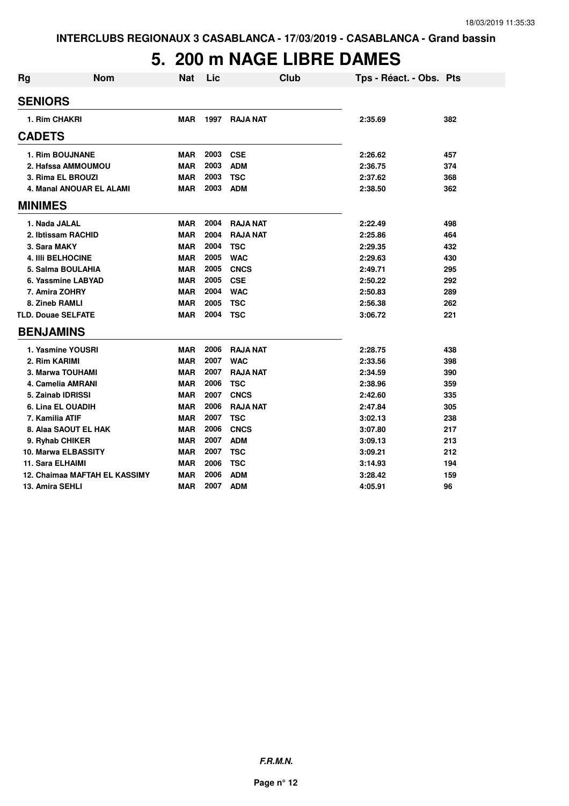# **5. 200 m NAGE LIBRE DAMES**

| <b>Rg</b> | <b>Nom</b>                    | <b>Nat</b> | Lic  | Club            | Tps - Réact. - Obs. Pts |     |
|-----------|-------------------------------|------------|------|-----------------|-------------------------|-----|
|           | <b>SENIORS</b>                |            |      |                 |                         |     |
|           | 1. Rim CHAKRI                 | MAR        | 1997 | <b>RAJA NAT</b> | 2:35.69                 | 382 |
|           | <b>CADETS</b>                 |            |      |                 |                         |     |
|           | <b>1. Rim BOUJNANE</b>        | <b>MAR</b> | 2003 | <b>CSE</b>      | 2:26.62                 | 457 |
|           | 2. Hafssa AMMOUMOU            | <b>MAR</b> | 2003 | <b>ADM</b>      | 2:36.75                 | 374 |
|           | 3. Rima EL BROUZI             | <b>MAR</b> | 2003 | <b>TSC</b>      | 2:37.62                 | 368 |
|           | 4. Manal ANOUAR EL ALAMI      | <b>MAR</b> | 2003 | <b>ADM</b>      | 2:38.50                 | 362 |
|           | <b>MINIMES</b>                |            |      |                 |                         |     |
|           | 1. Nada JALAL                 | <b>MAR</b> | 2004 | <b>RAJA NAT</b> | 2:22.49                 | 498 |
|           | 2. Ibtissam RACHID            | <b>MAR</b> | 2004 | <b>RAJA NAT</b> | 2:25.86                 | 464 |
|           | 3. Sara MAKY                  | <b>MAR</b> | 2004 | <b>TSC</b>      | 2:29.35                 | 432 |
|           | <b>4. IIII BELHOCINE</b>      | <b>MAR</b> | 2005 | <b>WAC</b>      | 2:29.63                 | 430 |
|           | 5. Salma BOULAHIA             | <b>MAR</b> | 2005 | <b>CNCS</b>     | 2:49.71                 | 295 |
|           | 6. Yassmine LABYAD            | <b>MAR</b> | 2005 | <b>CSE</b>      | 2:50.22                 | 292 |
|           | 7. Amira ZOHRY                | <b>MAR</b> | 2004 | <b>WAC</b>      | 2:50.83                 | 289 |
|           | 8. Zineb RAMLI                | <b>MAR</b> | 2005 | <b>TSC</b>      | 2:56.38                 | 262 |
|           | <b>TLD. Douae SELFATE</b>     | <b>MAR</b> | 2004 | <b>TSC</b>      | 3:06.72                 | 221 |
|           | <b>BENJAMINS</b>              |            |      |                 |                         |     |
|           | 1. Yasmine YOUSRI             | <b>MAR</b> | 2006 | <b>RAJA NAT</b> | 2:28.75                 | 438 |
|           | 2. Rim KARIMI                 | <b>MAR</b> | 2007 | <b>WAC</b>      | 2:33.56                 | 398 |
|           | 3. Marwa TOUHAMI              | <b>MAR</b> | 2007 | <b>RAJA NAT</b> | 2:34.59                 | 390 |
|           | 4. Camelia AMRANI             | <b>MAR</b> | 2006 | <b>TSC</b>      | 2:38.96                 | 359 |
|           | 5. Zainab IDRISSI             | <b>MAR</b> | 2007 | <b>CNCS</b>     | 2:42.60                 | 335 |
|           | 6. Lina EL OUADIH             | <b>MAR</b> | 2006 | <b>RAJA NAT</b> | 2:47.84                 | 305 |
|           | 7. Kamilia ATIF               | <b>MAR</b> | 2007 | <b>TSC</b>      | 3:02.13                 | 238 |
|           | 8. Alaa SAOUT EL HAK          | <b>MAR</b> | 2006 | <b>CNCS</b>     | 3:07.80                 | 217 |
|           | 9. Ryhab CHIKER               | <b>MAR</b> | 2007 | <b>ADM</b>      | 3:09.13                 | 213 |
|           | <b>10. Marwa ELBASSITY</b>    | <b>MAR</b> | 2007 | <b>TSC</b>      | 3:09.21                 | 212 |
|           | <b>11. Sara ELHAIMI</b>       | <b>MAR</b> | 2006 | <b>TSC</b>      | 3:14.93                 | 194 |
|           | 12. Chaimaa MAFTAH EL KASSIMY | <b>MAR</b> | 2006 | <b>ADM</b>      | 3:28.42                 | 159 |
|           | 13. Amira SEHLI               | <b>MAR</b> | 2007 | <b>ADM</b>      | 4:05.91                 | 96  |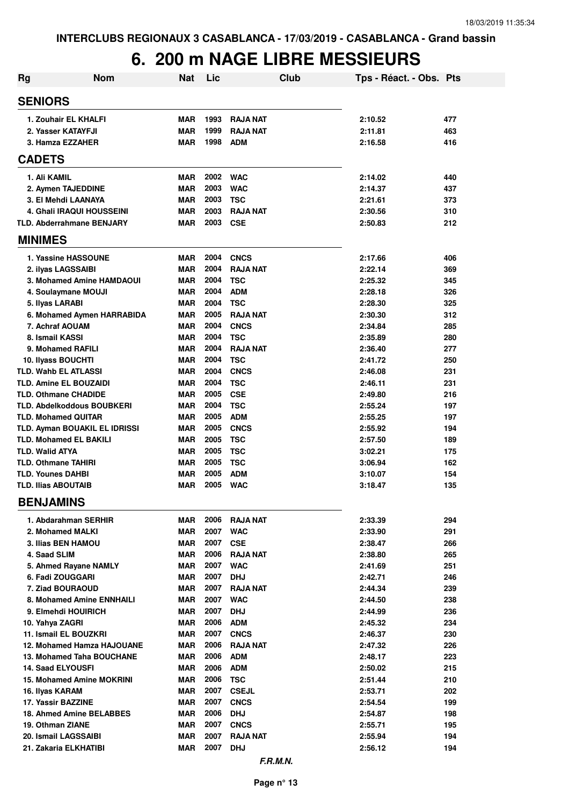| <b>Rg</b>                                              | <b>Nom</b>                                              | <b>Nat</b>               | Lic          | <b>Club</b>                    | Tps - Réact. - Obs. Pts |            |
|--------------------------------------------------------|---------------------------------------------------------|--------------------------|--------------|--------------------------------|-------------------------|------------|
| <b>SENIORS</b>                                         |                                                         |                          |              |                                |                         |            |
|                                                        | 1. Zouhair EL KHALFI                                    | <b>MAR</b>               | 1993         | <b>RAJA NAT</b>                | 2:10.52                 | 477        |
|                                                        | 2. Yasser KATAYFJI                                      | <b>MAR</b>               | 1999         | <b>RAJA NAT</b>                | 2:11.81                 | 463        |
|                                                        | 3. Hamza EZZAHER                                        | <b>MAR</b>               | 1998         | <b>ADM</b>                     | 2:16.58                 | 416        |
| <b>CADETS</b>                                          |                                                         |                          |              |                                |                         |            |
| 1. Ali KAMIL                                           |                                                         | <b>MAR</b>               | 2002         | <b>WAC</b>                     | 2:14.02                 | 440        |
|                                                        | 2. Aymen TAJEDDINE                                      | <b>MAR</b>               | 2003         | <b>WAC</b>                     | 2:14.37                 | 437        |
|                                                        | 3. El Mehdi LAANAYA                                     | <b>MAR</b>               | 2003         | <b>TSC</b>                     | 2:21.61                 | 373        |
|                                                        | 4. Ghali IRAQUI HOUSSEINI                               | <b>MAR</b>               | 2003         | <b>RAJA NAT</b>                | 2:30.56                 | 310        |
|                                                        | <b>TLD. Abderrahmane BENJARY</b>                        | <b>MAR</b>               | 2003         | <b>CSE</b>                     | 2:50.83                 | 212        |
| <b>MINIMES</b>                                         |                                                         |                          |              |                                |                         |            |
|                                                        | 1. Yassine HASSOUNE                                     | <b>MAR</b>               | 2004         | <b>CNCS</b>                    | 2:17.66                 | 406        |
|                                                        | 2. ilyas LAGSSAIBI                                      | <b>MAR</b>               | 2004         | <b>RAJA NAT</b>                | 2:22.14                 | 369        |
|                                                        | 3. Mohamed Amine HAMDAOUI                               | <b>MAR</b>               | 2004         | <b>TSC</b>                     | 2:25.32                 | 345        |
|                                                        | 4. Soulaymane MOUJI                                     | <b>MAR</b>               | 2004         | <b>ADM</b>                     | 2:28.18                 | 326        |
| 5. Ilyas LARABI                                        |                                                         | <b>MAR</b>               | 2004<br>2005 | <b>TSC</b>                     | 2:28.30                 | 325        |
|                                                        | 6. Mohamed Aymen HARRABIDA<br>7. Achraf AOUAM           | <b>MAR</b><br><b>MAR</b> | 2004         | <b>RAJA NAT</b><br><b>CNCS</b> | 2:30.30<br>2:34.84      | 312<br>285 |
| 8. Ismail KASSI                                        |                                                         | <b>MAR</b>               | 2004         | <b>TSC</b>                     | 2:35.89                 | 280        |
|                                                        | 9. Mohamed RAFILI                                       | <b>MAR</b>               | 2004         | <b>RAJA NAT</b>                | 2:36.40                 | 277        |
|                                                        | 10. Ilyass BOUCHTI                                      | <b>MAR</b>               | 2004         | <b>TSC</b>                     | 2:41.72                 | 250        |
|                                                        | TLD. Wahb EL ATLASSI                                    | <b>MAR</b>               | 2004         | <b>CNCS</b>                    | 2:46.08                 | 231        |
|                                                        | TLD. Amine EL BOUZAIDI                                  | <b>MAR</b>               | 2004         | <b>TSC</b>                     | 2:46.11                 | 231        |
|                                                        | <b>TLD. Othmane CHADIDE</b>                             | <b>MAR</b>               | 2005         | <b>CSE</b>                     | 2:49.80                 | 216        |
|                                                        | <b>TLD. Abdelkoddous BOUBKERI</b>                       | <b>MAR</b>               | 2004         | <b>TSC</b>                     | 2:55.24                 | 197        |
|                                                        | <b>TLD. Mohamed QUITAR</b>                              | <b>MAR</b>               | 2005         | <b>ADM</b>                     | 2:55.25                 | 197        |
|                                                        | TLD. Ayman BOUAKIL EL IDRISSI                           | <b>MAR</b>               | 2005         | <b>CNCS</b>                    | 2:55.92                 | 194        |
|                                                        | <b>TLD. Mohamed EL BAKILI</b>                           | <b>MAR</b>               | 2005         | <b>TSC</b>                     | 2:57.50                 | 189        |
| <b>TLD. Walid ATYA</b>                                 |                                                         | MAR                      | 2005<br>2005 | <b>TSC</b>                     | 3:02.21                 | 175        |
| <b>TLD. Othmane TAHIRI</b><br><b>TLD. Younes DAHBI</b> |                                                         | MAR<br><b>MAR</b>        | 2005         | <b>TSC</b><br><b>ADM</b>       | 3:06.94                 | 162<br>154 |
| <b>TLD. Ilias ABOUTAIB</b>                             |                                                         | <b>MAR</b>               | 2005         | <b>WAC</b>                     | 3:10.07<br>3:18.47      | 135        |
| <b>BENJAMINS</b>                                       |                                                         |                          |              |                                |                         |            |
|                                                        | 1. Abdarahman SERHIR                                    | MAR                      | 2006         | <b>RAJA NAT</b>                | 2:33.39                 | 294        |
|                                                        | 2. Mohamed MALKI                                        | <b>MAR</b>               | 2007         | <b>WAC</b>                     | 2:33.90                 | 291        |
|                                                        | 3. Ilias BEN HAMOU                                      | MAR                      | 2007         | <b>CSE</b>                     | 2:38.47                 | 266        |
| 4. Saad SLIM                                           |                                                         | MAR                      | 2006         | <b>RAJA NAT</b>                | 2:38.80                 | 265        |
|                                                        | 5. Ahmed Rayane NAMLY                                   | <b>MAR</b>               | 2007         | <b>WAC</b>                     | 2:41.69                 | 251        |
|                                                        | 6. Fadi ZOUGGARI                                        | MAR                      | 2007         | <b>DHJ</b>                     | 2:42.71                 | 246        |
|                                                        | 7. Ziad BOURAOUD                                        | MAR                      | 2007         | <b>RAJA NAT</b>                | 2:44.34                 | 239        |
|                                                        | 8. Mohamed Amine ENNHAILI                               | MAR                      | 2007         | <b>WAC</b>                     | 2:44.50                 | 238        |
|                                                        | 9. Elmehdi HOUIRICH                                     | <b>MAR</b>               | 2007         | <b>DHJ</b>                     | 2:44.99                 | 236        |
| 10. Yahya ZAGRI                                        |                                                         | MAR                      | 2006         | <b>ADM</b>                     | 2:45.32                 | 234        |
|                                                        | 11. Ismail EL BOUZKRI                                   | <b>MAR</b>               | 2007<br>2006 | <b>CNCS</b>                    | 2:46.37                 | 230        |
|                                                        | 12. Mohamed Hamza HAJOUANE<br>13. Mohamed Taha BOUCHANE | <b>MAR</b><br>MAR        | 2006         | <b>RAJA NAT</b><br><b>ADM</b>  | 2:47.32<br>2:48.17      | 226<br>223 |
|                                                        | <b>14. Saad ELYOUSFI</b>                                | MAR                      | 2006         | <b>ADM</b>                     | 2:50.02                 | 215        |
|                                                        | 15. Mohamed Amine MOKRINI                               | MAR                      | 2006         | <b>TSC</b>                     | 2:51.44                 | 210        |
| 16. Ilyas KARAM                                        |                                                         | MAR                      | 2007         | <b>CSEJL</b>                   | 2:53.71                 | 202        |
|                                                        | 17. Yassir BAZZINE                                      | <b>MAR</b>               | 2007         | <b>CNCS</b>                    | 2:54.54                 | 199        |
|                                                        | 18. Ahmed Amine BELABBES                                | <b>MAR</b>               | 2006         | <b>DHJ</b>                     | 2:54.87                 | 198        |
| 19. Othman ZIANE                                       |                                                         | MAR                      | 2007         | <b>CNCS</b>                    | 2:55.71                 | 195        |
|                                                        | 20. Ismail LAGSSAIBI                                    | <b>MAR</b>               | 2007         | <b>RAJA NAT</b>                | 2:55.94                 | 194        |
|                                                        | 21. Zakaria ELKHATIBI                                   | <b>MAR</b>               | 2007         | <b>DHJ</b>                     | 2:56.12                 | 194        |
|                                                        |                                                         |                          |              | <b>F.R.M.N.</b>                |                         |            |

**Page n° 13**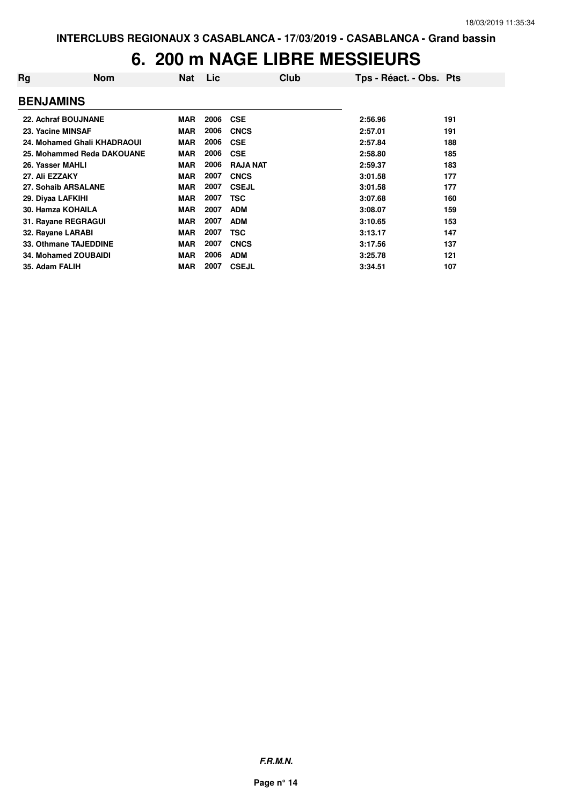| Rg                | <b>Nom</b>                  | <b>Nat</b> | <b>Lic</b> | Club            | Tps - Réact. - Obs. Pts |     |
|-------------------|-----------------------------|------------|------------|-----------------|-------------------------|-----|
| <b>BENJAMINS</b>  |                             |            |            |                 |                         |     |
|                   | 22. Achraf BOUJNANE         | <b>MAR</b> | 2006       | <b>CSE</b>      | 2:56.96                 | 191 |
|                   | 23. Yacine MINSAF           | <b>MAR</b> | 2006       | <b>CNCS</b>     | 2:57.01                 | 191 |
|                   | 24. Mohamed Ghali KHADRAOUI | <b>MAR</b> | 2006       | <b>CSE</b>      | 2:57.84                 | 188 |
|                   | 25. Mohammed Reda DAKOUANE  | <b>MAR</b> | 2006       | <b>CSE</b>      | 2:58.80                 | 185 |
| 26. Yasser MAHLI  |                             | <b>MAR</b> | 2006       | <b>RAJA NAT</b> | 2:59.37                 | 183 |
| 27. Ali EZZAKY    |                             | <b>MAR</b> | 2007       | <b>CNCS</b>     | 3:01.58                 | 177 |
|                   | 27. Sohaib ARSALANE         | <b>MAR</b> | 2007       | <b>CSEJL</b>    | 3:01.58                 | 177 |
| 29. Diyaa LAFKIHI |                             | <b>MAR</b> | 2007       | <b>TSC</b>      | 3:07.68                 | 160 |
|                   | 30. Hamza KOHAILA           | <b>MAR</b> | 2007       | <b>ADM</b>      | 3:08.07                 | 159 |
|                   | 31. Rayane REGRAGUI         | <b>MAR</b> | 2007       | <b>ADM</b>      | 3:10.65                 | 153 |
|                   | 32. Rayane LARABI           | <b>MAR</b> | 2007       | TSC             | 3:13.17                 | 147 |
|                   | 33. Othmane TAJEDDINE       | <b>MAR</b> | 2007       | <b>CNCS</b>     | 3:17.56                 | 137 |
|                   | <b>34. Mohamed ZOUBAIDI</b> | <b>MAR</b> | 2006       | <b>ADM</b>      | 3:25.78                 | 121 |
| 35. Adam FALIH    |                             | <b>MAR</b> | 2007       | <b>CSEJL</b>    | 3:34.51                 | 107 |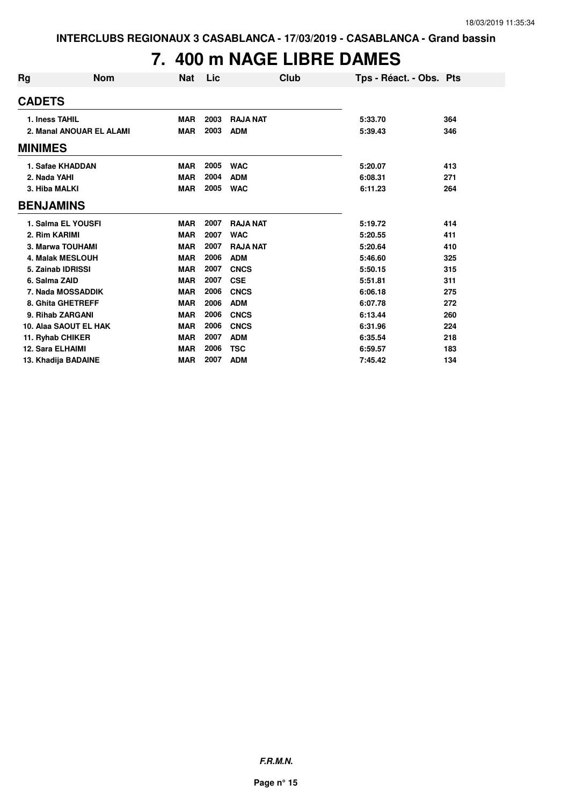# **7. 400 m NAGE LIBRE DAMES**

| Rg             | Nom                      | <b>Nat</b> | Lic  | <b>Club</b>     | Tps - Réact. - Obs. Pts |     |
|----------------|--------------------------|------------|------|-----------------|-------------------------|-----|
| <b>CADETS</b>  |                          |            |      |                 |                         |     |
|                | 1. Iness TAHIL           | <b>MAR</b> | 2003 | <b>RAJA NAT</b> | 5:33.70                 | 364 |
|                | 2. Manal ANOUAR EL ALAMI | <b>MAR</b> | 2003 | <b>ADM</b>      | 5:39.43                 | 346 |
| <b>MINIMES</b> |                          |            |      |                 |                         |     |
|                | 1. Safae KHADDAN         | <b>MAR</b> | 2005 | <b>WAC</b>      | 5:20.07                 | 413 |
|                | 2. Nada YAHI             | <b>MAR</b> | 2004 | <b>ADM</b>      | 6:08.31                 | 271 |
|                | 3. Hiba MALKI            | <b>MAR</b> | 2005 | <b>WAC</b>      | 6:11.23                 | 264 |
|                | <b>BENJAMINS</b>         |            |      |                 |                         |     |
|                | 1. Salma EL YOUSFI       | <b>MAR</b> | 2007 | <b>RAJA NAT</b> | 5:19.72                 | 414 |
|                | 2. Rim KARIMI            | <b>MAR</b> | 2007 | <b>WAC</b>      | 5:20.55                 | 411 |
|                | 3. Marwa TOUHAMI         | <b>MAR</b> | 2007 | <b>RAJA NAT</b> | 5:20.64                 | 410 |
|                | <b>4. Malak MESLOUH</b>  | <b>MAR</b> | 2006 | <b>ADM</b>      | 5:46.60                 | 325 |
|                | 5. Zainab IDRISSI        | <b>MAR</b> | 2007 | <b>CNCS</b>     | 5:50.15                 | 315 |
|                | 6. Salma ZAID            | <b>MAR</b> | 2007 | <b>CSE</b>      | 5:51.81                 | 311 |
|                | 7. Nada MOSSADDIK        | <b>MAR</b> | 2006 | <b>CNCS</b>     | 6:06.18                 | 275 |
|                | 8. Ghita GHETREFF        | <b>MAR</b> | 2006 | <b>ADM</b>      | 6:07.78                 | 272 |
|                | 9. Rihab ZARGANI         | <b>MAR</b> | 2006 | <b>CNCS</b>     | 6:13.44                 | 260 |
|                | 10. Alaa SAOUT EL HAK    | <b>MAR</b> | 2006 | <b>CNCS</b>     | 6:31.96                 | 224 |
|                | 11. Ryhab CHIKER         | <b>MAR</b> | 2007 | <b>ADM</b>      | 6:35.54                 | 218 |
|                | <b>12. Sara ELHAIMI</b>  | <b>MAR</b> | 2006 | <b>TSC</b>      | 6:59.57                 | 183 |
|                | 13. Khadija BADAINE      | <b>MAR</b> | 2007 | <b>ADM</b>      | 7:45.42                 | 134 |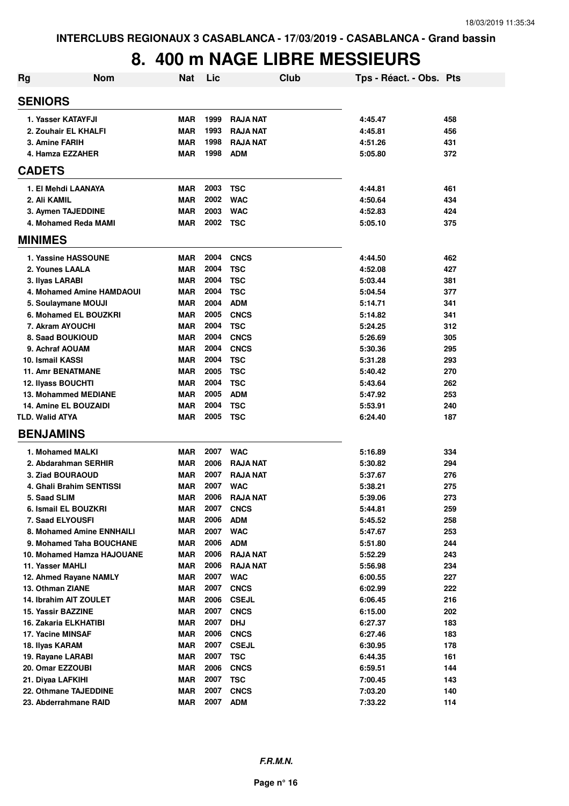| <b>Rg</b>                | <b>Nom</b>                   | <b>Nat</b> | Lic  |                 | Club | Tps - Réact. - Obs. Pts |     |
|--------------------------|------------------------------|------------|------|-----------------|------|-------------------------|-----|
| <b>SENIORS</b>           |                              |            |      |                 |      |                         |     |
| 1. Yasser KATAYFJI       |                              | <b>MAR</b> | 1999 | <b>RAJA NAT</b> |      | 4:45.47                 | 458 |
|                          | 2. Zouhair EL KHALFI         | <b>MAR</b> | 1993 | <b>RAJA NAT</b> |      | 4:45.81                 | 456 |
| 3. Amine FARIH           |                              | <b>MAR</b> | 1998 | <b>RAJA NAT</b> |      | 4:51.26                 | 431 |
| 4. Hamza EZZAHER         |                              | <b>MAR</b> | 1998 | <b>ADM</b>      |      | 5:05.80                 | 372 |
| <b>CADETS</b>            |                              |            |      |                 |      |                         |     |
|                          |                              |            |      |                 |      |                         |     |
|                          | 1. El Mehdi LAANAYA          | <b>MAR</b> | 2003 | <b>TSC</b>      |      | 4:44.81                 | 461 |
| 2. Ali KAMIL             |                              | <b>MAR</b> | 2002 | <b>WAC</b>      |      | 4:50.64                 | 434 |
|                          | 3. Aymen TAJEDDINE           | <b>MAR</b> | 2003 | <b>WAC</b>      |      | 4:52.83                 | 424 |
|                          | 4. Mohamed Reda MAMI         | <b>MAR</b> | 2002 | <b>TSC</b>      |      | 5:05.10                 | 375 |
| <b>MINIMES</b>           |                              |            |      |                 |      |                         |     |
|                          | 1. Yassine HASSOUNE          | <b>MAR</b> | 2004 | <b>CNCS</b>     |      | 4:44.50                 | 462 |
| 2. Younes LAALA          |                              | <b>MAR</b> | 2004 | <b>TSC</b>      |      | 4:52.08                 | 427 |
| 3. Ilyas LARABI          |                              | <b>MAR</b> | 2004 | <b>TSC</b>      |      | 5:03.44                 | 381 |
|                          | 4. Mohamed Amine HAMDAOUI    | <b>MAR</b> | 2004 | <b>TSC</b>      |      | 5:04.54                 | 377 |
|                          | 5. Soulaymane MOUJI          | <b>MAR</b> | 2004 | <b>ADM</b>      |      | 5:14.71                 | 341 |
|                          | 6. Mohamed EL BOUZKRI        | <b>MAR</b> | 2005 | <b>CNCS</b>     |      | 5:14.82                 | 341 |
| 7. Akram AYOUCHI         |                              | <b>MAR</b> | 2004 | <b>TSC</b>      |      | 5:24.25                 | 312 |
| 8. Saad BOUKIOUD         |                              | <b>MAR</b> | 2004 | <b>CNCS</b>     |      | 5:26.69                 | 305 |
| 9. Achraf AOUAM          |                              | <b>MAR</b> | 2004 | <b>CNCS</b>     |      | 5:30.36                 | 295 |
| 10. Ismail KASSI         |                              | <b>MAR</b> | 2004 | <b>TSC</b>      |      | 5:31.28                 | 293 |
| <b>11. Amr BENATMANE</b> |                              | <b>MAR</b> | 2005 | <b>TSC</b>      |      | 5:40.42                 | 270 |
| 12. Ilyass BOUCHTI       |                              | <b>MAR</b> | 2004 | <b>TSC</b>      |      | 5:43.64                 | 262 |
|                          | <b>13. Mohammed MEDIANE</b>  | <b>MAR</b> | 2005 | <b>ADM</b>      |      | 5:47.92                 | 253 |
|                          | <b>14. Amine EL BOUZAIDI</b> | <b>MAR</b> | 2004 | <b>TSC</b>      |      | 5:53.91                 | 240 |
| <b>TLD. Walid ATYA</b>   |                              | <b>MAR</b> | 2005 | <b>TSC</b>      |      | 6:24.40                 | 187 |
| <b>BENJAMINS</b>         |                              |            |      |                 |      |                         |     |
| 1. Mohamed MALKI         |                              | <b>MAR</b> | 2007 | <b>WAC</b>      |      | 5:16.89                 | 334 |
|                          | 2. Abdarahman SERHIR         | <b>MAR</b> | 2006 | <b>RAJA NAT</b> |      | 5:30.82                 | 294 |
| 3. Ziad BOURAOUD         |                              | <b>MAR</b> | 2007 | <b>RAJA NAT</b> |      | 5:37.67                 | 276 |
|                          | 4. Ghali Brahim SENTISSI     | <b>MAR</b> | 2007 | <b>WAC</b>      |      | 5:38.21                 | 275 |
| 5. Saad SLIM             |                              | <b>MAR</b> | 2006 | <b>RAJA NAT</b> |      | 5:39.06                 | 273 |
|                          | 6. Ismail EL BOUZKRI         | <b>MAR</b> | 2007 | <b>CNCS</b>     |      | 5:44.81                 | 259 |
| 7. Saad ELYOUSFI         |                              | <b>MAR</b> | 2006 | <b>ADM</b>      |      | 5:45.52                 | 258 |
|                          | 8. Mohamed Amine ENNHAILI    | <b>MAR</b> | 2007 | <b>WAC</b>      |      | 5:47.67                 | 253 |
|                          | 9. Mohamed Taha BOUCHANE     | <b>MAR</b> | 2006 | <b>ADM</b>      |      | 5:51.80                 | 244 |
|                          | 10. Mohamed Hamza HAJOUANE   | <b>MAR</b> | 2006 | <b>RAJA NAT</b> |      | 5:52.29                 | 243 |
| 11. Yasser MAHLI         |                              | <b>MAR</b> | 2006 | <b>RAJA NAT</b> |      | 5:56.98                 | 234 |
|                          | 12. Ahmed Rayane NAMLY       | <b>MAR</b> | 2007 | <b>WAC</b>      |      | 6:00.55                 | 227 |
| 13. Othman ZIANE         |                              | <b>MAR</b> | 2007 | <b>CNCS</b>     |      | 6:02.99                 | 222 |
|                          | 14. Ibrahim AIT ZOULET       | <b>MAR</b> | 2006 | <b>CSEJL</b>    |      | 6:06.45                 | 216 |
| 15. Yassir BAZZINE       |                              | <b>MAR</b> | 2007 | <b>CNCS</b>     |      | 6:15.00                 | 202 |
|                          | 16. Zakaria ELKHATIBI        | <b>MAR</b> | 2007 | <b>DHJ</b>      |      | 6:27.37                 | 183 |
| 17. Yacine MINSAF        |                              | <b>MAR</b> | 2006 | <b>CNCS</b>     |      | 6:27.46                 | 183 |
| 18. Ilyas KARAM          |                              | MAR        | 2007 | <b>CSEJL</b>    |      | 6:30.95                 | 178 |
| 19. Rayane LARABI        |                              | <b>MAR</b> | 2007 | <b>TSC</b>      |      | 6:44.35                 | 161 |
| 20. Omar EZZOUBI         |                              | <b>MAR</b> | 2006 | <b>CNCS</b>     |      | 6:59.51                 | 144 |
| 21. Diyaa LAFKIHI        |                              | <b>MAR</b> | 2007 | <b>TSC</b>      |      | 7:00.45                 | 143 |
|                          | 22. Othmane TAJEDDINE        | <b>MAR</b> | 2007 | <b>CNCS</b>     |      | 7:03.20                 | 140 |
|                          | 23. Abderrahmane RAID        | <b>MAR</b> | 2007 | <b>ADM</b>      |      | 7:33.22                 | 114 |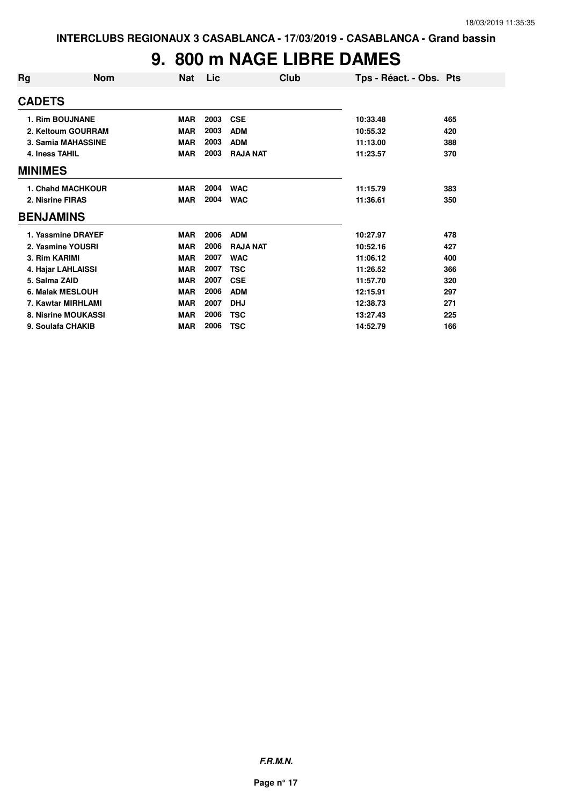## **9. 800 m NAGE LIBRE DAMES**

| Rg               | <b>Nom</b>             | <b>Nat</b> | Lic  | Club            | Tps - Réact. - Obs. Pts |     |
|------------------|------------------------|------------|------|-----------------|-------------------------|-----|
| <b>CADETS</b>    |                        |            |      |                 |                         |     |
|                  | <b>1. Rim BOUJNANE</b> | <b>MAR</b> | 2003 | <b>CSE</b>      | 10:33.48                | 465 |
|                  | 2. Keltoum GOURRAM     | <b>MAR</b> | 2003 | <b>ADM</b>      | 10:55.32                | 420 |
|                  | 3. Samia MAHASSINE     | <b>MAR</b> | 2003 | <b>ADM</b>      | 11:13.00                | 388 |
| 4. Iness TAHIL   |                        | <b>MAR</b> | 2003 | <b>RAJA NAT</b> | 11:23.57                | 370 |
| <b>MINIMES</b>   |                        |            |      |                 |                         |     |
|                  | 1. Chahd MACHKOUR      | <b>MAR</b> | 2004 | <b>WAC</b>      | 11:15.79                | 383 |
| 2. Nisrine FIRAS |                        | <b>MAR</b> | 2004 | <b>WAC</b>      | 11:36.61                | 350 |
| <b>BENJAMINS</b> |                        |            |      |                 |                         |     |
|                  | 1. Yassmine DRAYEF     | <b>MAR</b> | 2006 | <b>ADM</b>      | 10:27.97                | 478 |
|                  | 2. Yasmine YOUSRI      | <b>MAR</b> | 2006 | <b>RAJA NAT</b> | 10:52.16                | 427 |
| 3. Rim KARIMI    |                        | <b>MAR</b> | 2007 | <b>WAC</b>      | 11:06.12                | 400 |
|                  | 4. Hajar LAHLAISSI     | <b>MAR</b> | 2007 | <b>TSC</b>      | 11:26.52                | 366 |
| 5. Salma ZAID    |                        | <b>MAR</b> | 2007 | <b>CSE</b>      | 11:57.70                | 320 |
|                  | 6. Malak MESLOUH       | <b>MAR</b> | 2006 | <b>ADM</b>      | 12:15.91                | 297 |
|                  | 7. Kawtar MIRHLAMI     | <b>MAR</b> | 2007 | <b>DHJ</b>      | 12:38.73                | 271 |
|                  | 8. Nisrine MOUKASSI    | <b>MAR</b> | 2006 | <b>TSC</b>      | 13:27.43                | 225 |
|                  | 9. Soulafa CHAKIB      | <b>MAR</b> | 2006 | <b>TSC</b>      | 14:52.79                | 166 |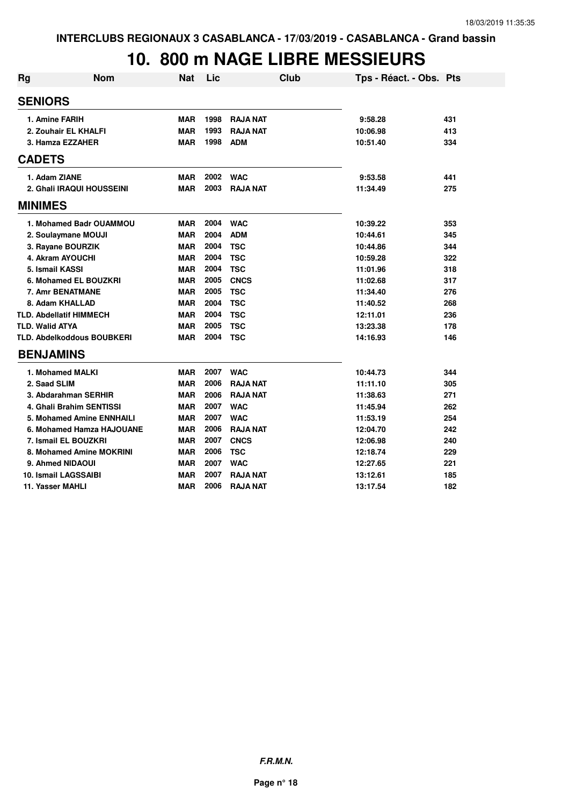| <b>Rg</b>              | <b>Nom</b>                        | <b>Nat</b> | Lic  | <b>Club</b>     | Tps - Réact. - Obs. Pts |     |
|------------------------|-----------------------------------|------------|------|-----------------|-------------------------|-----|
| <b>SENIORS</b>         |                                   |            |      |                 |                         |     |
|                        | 1. Amine FARIH                    | <b>MAR</b> | 1998 | <b>RAJA NAT</b> | 9:58.28                 | 431 |
|                        | 2. Zouhair EL KHALFI              | <b>MAR</b> | 1993 | <b>RAJA NAT</b> | 10:06.98                | 413 |
|                        | 3. Hamza EZZAHER                  | <b>MAR</b> | 1998 | <b>ADM</b>      | 10:51.40                | 334 |
| <b>CADETS</b>          |                                   |            |      |                 |                         |     |
|                        | 1. Adam ZIANE                     | <b>MAR</b> | 2002 | <b>WAC</b>      | 9:53.58                 | 441 |
|                        | 2. Ghali IRAQUI HOUSSEINI         | <b>MAR</b> | 2003 | <b>RAJA NAT</b> | 11:34.49                | 275 |
| <b>MINIMES</b>         |                                   |            |      |                 |                         |     |
|                        | 1. Mohamed Badr OUAMMOU           | <b>MAR</b> | 2004 | <b>WAC</b>      | 10:39.22                | 353 |
|                        | 2. Soulaymane MOUJI               | <b>MAR</b> | 2004 | <b>ADM</b>      | 10:44.61                | 345 |
|                        | 3. Rayane BOURZIK                 | <b>MAR</b> | 2004 | <b>TSC</b>      | 10:44.86                | 344 |
|                        | 4. Akram AYOUCHI                  | <b>MAR</b> | 2004 | <b>TSC</b>      | 10:59.28                | 322 |
|                        | 5. Ismail KASSI                   | <b>MAR</b> | 2004 | <b>TSC</b>      | 11:01.96                | 318 |
|                        | 6. Mohamed EL BOUZKRI             | <b>MAR</b> | 2005 | <b>CNCS</b>     | 11:02.68                | 317 |
|                        | 7. Amr BENATMANE                  | <b>MAR</b> | 2005 | <b>TSC</b>      | 11:34.40                | 276 |
|                        | 8. Adam KHALLAD                   | <b>MAR</b> | 2004 | <b>TSC</b>      | 11:40.52                | 268 |
|                        | <b>TLD. Abdellatif HIMMECH</b>    | <b>MAR</b> | 2004 | <b>TSC</b>      | 12:11.01                | 236 |
| <b>TLD. Walid ATYA</b> |                                   | <b>MAR</b> | 2005 | <b>TSC</b>      | 13:23.38                | 178 |
|                        | <b>TLD. Abdelkoddous BOUBKERI</b> | <b>MAR</b> | 2004 | <b>TSC</b>      | 14:16.93                | 146 |
| <b>BENJAMINS</b>       |                                   |            |      |                 |                         |     |
|                        | 1. Mohamed MALKI                  | <b>MAR</b> | 2007 | <b>WAC</b>      | 10:44.73                | 344 |
| 2. Saad SLIM           |                                   | <b>MAR</b> | 2006 | <b>RAJA NAT</b> | 11:11.10                | 305 |
|                        | 3. Abdarahman SERHIR              | <b>MAR</b> | 2006 | <b>RAJA NAT</b> | 11:38.63                | 271 |
|                        | 4. Ghali Brahim SENTISSI          | <b>MAR</b> | 2007 | <b>WAC</b>      | 11:45.94                | 262 |
|                        | 5. Mohamed Amine ENNHAILI         | <b>MAR</b> | 2007 | <b>WAC</b>      | 11:53.19                | 254 |
|                        | 6. Mohamed Hamza HAJOUANE         | <b>MAR</b> | 2006 | <b>RAJA NAT</b> | 12:04.70                | 242 |
|                        | 7. Ismail EL BOUZKRI              | <b>MAR</b> | 2007 | <b>CNCS</b>     | 12:06.98                | 240 |
|                        | 8. Mohamed Amine MOKRINI          | <b>MAR</b> | 2006 | <b>TSC</b>      | 12:18.74                | 229 |
|                        | 9. Ahmed NIDAOUI                  | <b>MAR</b> | 2007 | <b>WAC</b>      | 12:27.65                | 221 |
|                        | 10. Ismail LAGSSAIBI              | <b>MAR</b> | 2007 | <b>RAJA NAT</b> | 13:12.61                | 185 |
|                        | 11. Yasser MAHLI                  | <b>MAR</b> | 2006 | <b>RAJA NAT</b> | 13:17.54                | 182 |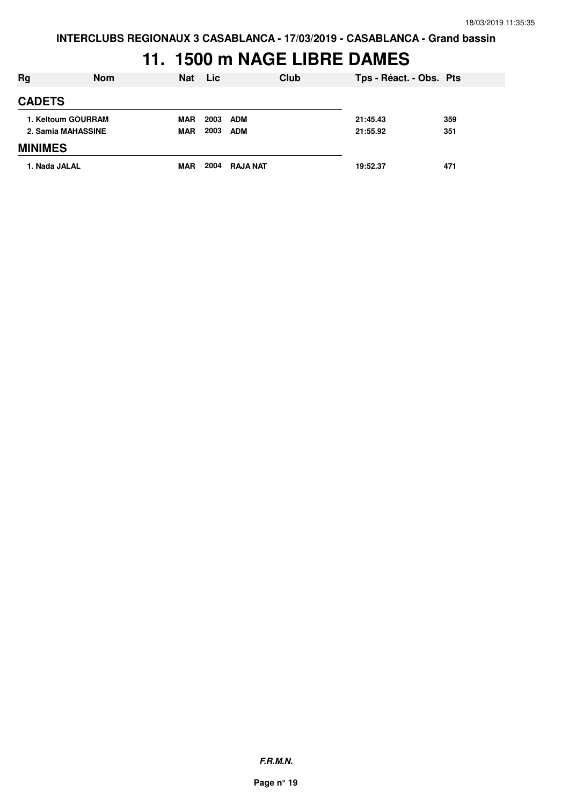# **11. 1500 m NAGE LIBRE DAMES**

| <b>Rg</b>          | <b>Nom</b>         | <b>Nat</b> | <b>Lic</b> | Club            | Tps - Réact. - Obs. Pts |     |
|--------------------|--------------------|------------|------------|-----------------|-------------------------|-----|
| <b>CADETS</b>      |                    |            |            |                 |                         |     |
|                    | 1. Keltoum GOURRAM | <b>MAR</b> | 2003       | <b>ADM</b>      | 21:45.43                | 359 |
| 2. Samia MAHASSINE |                    | <b>MAR</b> | 2003       | <b>ADM</b>      | 21:55.92                | 351 |
| <b>MINIMES</b>     |                    |            |            |                 |                         |     |
| 1. Nada JALAL      |                    | <b>MAR</b> | 2004       | <b>RAJA NAT</b> | 19:52.37                | 471 |

**F.R.M.N.**

**Page n° 19**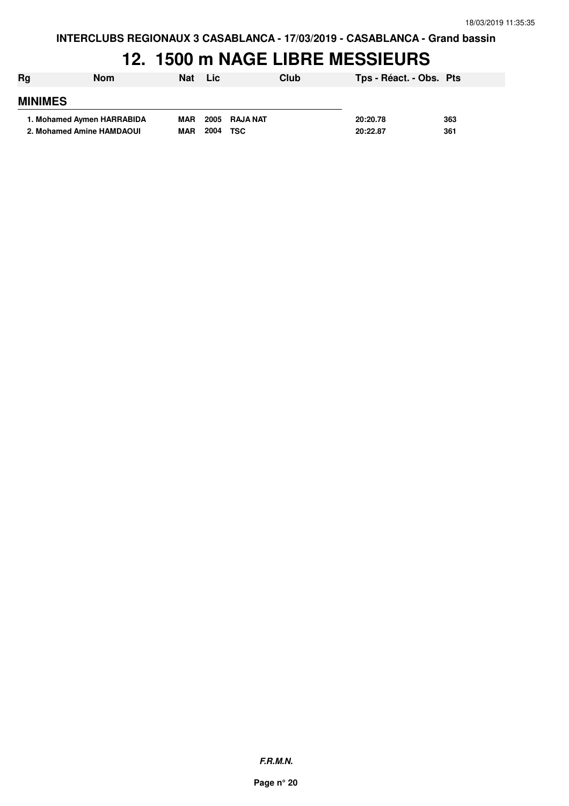| Rg             | Nom                        | <b>Nat</b> | <b>Lic</b> | Club          | Tps - Réact. - Obs. Pts |     |
|----------------|----------------------------|------------|------------|---------------|-------------------------|-----|
| <b>MINIMES</b> |                            |            |            |               |                         |     |
|                | 1. Mohamed Aymen HARRABIDA | <b>MAR</b> |            | 2005 RAJA NAT | 20:20.78                | 363 |
|                | 2. Mohamed Amine HAMDAOUI  | <b>MAR</b> | 2004       | TSC           | 20:22.87                | 361 |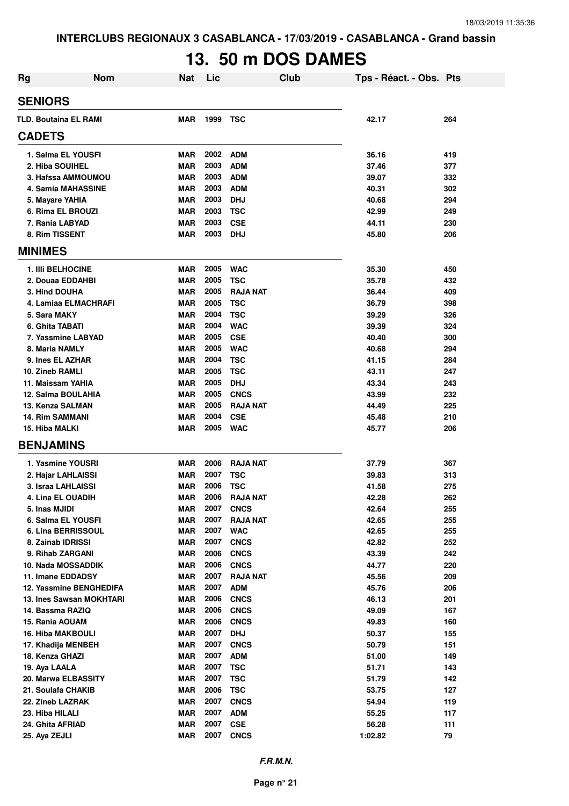# **13. 50 m DOS DAMES**

| Rg                                       | <b>Nom</b><br><b>Nat</b> | Lic          | Club                     | Tps - Réact. - Obs. Pts |            |
|------------------------------------------|--------------------------|--------------|--------------------------|-------------------------|------------|
| <b>SENIORS</b>                           |                          |              |                          |                         |            |
| <b>TLD. Boutaina EL RAMI</b>             | <b>MAR</b>               | 1999         | TSC                      | 42.17                   | 264        |
| <b>CADETS</b>                            |                          |              |                          |                         |            |
| 1. Salma EL YOUSFI                       | MAR                      | 2002         | ADM                      | 36.16                   | 419        |
| 2. Hiba SOUIHEL                          | <b>MAR</b>               | 2003         | <b>ADM</b>               | 37.46                   | 377        |
| 3. Hafssa AMMOUMOU                       | <b>MAR</b>               | 2003         | <b>ADM</b>               | 39.07                   | 332        |
| 4. Samia MAHASSINE                       | <b>MAR</b>               | 2003         | <b>ADM</b>               | 40.31                   | 302        |
| 5. Mayare YAHIA                          | <b>MAR</b>               | 2003         | <b>DHJ</b>               | 40.68                   | 294        |
| 6. Rima EL BROUZI                        | <b>MAR</b>               | 2003         | <b>TSC</b>               | 42.99                   | 249        |
| 7. Rania LABYAD                          | <b>MAR</b>               | 2003         | <b>CSE</b>               | 44.11                   | 230        |
| 8. Rim TISSENT                           | <b>MAR</b>               | 2003         | <b>DHJ</b>               | 45.80                   | 206        |
| <b>MINIMES</b>                           |                          |              |                          |                         |            |
| <b>1. IIII BELHOCINE</b>                 | <b>MAR</b>               | 2005         | <b>WAC</b>               | 35.30                   | 450        |
| 2. Douaa EDDAHBI                         | <b>MAR</b>               | 2005         | <b>TSC</b>               | 35.78                   | 432        |
| 3. Hind DOUHA                            | <b>MAR</b>               | 2005         | <b>RAJA NAT</b>          | 36.44                   | 409        |
| 4. Lamiaa ELMACHRAFI                     | <b>MAR</b>               | 2005         | <b>TSC</b>               | 36.79                   | 398        |
| 5. Sara MAKY                             | <b>MAR</b>               | 2004         | <b>TSC</b>               | 39.29                   | 326        |
| 6. Ghita TABATI                          | <b>MAR</b>               | 2004         | <b>WAC</b>               | 39.39                   | 324        |
| 7. Yassmine LABYAD                       | <b>MAR</b>               | 2005         | <b>CSE</b>               | 40.40                   | 300        |
| 8. Maria NAMLY                           | <b>MAR</b>               | 2005         | <b>WAC</b>               | 40.68                   | 294        |
| 9. Ines EL AZHAR                         | <b>MAR</b>               | 2004         | <b>TSC</b>               | 41.15                   | 284        |
| 10. Zineb RAMLI                          | <b>MAR</b>               | 2005         | <b>TSC</b>               | 43.11                   | 247        |
| 11. Maissam YAHIA                        | <b>MAR</b>               | 2005         | <b>DHJ</b>               | 43.34                   | 243        |
| 12. Salma BOULAHIA                       | <b>MAR</b>               | 2005         | <b>CNCS</b>              | 43.99                   | 232        |
| 13. Kenza SALMAN                         | <b>MAR</b>               | 2005         | <b>RAJA NAT</b>          | 44.49                   | 225        |
| <b>14. Rim SAMMANI</b><br>15. Hiba MALKI | <b>MAR</b><br><b>MAR</b> | 2004<br>2005 | <b>CSE</b><br><b>WAC</b> | 45.48<br>45.77          | 210<br>206 |
| <b>BENJAMINS</b>                         |                          |              |                          |                         |            |
| 1. Yasmine YOUSRI                        | <b>MAR</b>               | 2006         | <b>RAJA NAT</b>          | 37.79                   | 367        |
| 2. Hajar LAHLAISSI                       | <b>MAR</b>               | 2007         | <b>TSC</b>               | 39.83                   | 313        |
| 3. Israa LAHLAISSI                       | <b>MAR</b>               | 2006         | <b>TSC</b>               | 41.58                   | 275        |
| 4. Lina EL OUADIH                        | <b>MAR</b>               | 2006         | <b>RAJA NAT</b>          | 42.28                   | 262        |
| 5. Inas MJIDI                            | MAR                      | 2007         | <b>CNCS</b>              | 42.64                   | 255        |
| 6. Salma EL YOUSFI                       | <b>MAR</b>               | 2007         | <b>RAJA NAT</b>          | 42.65                   | 255        |
| 6. Lina BERRISSOUL                       | <b>MAR</b>               | 2007         | <b>WAC</b>               | 42.65                   | 255        |
| 8. Zainab IDRISSI                        | <b>MAR</b>               | 2007         | <b>CNCS</b>              | 42.82                   | 252        |
| 9. Rihab ZARGANI                         | MAR                      | 2006         | <b>CNCS</b>              | 43.39                   | 242        |
| 10. Nada MOSSADDIK                       | <b>MAR</b>               | 2006         | <b>CNCS</b>              | 44.77                   | 220        |
| 11. Imane EDDADSY                        | <b>MAR</b>               | 2007         | <b>RAJA NAT</b>          | 45.56                   | 209        |
| 12. Yassmine BENGHEDIFA                  | <b>MAR</b>               | 2007         | <b>ADM</b>               | 45.76                   | 206        |
| 13. Ines Sawsan MOKHTARI                 | <b>MAR</b>               | 2006         | <b>CNCS</b>              | 46.13                   | 201        |
| 14. Bassma RAZIQ                         | <b>MAR</b>               | 2006         | <b>CNCS</b>              | 49.09                   | 167        |
| 15. Rania AOUAM                          | <b>MAR</b>               | 2006         | <b>CNCS</b>              | 49.83                   | 160        |
| <b>16. Hiba MAKBOULI</b>                 | <b>MAR</b>               | 2007         | <b>DHJ</b>               | 50.37                   | 155        |
| 17. Khadija MENBEH                       | <b>MAR</b>               | 2007         | <b>CNCS</b>              | 50.79                   | 151        |
| 18. Kenza GHAZI                          | MAR                      | 2007         | <b>ADM</b>               | 51.00                   | 149        |
| 19. Aya LAALA                            | MAR                      | 2007         | <b>TSC</b>               | 51.71                   | 143        |
| 20. Marwa ELBASSITY                      | MAR                      | 2007         | <b>TSC</b>               | 51.79                   | 142        |
| 21. Soulafa CHAKIB                       | <b>MAR</b>               | 2006         | <b>TSC</b>               | 53.75                   | 127        |
| 22. Zineb LAZRAK                         | <b>MAR</b>               | 2007         | <b>CNCS</b>              | 54.94                   | 119        |
| 23. Hiba HILALI                          | <b>MAR</b>               | 2007         | <b>ADM</b>               | 55.25                   | 117        |
| 24. Ghita AFRIAD                         | <b>MAR</b>               | 2007         | <b>CSE</b>               | 56.28                   | 111        |
| 25. Aya ZEJLI                            | <b>MAR</b>               | 2007         | <b>CNCS</b>              | 1:02.82                 | 79         |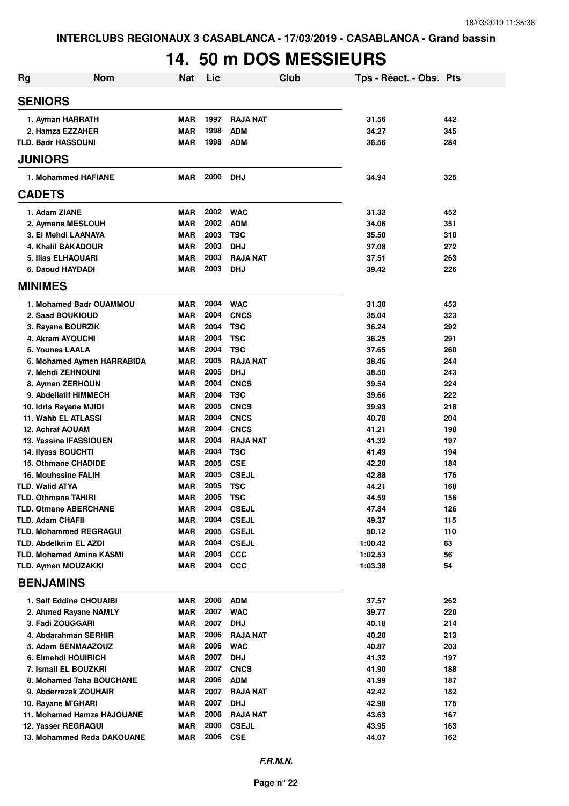# **14. 50 m DOS MESSIEURS**

| <b>Rg</b>                                        | <b>Nom</b>                      | <b>Nat</b>               | Lic          |                          | <b>Club</b> | Tps - Réact. - Obs. Pts |            |
|--------------------------------------------------|---------------------------------|--------------------------|--------------|--------------------------|-------------|-------------------------|------------|
| <b>SENIORS</b>                                   |                                 |                          |              |                          |             |                         |            |
| 1. Ayman HARRATH                                 |                                 | <b>MAR</b>               | 1997         | <b>RAJA NAT</b>          |             | 31.56                   | 442        |
| 2. Hamza EZZAHER                                 |                                 | <b>MAR</b>               | 1998         | <b>ADM</b>               |             | 34.27                   | 345        |
| <b>TLD. Badr HASSOUNI</b>                        |                                 | <b>MAR</b>               | 1998         | <b>ADM</b>               |             | 36.56                   | 284        |
| <b>JUNIORS</b>                                   |                                 |                          |              |                          |             |                         |            |
|                                                  | 1. Mohammed HAFIANE             | <b>MAR</b>               | 2000         | <b>DHJ</b>               |             | 34.94                   | 325        |
| <b>CADETS</b>                                    |                                 |                          |              |                          |             |                         |            |
| 1. Adam ZIANE                                    |                                 | <b>MAR</b>               | 2002         | <b>WAC</b>               |             | 31.32                   | 452        |
| 2. Aymane MESLOUH                                |                                 | <b>MAR</b>               | 2002         | <b>ADM</b>               |             | 34.06                   | 351        |
| 3. El Mehdi LAANAYA                              |                                 | <b>MAR</b>               | 2003         | <b>TSC</b>               |             | 35.50                   | 310        |
| 4. Khalil BAKADOUR                               |                                 | <b>MAR</b>               | 2003         | <b>DHJ</b>               |             | 37.08                   | 272        |
| 5. Ilias ELHAOUARI                               |                                 | <b>MAR</b>               | 2003         | <b>RAJA NAT</b>          |             | 37.51                   | 263        |
| 6. Daoud HAYDADI                                 |                                 | <b>MAR</b>               | 2003         | <b>DHJ</b>               |             | 39.42                   | 226        |
| <b>MINIMES</b>                                   |                                 |                          |              |                          |             |                         |            |
|                                                  | 1. Mohamed Badr OUAMMOU         | <b>MAR</b>               | 2004         | <b>WAC</b>               |             | 31.30                   | 453        |
| 2. Saad BOUKIOUD                                 |                                 | <b>MAR</b>               | 2004         | <b>CNCS</b>              |             | 35.04                   | 323        |
| 3. Rayane BOURZIK                                |                                 | <b>MAR</b>               | 2004         | <b>TSC</b>               |             | 36.24                   | 292        |
| 4. Akram AYOUCHI                                 |                                 | <b>MAR</b>               | 2004         | <b>TSC</b>               |             | 36.25                   | 291        |
| 5. Younes LAALA                                  |                                 | <b>MAR</b>               | 2004         | <b>TSC</b>               |             | 37.65                   | 260        |
|                                                  | 6. Mohamed Aymen HARRABIDA      | <b>MAR</b>               | 2005         | <b>RAJA NAT</b>          |             | 38.46                   | 244        |
| 7. Mehdi ZEHNOUNI                                |                                 | <b>MAR</b>               | 2005         | <b>DHJ</b>               |             | 38.50                   | 243        |
| 8. Ayman ZERHOUN                                 |                                 | <b>MAR</b>               | 2004         | <b>CNCS</b>              |             | 39.54                   | 224        |
| 9. Abdellatif HIMMECH                            |                                 | <b>MAR</b>               | 2004         | <b>TSC</b>               |             | 39.66                   | 222        |
| 10. Idris Rayane MJIDI                           |                                 | <b>MAR</b>               | 2005         | <b>CNCS</b>              |             | 39.93                   | 218        |
| 11. Wahb EL ATLASSI                              |                                 | <b>MAR</b>               | 2004         | <b>CNCS</b>              |             | 40.78                   | 204        |
| <b>12. Achraf AOUAM</b>                          |                                 | <b>MAR</b>               | 2004         | <b>CNCS</b>              |             | 41.21                   | 198        |
| 13. Yassine IFASSIOUEN                           |                                 | <b>MAR</b><br><b>MAR</b> | 2004<br>2004 | <b>RAJA NAT</b>          |             | 41.32                   | 197        |
| 14. Ilyass BOUCHTI<br><b>15. Othmane CHADIDE</b> |                                 | <b>MAR</b>               | 2005         | <b>TSC</b><br><b>CSE</b> |             | 41.49<br>42.20          | 194<br>184 |
| <b>16. Mouhssine FALIH</b>                       |                                 | MAR                      | 2005         | <b>CSEJL</b>             |             | 42.88                   | 176        |
| <b>TLD. Walid ATYA</b>                           |                                 | MAR                      | 2005         | <b>TSC</b>               |             | 44.21                   | 160        |
| TLD. Othmane TAHIRI                              |                                 | <b>MAR</b>               | 2005         | <b>TSC</b>               |             | 44.59                   | 156        |
| <b>TLD. Otmane ABERCHANE</b>                     |                                 | MAR                      | 2004         | <b>CSEJL</b>             |             | 47.84                   | 126        |
| <b>TLD. Adam CHAFII</b>                          |                                 | <b>MAR</b>               | 2004         | <b>CSEJL</b>             |             | 49.37                   | 115        |
| <b>TLD. Mohammed REGRAGUI</b>                    |                                 | <b>MAR</b>               | 2005         | <b>CSEJL</b>             |             | 50.12                   | 110        |
| <b>TLD. Abdelkrim EL AZDI</b>                    |                                 | <b>MAR</b>               | 2004         | <b>CSEJL</b>             |             | 1:00.42                 | 63         |
|                                                  | <b>TLD. Mohamed Amine KASMI</b> | MAR                      | 2004         | <b>CCC</b>               |             | 1:02.53                 | 56         |
| <b>TLD. Aymen MOUZAKKI</b>                       |                                 | MAR                      | 2004         | <b>CCC</b>               |             | 1:03.38                 | 54         |
| <b>BENJAMINS</b>                                 |                                 |                          |              |                          |             |                         |            |
|                                                  | 1. Saif Eddine CHOUAIBI         | MAR                      | 2006         | <b>ADM</b>               |             | 37.57                   | 262        |
|                                                  | 2. Ahmed Rayane NAMLY           | MAR                      | 2007         | <b>WAC</b>               |             | 39.77                   | 220        |
| 3. Fadi ZOUGGARI                                 |                                 | <b>MAR</b>               | 2007         | <b>DHJ</b>               |             | 40.18                   | 214        |
|                                                  | 4. Abdarahman SERHIR            | <b>MAR</b>               | 2006         | <b>RAJA NAT</b>          |             | 40.20                   | 213        |
|                                                  | 5. Adam BENMAAZOUZ              | <b>MAR</b>               | 2006         | <b>WAC</b>               |             | 40.87                   | 203        |
| 6. Elmehdi HOUIRICH                              |                                 | <b>MAR</b>               | 2007         | <b>DHJ</b>               |             | 41.32                   | 197        |
| 7. Ismail EL BOUZKRI                             |                                 | <b>MAR</b>               | 2007         | <b>CNCS</b>              |             | 41.90                   | 188        |
|                                                  | 8. Mohamed Taha BOUCHANE        | MAR                      | 2006         | <b>ADM</b>               |             | 41.99                   | 187        |
|                                                  | 9. Abderrazak ZOUHAIR           | MAR                      | 2007         | <b>RAJA NAT</b>          |             | 42.42                   | 182        |
| 10. Rayane M'GHARI                               |                                 | MAR                      | 2007         | <b>DHJ</b>               |             | 42.98                   | 175        |
|                                                  | 11. Mohamed Hamza HAJOUANE      | MAR                      | 2006         | <b>RAJA NAT</b>          |             | 43.63                   | 167        |
| <b>12. Yasser REGRAGUI</b>                       |                                 | MAR                      | 2006         | <b>CSEJL</b>             |             | 43.95                   | 163        |
|                                                  | 13. Mohammed Reda DAKOUANE      | <b>MAR</b>               | 2006         | <b>CSE</b>               |             | 44.07                   | 162        |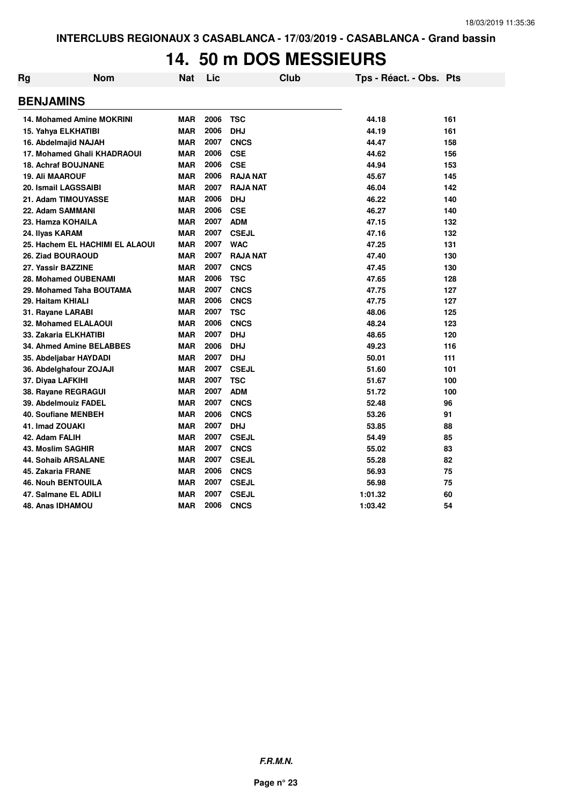## **14. 50 m DOS MESSIEURS**

| Rg | <b>Nom</b>                       | Nat        | Lic  |                 | Club | Tps - Réact. - Obs. Pts |     |
|----|----------------------------------|------------|------|-----------------|------|-------------------------|-----|
|    | <b>BENJAMINS</b>                 |            |      |                 |      |                         |     |
|    | <b>14. Mohamed Amine MOKRINI</b> | <b>MAR</b> | 2006 | <b>TSC</b>      |      | 44.18                   | 161 |
|    | 15. Yahya ELKHATIBI              | <b>MAR</b> | 2006 | <b>DHJ</b>      |      | 44.19                   | 161 |
|    | 16. Abdelmajid NAJAH             | <b>MAR</b> | 2007 | <b>CNCS</b>     |      | 44.47                   | 158 |
|    | 17. Mohamed Ghali KHADRAOUI      | <b>MAR</b> | 2006 | <b>CSE</b>      |      | 44.62                   | 156 |
|    | <b>18. Achraf BOUJNANE</b>       | <b>MAR</b> | 2006 | <b>CSE</b>      |      | 44.94                   | 153 |
|    | <b>19. Ali MAAROUF</b>           | <b>MAR</b> | 2006 | <b>RAJA NAT</b> |      | 45.67                   | 145 |
|    | 20. Ismail LAGSSAIBI             | <b>MAR</b> | 2007 | <b>RAJA NAT</b> |      | 46.04                   | 142 |
|    | 21. Adam TIMOUYASSE              | <b>MAR</b> | 2006 | <b>DHJ</b>      |      | 46.22                   | 140 |
|    | 22. Adam SAMMANI                 | <b>MAR</b> | 2006 | <b>CSE</b>      |      | 46.27                   | 140 |
|    | 23. Hamza KOHAILA                | <b>MAR</b> | 2007 | <b>ADM</b>      |      | 47.15                   | 132 |
|    | 24. Ilyas KARAM                  | MAR        | 2007 | <b>CSEJL</b>    |      | 47.16                   | 132 |
|    | 25. Hachem EL HACHIMI EL ALAOUI  | <b>MAR</b> | 2007 | <b>WAC</b>      |      | 47.25                   | 131 |
|    | 26. Ziad BOURAOUD                | <b>MAR</b> | 2007 | <b>RAJA NAT</b> |      | 47.40                   | 130 |
|    | 27. Yassir BAZZINE               | <b>MAR</b> | 2007 | <b>CNCS</b>     |      | 47.45                   | 130 |
|    | 28. Mohamed OUBENAMI             | <b>MAR</b> | 2006 | <b>TSC</b>      |      | 47.65                   | 128 |
|    | 29. Mohamed Taha BOUTAMA         | <b>MAR</b> | 2007 | <b>CNCS</b>     |      | 47.75                   | 127 |
|    | 29. Haitam KHIALI                | <b>MAR</b> | 2006 | <b>CNCS</b>     |      | 47.75                   | 127 |
|    | 31. Rayane LARABI                | <b>MAR</b> | 2007 | <b>TSC</b>      |      | 48.06                   | 125 |
|    | 32. Mohamed ELALAOUI             | <b>MAR</b> | 2006 | <b>CNCS</b>     |      | 48.24                   | 123 |
|    | 33. Zakaria ELKHATIBI            | <b>MAR</b> | 2007 | <b>DHJ</b>      |      | 48.65                   | 120 |
|    | 34. Ahmed Amine BELABBES         | <b>MAR</b> | 2006 | <b>DHJ</b>      |      | 49.23                   | 116 |
|    | 35. Abdeljabar HAYDADI           | <b>MAR</b> | 2007 | <b>DHJ</b>      |      | 50.01                   | 111 |
|    | 36. Abdelghafour ZOJAJI          | <b>MAR</b> | 2007 | <b>CSEJL</b>    |      | 51.60                   | 101 |
|    | 37. Diyaa LAFKIHI                | <b>MAR</b> | 2007 | <b>TSC</b>      |      | 51.67                   | 100 |
|    | 38. Rayane REGRAGUI              | <b>MAR</b> | 2007 | <b>ADM</b>      |      | 51.72                   | 100 |
|    | 39. Abdelmouiz FADEL             | <b>MAR</b> | 2007 | <b>CNCS</b>     |      | 52.48                   | 96  |
|    | <b>40. Soufiane MENBEH</b>       | <b>MAR</b> | 2006 | <b>CNCS</b>     |      | 53.26                   | 91  |
|    | 41. Imad ZOUAKI                  | <b>MAR</b> | 2007 | <b>DHJ</b>      |      | 53.85                   | 88  |
|    | 42. Adam FALIH                   | <b>MAR</b> | 2007 | <b>CSEJL</b>    |      | 54.49                   | 85  |
|    | 43. Moslim SAGHIR                | <b>MAR</b> | 2007 | <b>CNCS</b>     |      | 55.02                   | 83  |
|    | <b>44. Sohaib ARSALANE</b>       | <b>MAR</b> | 2007 | <b>CSEJL</b>    |      | 55.28                   | 82  |
|    | 45. Zakaria FRANE                | <b>MAR</b> | 2006 | <b>CNCS</b>     |      | 56.93                   | 75  |
|    | <b>46. Nouh BENTOUILA</b>        | <b>MAR</b> | 2007 | <b>CSEJL</b>    |      | 56.98                   | 75  |
|    | 47. Salmane EL ADILI             | <b>MAR</b> | 2007 | <b>CSEJL</b>    |      | 1:01.32                 | 60  |
|    | 48. Anas IDHAMOU                 | <b>MAR</b> | 2006 | <b>CNCS</b>     |      | 1:03.42                 | 54  |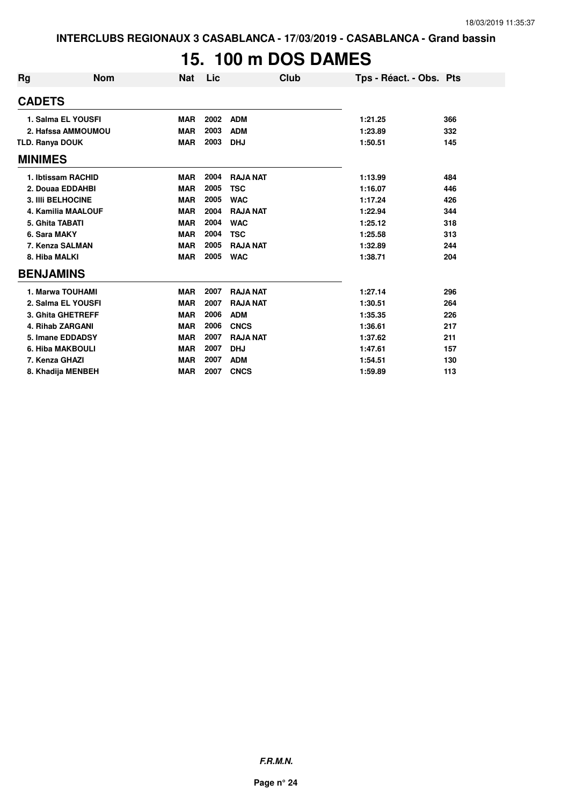# **15. 100 m DOS DAMES**

| <b>Rg</b>              | <b>Nom</b>                | <b>Nat</b> | Lic  | Club            | Tps - Réact. - Obs. Pts |     |
|------------------------|---------------------------|------------|------|-----------------|-------------------------|-----|
| <b>CADETS</b>          |                           |            |      |                 |                         |     |
|                        | 1. Salma EL YOUSFI        | <b>MAR</b> | 2002 | <b>ADM</b>      | 1:21.25                 | 366 |
|                        | 2. Hafssa AMMOUMOU        | <b>MAR</b> | 2003 | <b>ADM</b>      | 1:23.89                 | 332 |
| <b>TLD. Ranya DOUK</b> |                           | <b>MAR</b> | 2003 | <b>DHJ</b>      | 1:50.51                 | 145 |
| <b>MINIMES</b>         |                           |            |      |                 |                         |     |
|                        | 1. Ibtissam RACHID        | <b>MAR</b> | 2004 | <b>RAJA NAT</b> | 1:13.99                 | 484 |
|                        | 2. Douaa EDDAHBI          | <b>MAR</b> | 2005 | <b>TSC</b>      | 1:16.07                 | 446 |
|                        | <b>3. IIII BELHOCINE</b>  | <b>MAR</b> | 2005 | <b>WAC</b>      | 1:17.24                 | 426 |
|                        | <b>4. Kamilia MAALOUF</b> | <b>MAR</b> | 2004 | <b>RAJA NAT</b> | 1:22.94                 | 344 |
|                        | 5. Ghita TABATI           | <b>MAR</b> | 2004 | <b>WAC</b>      | 1:25.12                 | 318 |
|                        | 6. Sara MAKY              | <b>MAR</b> | 2004 | <b>TSC</b>      | 1:25.58                 | 313 |
|                        | 7. Kenza SALMAN           | <b>MAR</b> | 2005 | <b>RAJA NAT</b> | 1:32.89                 | 244 |
|                        | 8. Hiba MALKI             | <b>MAR</b> | 2005 | <b>WAC</b>      | 1:38.71                 | 204 |
|                        | <b>BENJAMINS</b>          |            |      |                 |                         |     |
|                        | 1. Marwa TOUHAMI          | <b>MAR</b> | 2007 | <b>RAJA NAT</b> | 1:27.14                 | 296 |
|                        | 2. Salma EL YOUSFI        | <b>MAR</b> | 2007 | <b>RAJA NAT</b> | 1:30.51                 | 264 |
|                        | 3. Ghita GHETREFF         | <b>MAR</b> | 2006 | <b>ADM</b>      | 1:35.35                 | 226 |
|                        | 4. Rihab ZARGANI          | <b>MAR</b> | 2006 | <b>CNCS</b>     | 1:36.61                 | 217 |
|                        | 5. Imane EDDADSY          | <b>MAR</b> | 2007 | <b>RAJA NAT</b> | 1:37.62                 | 211 |
|                        | 6. Hiba MAKBOULI          | <b>MAR</b> | 2007 | <b>DHJ</b>      | 1:47.61                 | 157 |
|                        | 7. Kenza GHAZI            | <b>MAR</b> | 2007 | <b>ADM</b>      | 1:54.51                 | 130 |
|                        | 8. Khadija MENBEH         | <b>MAR</b> | 2007 | <b>CNCS</b>     | 1:59.89                 | 113 |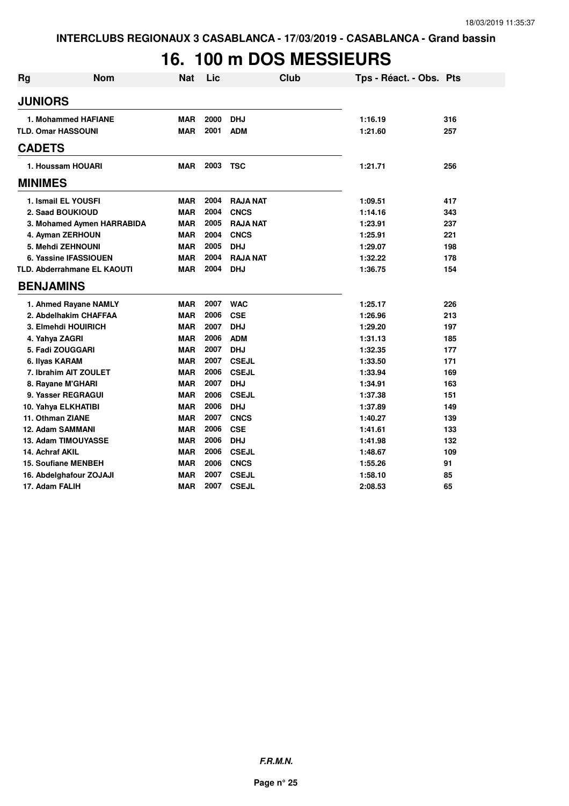# **16. 100 m DOS MESSIEURS**

| <b>Rg</b>      | <b>Nom</b>                         | <b>Nat</b> | Lic  | Club            | Tps - Réact. - Obs. Pts |     |
|----------------|------------------------------------|------------|------|-----------------|-------------------------|-----|
| <b>JUNIORS</b> |                                    |            |      |                 |                         |     |
|                | 1. Mohammed HAFIANE                | <b>MAR</b> | 2000 | <b>DHJ</b>      | 1:16.19                 | 316 |
|                | <b>TLD. Omar HASSOUNI</b>          | <b>MAR</b> | 2001 | <b>ADM</b>      | 1:21.60                 | 257 |
| <b>CADETS</b>  |                                    |            |      |                 |                         |     |
|                | 1. Houssam HOUARI                  | <b>MAR</b> | 2003 | <b>TSC</b>      | 1:21.71                 | 256 |
| <b>MINIMES</b> |                                    |            |      |                 |                         |     |
|                | 1. Ismail EL YOUSFI                | <b>MAR</b> | 2004 | <b>RAJA NAT</b> | 1:09.51                 | 417 |
|                | 2. Saad BOUKIOUD                   | <b>MAR</b> | 2004 | <b>CNCS</b>     | 1:14.16                 | 343 |
|                | 3. Mohamed Aymen HARRABIDA         | <b>MAR</b> | 2005 | <b>RAJA NAT</b> | 1:23.91                 | 237 |
|                | 4. Ayman ZERHOUN                   | <b>MAR</b> | 2004 | <b>CNCS</b>     | 1:25.91                 | 221 |
|                | 5. Mehdi ZEHNOUNI                  | <b>MAR</b> | 2005 | <b>DHJ</b>      | 1:29.07                 | 198 |
|                | 6. Yassine IFASSIOUEN              | <b>MAR</b> | 2004 | <b>RAJA NAT</b> | 1:32.22                 | 178 |
|                | <b>TLD. Abderrahmane EL KAOUTI</b> | <b>MAR</b> | 2004 | <b>DHJ</b>      | 1:36.75                 | 154 |
|                | <b>BENJAMINS</b>                   |            |      |                 |                         |     |
|                | 1. Ahmed Rayane NAMLY              | <b>MAR</b> | 2007 | <b>WAC</b>      | 1:25.17                 | 226 |
|                | 2. Abdelhakim CHAFFAA              | <b>MAR</b> | 2006 | <b>CSE</b>      | 1:26.96                 | 213 |
|                | 3. Elmehdi HOUIRICH                | <b>MAR</b> | 2007 | <b>DHJ</b>      | 1:29.20                 | 197 |
|                | 4. Yahya ZAGRI                     | <b>MAR</b> | 2006 | <b>ADM</b>      | 1:31.13                 | 185 |
|                | 5. Fadi ZOUGGARI                   | <b>MAR</b> | 2007 | <b>DHJ</b>      | 1:32.35                 | 177 |
|                | 6. Ilyas KARAM                     | <b>MAR</b> | 2007 | <b>CSEJL</b>    | 1:33.50                 | 171 |
|                | 7. Ibrahim AIT ZOULET              | <b>MAR</b> | 2006 | <b>CSEJL</b>    | 1:33.94                 | 169 |
|                | 8. Rayane M'GHARI                  | <b>MAR</b> | 2007 | <b>DHJ</b>      | 1:34.91                 | 163 |
|                | 9. Yasser REGRAGUI                 | <b>MAR</b> | 2006 | <b>CSEJL</b>    | 1:37.38                 | 151 |
|                | 10. Yahya ELKHATIBI                | <b>MAR</b> | 2006 | <b>DHJ</b>      | 1:37.89                 | 149 |
|                | 11. Othman ZIANE                   | <b>MAR</b> | 2007 | <b>CNCS</b>     | 1:40.27                 | 139 |
|                | 12. Adam SAMMANI                   | <b>MAR</b> | 2006 | <b>CSE</b>      | 1:41.61                 | 133 |
|                | 13. Adam TIMOUYASSE                | <b>MAR</b> | 2006 | <b>DHJ</b>      | 1:41.98                 | 132 |
|                | 14. Achraf AKIL                    | <b>MAR</b> | 2006 | <b>CSEJL</b>    | 1:48.67                 | 109 |
|                | <b>15. Soufiane MENBEH</b>         | <b>MAR</b> | 2006 | <b>CNCS</b>     | 1:55.26                 | 91  |
|                | 16. Abdelghafour ZOJAJI            | <b>MAR</b> | 2007 | <b>CSEJL</b>    | 1:58.10                 | 85  |
|                | 17. Adam FALIH                     | <b>MAR</b> | 2007 | <b>CSEJL</b>    | 2:08.53                 | 65  |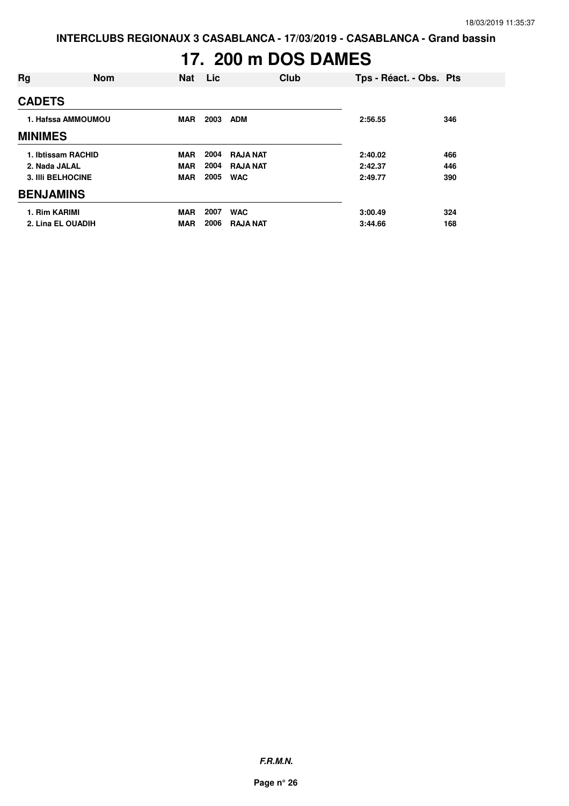# **17. 200 m DOS DAMES**

| Rg                       | <b>Nom</b>         | <b>Nat</b> | Lic  | Club            | Tps - Réact. - Obs. Pts |     |
|--------------------------|--------------------|------------|------|-----------------|-------------------------|-----|
| <b>CADETS</b>            |                    |            |      |                 |                         |     |
|                          | 1. Hafssa AMMOUMOU | <b>MAR</b> | 2003 | <b>ADM</b>      | 2:56.55                 | 346 |
| <b>MINIMES</b>           |                    |            |      |                 |                         |     |
| 1. Ibtissam RACHID       |                    | <b>MAR</b> | 2004 | <b>RAJA NAT</b> | 2:40.02                 | 466 |
| 2. Nada JALAL            |                    | <b>MAR</b> | 2004 | <b>RAJA NAT</b> | 2:42.37                 | 446 |
| <b>3. IIII BELHOCINE</b> |                    | <b>MAR</b> | 2005 | <b>WAC</b>      | 2:49.77                 | 390 |
| <b>BENJAMINS</b>         |                    |            |      |                 |                         |     |
| 1. Rim KARIMI            |                    | <b>MAR</b> | 2007 | <b>WAC</b>      | 3:00.49                 | 324 |
| 2. Lina EL OUADIH        |                    | <b>MAR</b> | 2006 | <b>RAJA NAT</b> | 3:44.66                 | 168 |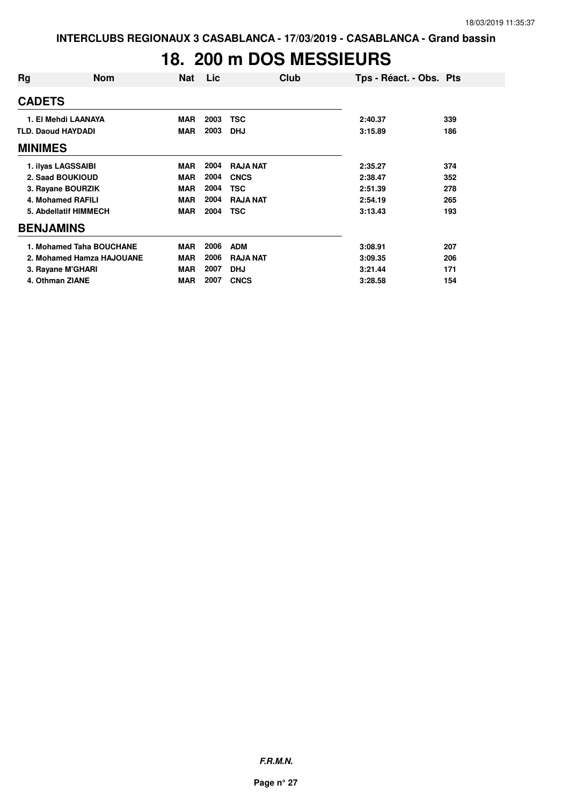# **18. 200 m DOS MESSIEURS**

| Rg                        | <b>Nom</b>                | Nat        | Lic  | Club            | Tps - Réact. - Obs. Pts |     |
|---------------------------|---------------------------|------------|------|-----------------|-------------------------|-----|
| <b>CADETS</b>             |                           |            |      |                 |                         |     |
|                           | 1. El Mehdi LAANAYA       | <b>MAR</b> | 2003 | TSC             | 2:40.37                 | 339 |
| <b>TLD. Daoud HAYDADI</b> |                           | <b>MAR</b> | 2003 | <b>DHJ</b>      | 3:15.89                 | 186 |
| <b>MINIMES</b>            |                           |            |      |                 |                         |     |
|                           | 1. ilyas LAGSSAIBI        | <b>MAR</b> | 2004 | <b>RAJA NAT</b> | 2:35.27                 | 374 |
|                           | 2. Saad BOUKIOUD          | <b>MAR</b> | 2004 | <b>CNCS</b>     | 2:38.47                 | 352 |
|                           | 3. Rayane BOURZIK         | <b>MAR</b> | 2004 | <b>TSC</b>      | 2:51.39                 | 278 |
|                           | 4. Mohamed RAFILI         | <b>MAR</b> | 2004 | <b>RAJA NAT</b> | 2:54.19                 | 265 |
|                           | 5. Abdellatif HIMMECH     | <b>MAR</b> | 2004 | <b>TSC</b>      | 3:13.43                 | 193 |
| <b>BENJAMINS</b>          |                           |            |      |                 |                         |     |
|                           | 1. Mohamed Taha BOUCHANE  | <b>MAR</b> | 2006 | <b>ADM</b>      | 3:08.91                 | 207 |
|                           | 2. Mohamed Hamza HAJOUANE | <b>MAR</b> | 2006 | <b>RAJA NAT</b> | 3:09.35                 | 206 |
|                           | 3. Rayane M'GHARI         | <b>MAR</b> | 2007 | <b>DHJ</b>      | 3:21.44                 | 171 |
| 4. Othman ZIANE           |                           | <b>MAR</b> | 2007 | <b>CNCS</b>     | 3:28.58                 | 154 |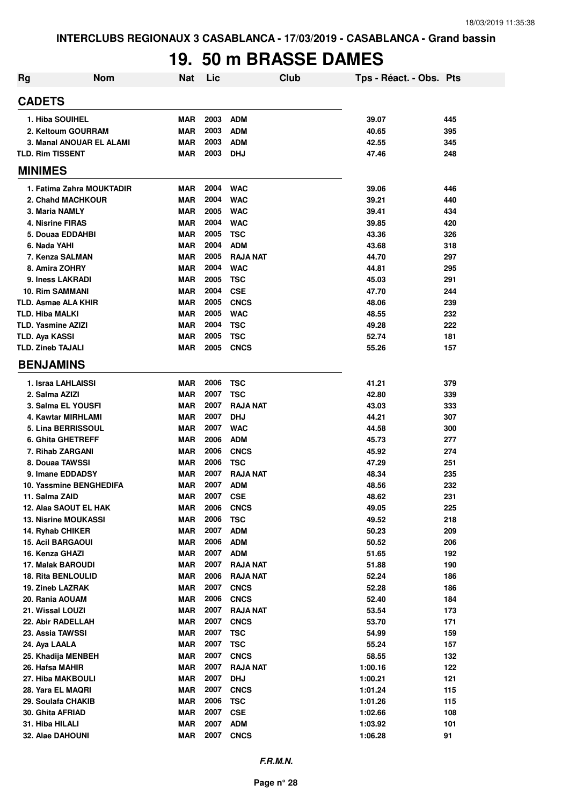# **19. 50 m BRASSE DAMES**

| Rg                        | <b>Nom</b>                | <b>Nat</b> | Lic  |                 | Club | Tps - Réact. - Obs. Pts |     |
|---------------------------|---------------------------|------------|------|-----------------|------|-------------------------|-----|
| <b>CADETS</b>             |                           |            |      |                 |      |                         |     |
| 1. Hiba SOUIHEL           |                           | <b>MAR</b> | 2003 | <b>ADM</b>      |      | 39.07                   | 445 |
|                           | 2. Keltoum GOURRAM        | <b>MAR</b> | 2003 | <b>ADM</b>      |      | 40.65                   | 395 |
|                           | 3. Manal ANOUAR EL ALAMI  | <b>MAR</b> | 2003 | <b>ADM</b>      |      | 42.55                   | 345 |
| <b>TLD. Rim TISSENT</b>   |                           | MAR        | 2003 | <b>DHJ</b>      |      | 47.46                   | 248 |
| <b>MINIMES</b>            |                           |            |      |                 |      |                         |     |
|                           | 1. Fatima Zahra MOUKTADIR | <b>MAR</b> | 2004 | <b>WAC</b>      |      | 39.06                   | 446 |
|                           | 2. Chahd MACHKOUR         | <b>MAR</b> | 2004 | <b>WAC</b>      |      | 39.21                   | 440 |
| 3. Maria NAMLY            |                           | <b>MAR</b> | 2005 | <b>WAC</b>      |      | 39.41                   | 434 |
| 4. Nisrine FIRAS          |                           | <b>MAR</b> | 2004 | <b>WAC</b>      |      | 39.85                   | 420 |
| 5. Douaa EDDAHBI          |                           | <b>MAR</b> | 2005 | <b>TSC</b>      |      | 43.36                   | 326 |
| 6. Nada YAHI              |                           | <b>MAR</b> | 2004 | <b>ADM</b>      |      | 43.68                   | 318 |
| 7. Kenza SALMAN           |                           | <b>MAR</b> | 2005 | <b>RAJA NAT</b> |      | 44.70                   | 297 |
| 8. Amira ZOHRY            |                           | <b>MAR</b> | 2004 | <b>WAC</b>      |      | 44.81                   | 295 |
| 9. Iness LAKRADI          |                           | <b>MAR</b> | 2005 | <b>TSC</b>      |      | 45.03                   | 291 |
| <b>10. Rim SAMMANI</b>    |                           | <b>MAR</b> | 2004 | <b>CSE</b>      |      | 47.70                   | 244 |
| TLD. Asmae ALA KHIR       |                           | <b>MAR</b> | 2005 | <b>CNCS</b>     |      | 48.06                   | 239 |
| <b>TLD. Hiba MALKI</b>    |                           | <b>MAR</b> | 2005 | <b>WAC</b>      |      | 48.55                   | 232 |
| <b>TLD. Yasmine AZIZI</b> |                           | <b>MAR</b> | 2004 | <b>TSC</b>      |      | 49.28                   | 222 |
| <b>TLD. Aya KASSI</b>     |                           | <b>MAR</b> | 2005 | <b>TSC</b>      |      | 52.74                   | 181 |
| <b>TLD. Zineb TAJALI</b>  |                           |            | 2005 | <b>CNCS</b>     |      |                         |     |
|                           |                           | MAR        |      |                 |      | 55.26                   | 157 |
| <b>BENJAMINS</b>          |                           |            |      |                 |      |                         |     |
| 1. Israa LAHLAISSI        |                           | <b>MAR</b> | 2006 | TSC             |      | 41.21                   | 379 |
| 2. Salma AZIZI            |                           | <b>MAR</b> | 2007 | <b>TSC</b>      |      | 42.80                   | 339 |
| 3. Salma EL YOUSFI        |                           | <b>MAR</b> | 2007 | <b>RAJA NAT</b> |      | 43.03                   | 333 |
| 4. Kawtar MIRHLAMI        |                           | <b>MAR</b> | 2007 | <b>DHJ</b>      |      | 44.21                   | 307 |
| 5. Lina BERRISSOUL        |                           | <b>MAR</b> | 2007 | <b>WAC</b>      |      | 44.58                   | 300 |
| <b>6. Ghita GHETREFF</b>  |                           | <b>MAR</b> | 2006 | <b>ADM</b>      |      | 45.73                   | 277 |
| 7. Rihab ZARGANI          |                           | <b>MAR</b> | 2006 | <b>CNCS</b>     |      | 45.92                   | 274 |
| 8. Douaa TAWSSI           |                           | <b>MAR</b> | 2006 | <b>TSC</b>      |      | 47.29                   | 251 |
| 9. Imane EDDADSY          |                           | <b>MAR</b> | 2007 | <b>RAJA NAT</b> |      | 48.34                   | 235 |
|                           | 10. Yassmine BENGHEDIFA   | <b>MAR</b> | 2007 | <b>ADM</b>      |      | 48.56                   | 232 |
| 11. Salma ZAID            |                           | <b>MAR</b> | 2007 | <b>CSE</b>      |      | 48.62                   | 231 |
|                           | 12. Alaa SAOUT EL HAK     | <b>MAR</b> | 2006 | <b>CNCS</b>     |      | 49.05                   | 225 |
| 13. Nisrine MOUKASSI      |                           | <b>MAR</b> | 2006 | <b>TSC</b>      |      | 49.52                   | 218 |
| 14. Ryhab CHIKER          |                           | <b>MAR</b> | 2007 | <b>ADM</b>      |      | 50.23                   | 209 |
| <b>15. Acil BARGAOUI</b>  |                           | <b>MAR</b> | 2006 | <b>ADM</b>      |      | 50.52                   | 206 |
| 16. Kenza GHAZI           |                           | <b>MAR</b> | 2007 | <b>ADM</b>      |      | 51.65                   | 192 |
| 17. Malak BAROUDI         |                           | <b>MAR</b> | 2007 | <b>RAJA NAT</b> |      | 51.88                   | 190 |
| <b>18. Rita BENLOULID</b> |                           | <b>MAR</b> | 2006 | <b>RAJA NAT</b> |      | 52.24                   | 186 |
| 19. Zineb LAZRAK          |                           | <b>MAR</b> | 2007 | <b>CNCS</b>     |      | 52.28                   | 186 |
| 20. Rania AOUAM           |                           | <b>MAR</b> | 2006 | <b>CNCS</b>     |      | 52.40                   | 184 |
| 21. Wissal LOUZI          |                           | <b>MAR</b> | 2007 | <b>RAJA NAT</b> |      | 53.54                   | 173 |
| 22. Abir RADELLAH         |                           | <b>MAR</b> | 2007 | <b>CNCS</b>     |      | 53.70                   | 171 |
| 23. Assia TAWSSI          |                           | <b>MAR</b> | 2007 | <b>TSC</b>      |      | 54.99                   | 159 |
| 24. Aya LAALA             |                           | <b>MAR</b> | 2007 | <b>TSC</b>      |      | 55.24                   | 157 |
| 25. Khadija MENBEH        |                           | <b>MAR</b> | 2007 | <b>CNCS</b>     |      | 58.55                   | 132 |
| 26. Hafsa MAHIR           |                           | <b>MAR</b> | 2007 | <b>RAJA NAT</b> |      | 1:00.16                 | 122 |
| 27. Hiba MAKBOULI         |                           | <b>MAR</b> | 2007 | <b>DHJ</b>      |      | 1:00.21                 | 121 |
| 28. Yara EL MAQRI         |                           | <b>MAR</b> | 2007 | <b>CNCS</b>     |      | 1:01.24                 | 115 |
| 29. Soulafa CHAKIB        |                           | <b>MAR</b> | 2006 | <b>TSC</b>      |      | 1:01.26                 | 115 |
| 30. Ghita AFRIAD          |                           | <b>MAR</b> | 2007 | <b>CSE</b>      |      | 1:02.66                 | 108 |
| 31. Hiba HILALI           |                           | <b>MAR</b> | 2007 | <b>ADM</b>      |      | 1:03.92                 | 101 |
| 32. Alae DAHOUNI          |                           | <b>MAR</b> | 2007 | <b>CNCS</b>     |      | 1:06.28                 | 91  |
|                           |                           |            |      |                 |      |                         |     |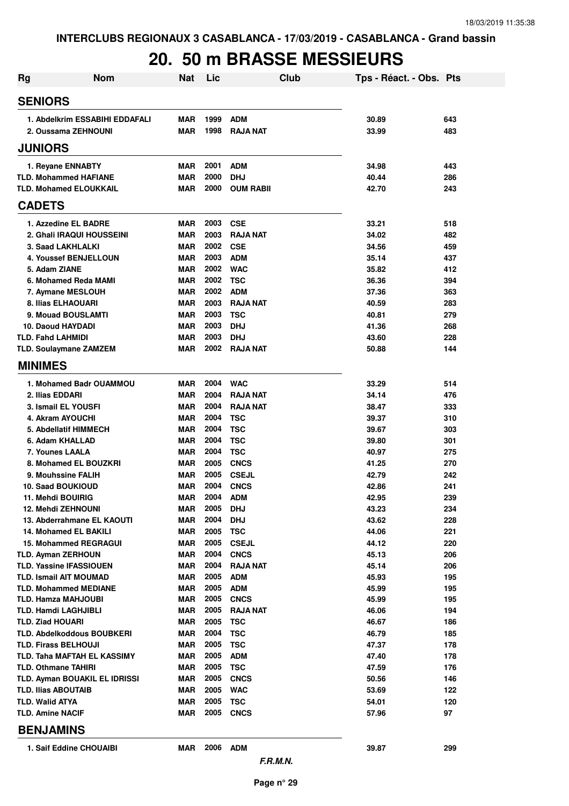### **20. 50 m BRASSE MESSIEURS**

| <b>Rg</b><br><b>Nom</b>                                | <b>Nat</b>               | Lic          | Club                          | Tps - Réact. - Obs. Pts |            |
|--------------------------------------------------------|--------------------------|--------------|-------------------------------|-------------------------|------------|
| <b>SENIORS</b>                                         |                          |              |                               |                         |            |
| 1. Abdelkrim ESSABIHI EDDAFALI                         | <b>MAR</b>               | 1999         | <b>ADM</b>                    | 30.89                   | 643        |
| 2. Oussama ZEHNOUNI                                    | <b>MAR</b>               | 1998         | <b>RAJA NAT</b>               | 33.99                   | 483        |
| <b>JUNIORS</b>                                         |                          |              |                               |                         |            |
| 1. Reyane ENNABTY                                      | <b>MAR</b>               | 2001         | <b>ADM</b>                    | 34.98                   | 443        |
| <b>TLD. Mohammed HAFIANE</b>                           | <b>MAR</b>               | 2000         | <b>DHJ</b>                    | 40.44                   | 286        |
| <b>TLD. Mohamed ELOUKKAIL</b>                          | <b>MAR</b>               | 2000         | <b>OUM RABII</b>              | 42.70                   | 243        |
| <b>CADETS</b>                                          |                          |              |                               |                         |            |
| 1. Azzedine EL BADRE                                   | <b>MAR</b>               | 2003         | <b>CSE</b>                    | 33.21                   | 518        |
| 2. Ghali IRAQUI HOUSSEINI                              | <b>MAR</b>               | 2003         | <b>RAJA NAT</b>               | 34.02                   | 482        |
| 3. Saad LAKHLALKI                                      | <b>MAR</b>               | 2002         | <b>CSE</b>                    | 34.56                   | 459        |
| <b>4. Youssef BENJELLOUN</b><br>5. Adam ZIANE          | <b>MAR</b><br><b>MAR</b> | 2003<br>2002 | <b>ADM</b><br><b>WAC</b>      | 35.14<br>35.82          | 437<br>412 |
| 6. Mohamed Reda MAMI                                   | <b>MAR</b>               | 2002         | <b>TSC</b>                    | 36.36                   | 394        |
| 7. Aymane MESLOUH                                      | <b>MAR</b>               | 2002         | <b>ADM</b>                    | 37.36                   | 363        |
| 8. Ilias ELHAOUARI                                     | <b>MAR</b>               | 2003         | <b>RAJA NAT</b>               | 40.59                   | 283        |
| 9. Mouad BOUSLAMTI                                     | <b>MAR</b>               | 2003         | <b>TSC</b>                    | 40.81                   | 279        |
| 10. Daoud HAYDADI                                      | <b>MAR</b>               | 2003         | <b>DHJ</b>                    | 41.36                   | 268        |
| <b>TLD. Fahd LAHMIDI</b>                               | <b>MAR</b>               | 2003         | <b>DHJ</b>                    | 43.60                   | 228        |
| <b>TLD. Soulaymane ZAMZEM</b>                          | <b>MAR</b>               | 2002         | <b>RAJA NAT</b>               | 50.88                   | 144        |
| <b>MINIMES</b>                                         |                          |              |                               |                         |            |
| 1. Mohamed Badr OUAMMOU                                | <b>MAR</b>               | 2004         | <b>WAC</b>                    | 33.29                   | 514        |
| 2. Ilias EDDARI                                        | <b>MAR</b>               | 2004         | <b>RAJA NAT</b>               | 34.14                   | 476        |
| 3. Ismail EL YOUSFI                                    | <b>MAR</b>               | 2004         | <b>RAJA NAT</b>               | 38.47                   | 333        |
| 4. Akram AYOUCHI                                       | <b>MAR</b>               | 2004         | <b>TSC</b>                    | 39.37                   | 310        |
| 5. Abdellatif HIMMECH                                  | <b>MAR</b>               | 2004         | <b>TSC</b>                    | 39.67                   | 303        |
| 6. Adam KHALLAD                                        | <b>MAR</b>               | 2004         | <b>TSC</b>                    | 39.80                   | 301        |
| 7. Younes LAALA                                        | <b>MAR</b>               | 2004         | <b>TSC</b>                    | 40.97                   | 275        |
| 8. Mohamed EL BOUZKRI                                  | <b>MAR</b>               | 2005         | <b>CNCS</b>                   | 41.25                   | 270        |
| 9. Mouhssine FALIH<br>10. Saad BOUKIOUD                | <b>MAR</b><br><b>MAR</b> | 2005<br>2004 | <b>CSEJL</b><br><b>CNCS</b>   | 42.79<br>42.86          | 242<br>241 |
| 11. Mehdi BOUIRIG                                      | <b>MAR</b>               | 2004         | ADM                           | 42.95                   | 239        |
| <b>12. Mehdi ZEHNOUNI</b>                              | MAR                      | 2005         | <b>DHJ</b>                    | 43.23                   | 234        |
| 13. Abderrahmane EL KAOUTI                             | <b>MAR</b>               | 2004         | <b>DHJ</b>                    | 43.62                   | 228        |
| 14. Mohamed EL BAKILI                                  | <b>MAR</b>               | 2005         | <b>TSC</b>                    | 44.06                   | 221        |
| <b>15. Mohammed REGRAGUI</b>                           | <b>MAR</b>               | 2005         | <b>CSEJL</b>                  | 44.12                   | 220        |
| <b>TLD. Ayman ZERHOUN</b>                              | <b>MAR</b>               | 2004         | <b>CNCS</b>                   | 45.13                   | 206        |
| <b>TLD. Yassine IFASSIOUEN</b>                         | <b>MAR</b>               | 2004         | <b>RAJA NAT</b>               | 45.14                   | 206        |
| <b>TLD. Ismail AIT MOUMAD</b>                          | <b>MAR</b>               | 2005         | <b>ADM</b>                    | 45.93                   | 195        |
| <b>TLD. Mohammed MEDIANE</b>                           | <b>MAR</b>               | 2005         | <b>ADM</b>                    | 45.99                   | 195        |
| TLD. Hamza MAHJOUBI                                    | <b>MAR</b>               | 2005<br>2005 | <b>CNCS</b>                   | 45.99                   | 195        |
| <b>TLD. Hamdi LAGHJIBLI</b><br><b>TLD. Ziad HOUARI</b> | <b>MAR</b><br>MAR        | 2005         | <b>RAJA NAT</b><br><b>TSC</b> | 46.06<br>46.67          | 194<br>186 |
| <b>TLD. Abdelkoddous BOUBKERI</b>                      | MAR                      | 2004         | <b>TSC</b>                    | 46.79                   | 185        |
| <b>TLD. Firass BELHOUJI</b>                            | MAR                      | 2005         | <b>TSC</b>                    | 47.37                   | 178        |
| TLD. Taha MAFTAH EL KASSIMY                            | MAR                      | 2005         | <b>ADM</b>                    | 47.40                   | 178        |
| <b>TLD. Othmane TAHIRI</b>                             | MAR                      | 2005         | <b>TSC</b>                    | 47.59                   | 176        |
| TLD. Ayman BOUAKIL EL IDRISSI                          | MAR                      | 2005         | <b>CNCS</b>                   | 50.56                   | 146        |
| <b>TLD. Ilias ABOUTAIB</b>                             | MAR                      | 2005         | <b>WAC</b>                    | 53.69                   | 122        |
| <b>TLD. Walid ATYA</b>                                 | MAR                      | 2005         | <b>TSC</b>                    | 54.01                   | 120        |
| <b>TLD. Amine NACIF</b>                                | MAR                      | 2005         | <b>CNCS</b>                   | 57.96                   | 97         |
| <b>BENJAMINS</b>                                       |                          |              |                               |                         |            |
| 1. Saif Eddine CHOUAIBI                                | MAR                      | 2006         | <b>ADM</b><br>F.R.M.N.        | 39.87                   | 299        |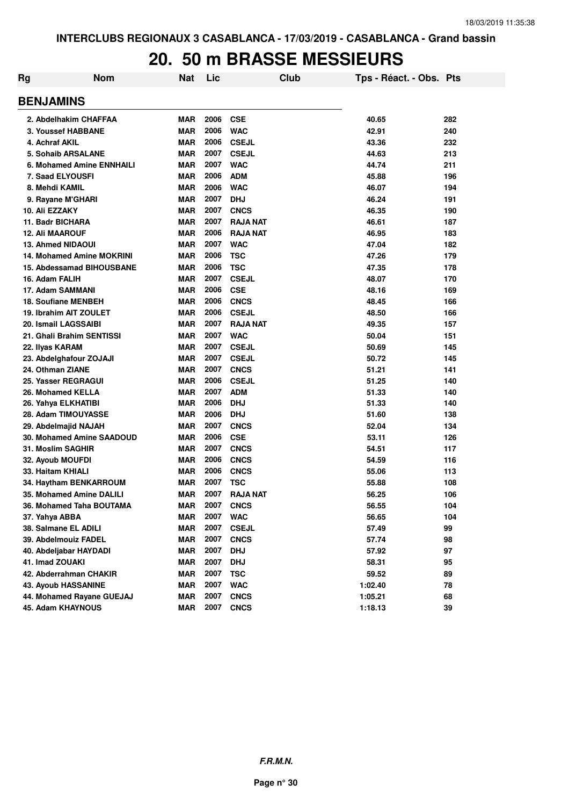# **20. 50 m BRASSE MESSIEURS**

| Rg | <b>Nom</b>                       | <b>Nat</b> | Lic  | Club            | Tps - Réact. - Obs. Pts |     |
|----|----------------------------------|------------|------|-----------------|-------------------------|-----|
|    | <b>BENJAMINS</b>                 |            |      |                 |                         |     |
|    | 2. Abdelhakim CHAFFAA            | <b>MAR</b> | 2006 | <b>CSE</b>      | 40.65                   | 282 |
|    | 3. Youssef HABBANE               | <b>MAR</b> | 2006 | <b>WAC</b>      | 42.91                   | 240 |
|    | 4. Achraf AKIL                   | <b>MAR</b> | 2006 | <b>CSEJL</b>    | 43.36                   | 232 |
|    | <b>5. Sohaib ARSALANE</b>        | <b>MAR</b> | 2007 | <b>CSEJL</b>    | 44.63                   | 213 |
|    | 6. Mohamed Amine ENNHAILI        | <b>MAR</b> | 2007 | <b>WAC</b>      | 44.74                   | 211 |
|    | 7. Saad ELYOUSFI                 | <b>MAR</b> | 2006 | <b>ADM</b>      | 45.88                   | 196 |
|    | 8. Mehdi KAMIL                   | <b>MAR</b> | 2006 | <b>WAC</b>      | 46.07                   | 194 |
|    | 9. Rayane M'GHARI                | <b>MAR</b> | 2007 | <b>DHJ</b>      | 46.24                   | 191 |
|    | 10. Ali EZZAKY                   | <b>MAR</b> | 2007 | <b>CNCS</b>     | 46.35                   | 190 |
|    | 11. Badr BICHARA                 | <b>MAR</b> | 2007 | <b>RAJA NAT</b> | 46.61                   | 187 |
|    | <b>12. Ali MAAROUF</b>           | <b>MAR</b> | 2006 | <b>RAJA NAT</b> | 46.95                   | 183 |
|    | <b>13. Ahmed NIDAOUI</b>         | <b>MAR</b> | 2007 | <b>WAC</b>      | 47.04                   | 182 |
|    | <b>14. Mohamed Amine MOKRINI</b> | <b>MAR</b> | 2006 | <b>TSC</b>      | 47.26                   | 179 |
|    | 15. Abdessamad BIHOUSBANE        | <b>MAR</b> | 2006 | <b>TSC</b>      | 47.35                   | 178 |
|    | 16. Adam FALIH                   | <b>MAR</b> | 2007 | <b>CSEJL</b>    | 48.07                   | 170 |
|    | 17. Adam SAMMANI                 | <b>MAR</b> | 2006 | <b>CSE</b>      | 48.16                   | 169 |
|    | <b>18. Soufiane MENBEH</b>       | <b>MAR</b> | 2006 | <b>CNCS</b>     | 48.45                   | 166 |
|    | 19. Ibrahim AIT ZOULET           | <b>MAR</b> | 2006 | <b>CSEJL</b>    | 48.50                   | 166 |
|    | 20. Ismail LAGSSAIBI             | <b>MAR</b> | 2007 | <b>RAJA NAT</b> | 49.35                   | 157 |
|    | 21. Ghali Brahim SENTISSI        | <b>MAR</b> | 2007 | <b>WAC</b>      | 50.04                   | 151 |
|    | 22. Ilyas KARAM                  | <b>MAR</b> | 2007 | <b>CSEJL</b>    | 50.69                   | 145 |
|    | 23. Abdelghafour ZOJAJI          | <b>MAR</b> | 2007 | <b>CSEJL</b>    | 50.72                   | 145 |
|    | 24. Othman ZIANE                 | <b>MAR</b> | 2007 | <b>CNCS</b>     | 51.21                   | 141 |
|    | 25. Yasser REGRAGUI              | <b>MAR</b> | 2006 | <b>CSEJL</b>    | 51.25                   | 140 |
|    | 26. Mohamed KELLA                | <b>MAR</b> | 2007 | <b>ADM</b>      | 51.33                   | 140 |
|    | 26. Yahya ELKHATIBI              | <b>MAR</b> | 2006 | <b>DHJ</b>      | 51.33                   | 140 |
|    | 28. Adam TIMOUYASSE              | <b>MAR</b> | 2006 | <b>DHJ</b>      | 51.60                   | 138 |
|    | 29. Abdelmajid NAJAH             | <b>MAR</b> | 2007 | <b>CNCS</b>     | 52.04                   | 134 |
|    | 30. Mohamed Amine SAADOUD        | <b>MAR</b> | 2006 | <b>CSE</b>      | 53.11                   | 126 |
|    | 31. Moslim SAGHIR                | <b>MAR</b> | 2007 | <b>CNCS</b>     | 54.51                   | 117 |
|    | 32. Ayoub MOUFDI                 | <b>MAR</b> | 2006 | <b>CNCS</b>     | 54.59                   | 116 |
|    | 33. Haitam KHIALI                | <b>MAR</b> | 2006 | <b>CNCS</b>     | 55.06                   | 113 |
|    | 34. Haytham BENKARROUM           | <b>MAR</b> | 2007 | <b>TSC</b>      | 55.88                   | 108 |
|    | 35. Mohamed Amine DALILI         | <b>MAR</b> | 2007 | <b>RAJA NAT</b> | 56.25                   | 106 |
|    | 36. Mohamed Taha BOUTAMA         | <b>MAR</b> | 2007 | <b>CNCS</b>     | 56.55                   | 104 |
|    | 37. Yahya ABBA                   | <b>MAR</b> | 2007 | <b>WAC</b>      | 56.65                   | 104 |
|    | 38. Salmane EL ADILI             | <b>MAR</b> | 2007 | <b>CSEJL</b>    | 57.49                   | 99  |
|    | 39. Abdelmouiz FADEL             | <b>MAR</b> | 2007 | <b>CNCS</b>     | 57.74                   | 98  |
|    | 40. Abdeljabar HAYDADI           | <b>MAR</b> | 2007 | <b>DHJ</b>      | 57.92                   | 97  |
|    | 41. Imad ZOUAKI                  | <b>MAR</b> | 2007 | <b>DHJ</b>      | 58.31                   | 95  |
|    | 42. Abderrahman CHAKIR           | <b>MAR</b> | 2007 | <b>TSC</b>      | 59.52                   | 89  |
|    | <b>43. Ayoub HASSANINE</b>       | <b>MAR</b> | 2007 | <b>WAC</b>      | 1:02.40                 | 78  |
|    | 44. Mohamed Rayane GUEJAJ        | <b>MAR</b> | 2007 | <b>CNCS</b>     | 1:05.21                 | 68  |
|    | 45. Adam KHAYNOUS                | <b>MAR</b> | 2007 | <b>CNCS</b>     | 1:18.13                 | 39  |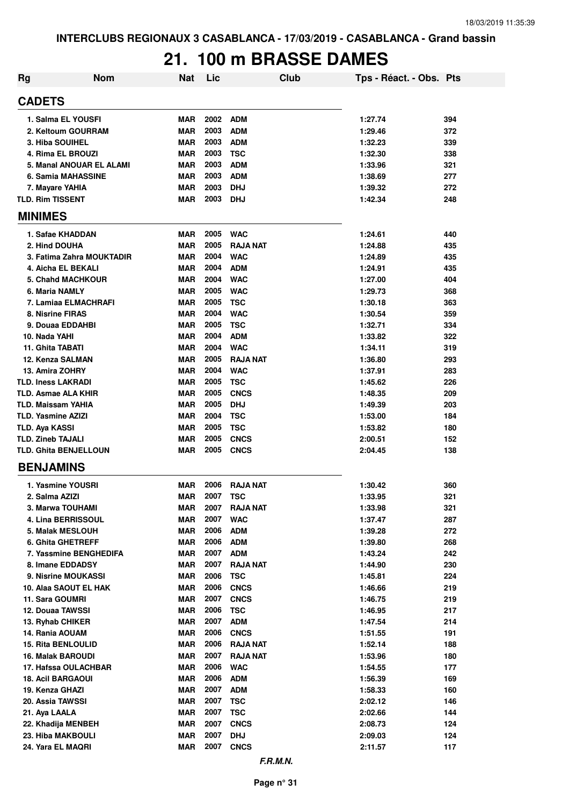## **21. 100 m BRASSE DAMES**

| Rg                           | <b>Nom</b> | Nat        | Lic  |                 | Club | Tps - Réact. - Obs. Pts |     |
|------------------------------|------------|------------|------|-----------------|------|-------------------------|-----|
| <b>CADETS</b>                |            |            |      |                 |      |                         |     |
| 1. Salma EL YOUSFI           |            | <b>MAR</b> | 2002 | <b>ADM</b>      |      | 1:27.74                 | 394 |
| 2. Keltoum GOURRAM           |            | MAR        | 2003 | <b>ADM</b>      |      | 1:29.46                 | 372 |
| 3. Hiba SOUIHEL              |            | MAR        | 2003 | <b>ADM</b>      |      | 1:32.23                 | 339 |
| 4. Rima EL BROUZI            |            | MAR        | 2003 | <b>TSC</b>      |      | 1:32.30                 | 338 |
| 5. Manal ANOUAR EL ALAMI     |            | <b>MAR</b> | 2003 | <b>ADM</b>      |      | 1:33.96                 | 321 |
| 6. Samia MAHASSINE           |            | <b>MAR</b> | 2003 | <b>ADM</b>      |      | 1:38.69                 | 277 |
| 7. Mayare YAHIA              |            | <b>MAR</b> | 2003 | <b>DHJ</b>      |      | 1:39.32                 | 272 |
| <b>TLD. Rim TISSENT</b>      |            | <b>MAR</b> | 2003 | <b>DHJ</b>      |      | 1:42.34                 | 248 |
| <b>MINIMES</b>               |            |            |      |                 |      |                         |     |
| 1. Safae KHADDAN             |            | <b>MAR</b> | 2005 | <b>WAC</b>      |      | 1:24.61                 | 440 |
| 2. Hind DOUHA                |            | <b>MAR</b> | 2005 | <b>RAJA NAT</b> |      | 1:24.88                 | 435 |
| 3. Fatima Zahra MOUKTADIR    |            | MAR        | 2004 | <b>WAC</b>      |      | 1:24.89                 | 435 |
| 4. Aicha EL BEKALI           |            | <b>MAR</b> | 2004 | <b>ADM</b>      |      | 1:24.91                 | 435 |
| <b>5. Chahd MACHKOUR</b>     |            | <b>MAR</b> | 2004 | <b>WAC</b>      |      | 1:27.00                 | 404 |
| 6. Maria NAMLY               |            | <b>MAR</b> | 2005 | <b>WAC</b>      |      | 1:29.73                 | 368 |
| 7. Lamiaa ELMACHRAFI         |            | <b>MAR</b> | 2005 | <b>TSC</b>      |      | 1:30.18                 | 363 |
| 8. Nisrine FIRAS             |            | <b>MAR</b> | 2004 | <b>WAC</b>      |      | 1:30.54                 | 359 |
| 9. Douaa EDDAHBI             |            | MAR        | 2005 | <b>TSC</b>      |      | 1:32.71                 | 334 |
| 10. Nada YAHI                |            | <b>MAR</b> | 2004 | <b>ADM</b>      |      | 1:33.82                 | 322 |
| 11. Ghita TABATI             |            | <b>MAR</b> | 2004 | <b>WAC</b>      |      | 1:34.11                 | 319 |
| 12. Kenza SALMAN             |            | <b>MAR</b> | 2005 | <b>RAJA NAT</b> |      | 1:36.80                 | 293 |
| 13. Amira ZOHRY              |            | <b>MAR</b> | 2004 | <b>WAC</b>      |      | 1:37.91                 | 283 |
| <b>TLD. Iness LAKRADI</b>    |            | <b>MAR</b> | 2005 | <b>TSC</b>      |      | 1:45.62                 | 226 |
| <b>TLD. Asmae ALA KHIR</b>   |            | <b>MAR</b> | 2005 | <b>CNCS</b>     |      | 1:48.35                 | 209 |
| <b>TLD. Maissam YAHIA</b>    |            | <b>MAR</b> | 2005 | <b>DHJ</b>      |      | 1:49.39                 | 203 |
| <b>TLD. Yasmine AZIZI</b>    |            | <b>MAR</b> | 2004 | <b>TSC</b>      |      | 1:53.00                 | 184 |
| <b>TLD. Aya KASSI</b>        |            | <b>MAR</b> | 2005 | <b>TSC</b>      |      | 1:53.82                 | 180 |
| <b>TLD. Zineb TAJALI</b>     |            | <b>MAR</b> | 2005 | <b>CNCS</b>     |      | 2:00.51                 | 152 |
| <b>TLD. Ghita BENJELLOUN</b> |            | <b>MAR</b> | 2005 | <b>CNCS</b>     |      | 2:04.45                 | 138 |
| <b>BENJAMINS</b>             |            |            |      |                 |      |                         |     |
| 1. Yasmine YOUSRI            |            | MAR        | 2006 | <b>RAJA NAT</b> |      | 1:30.42                 | 360 |
| 2. Salma AZIZI               |            | <b>MAR</b> | 2007 | <b>TSC</b>      |      | 1:33.95                 | 321 |
| 3. Marwa TOUHAMI             |            | <b>MAR</b> | 2007 | <b>RAJA NAT</b> |      | 1:33.98                 | 321 |
| 4. Lina BERRISSOUL           |            | <b>MAR</b> | 2007 | <b>WAC</b>      |      | 1:37.47                 | 287 |
| 5. Malak MESLOUH             |            | <b>MAR</b> | 2006 | <b>ADM</b>      |      | 1:39.28                 | 272 |
| <b>6. Ghita GHETREFF</b>     |            | MAR        | 2006 | <b>ADM</b>      |      | 1:39.80                 | 268 |
| 7. Yassmine BENGHEDIFA       |            | <b>MAR</b> | 2007 | <b>ADM</b>      |      | 1:43.24                 | 242 |
| 8. Imane EDDADSY             |            | <b>MAR</b> | 2007 | <b>RAJA NAT</b> |      | 1:44.90                 | 230 |
| 9. Nisrine MOUKASSI          |            | <b>MAR</b> | 2006 | <b>TSC</b>      |      | 1:45.81                 | 224 |
| 10. Alaa SAOUT EL HAK        |            | <b>MAR</b> | 2006 | <b>CNCS</b>     |      | 1:46.66                 | 219 |
| 11. Sara GOUMRI              |            | <b>MAR</b> | 2007 | <b>CNCS</b>     |      | 1:46.75                 | 219 |
| 12. Douaa TAWSSI             |            | <b>MAR</b> | 2006 | <b>TSC</b>      |      | 1:46.95                 | 217 |
| 13. Ryhab CHIKER             |            | <b>MAR</b> | 2007 | <b>ADM</b>      |      | 1:47.54                 | 214 |
| 14. Rania AOUAM              |            | <b>MAR</b> | 2006 | <b>CNCS</b>     |      | 1:51.55                 | 191 |
| <b>15. Rita BENLOULID</b>    |            | <b>MAR</b> | 2006 | <b>RAJA NAT</b> |      | 1:52.14                 | 188 |
| <b>16. Malak BAROUDI</b>     |            | <b>MAR</b> | 2007 | <b>RAJA NAT</b> |      | 1:53.96                 | 180 |
| 17. Hafssa OULACHBAR         |            | <b>MAR</b> | 2006 | <b>WAC</b>      |      | 1:54.55                 | 177 |
| <b>18. Acil BARGAOUI</b>     |            | <b>MAR</b> | 2006 | <b>ADM</b>      |      | 1:56.39                 | 169 |
| 19. Kenza GHAZI              |            | <b>MAR</b> | 2007 | <b>ADM</b>      |      | 1:58.33                 | 160 |
| 20. Assia TAWSSI             |            | <b>MAR</b> | 2007 | <b>TSC</b>      |      | 2:02.12                 | 146 |
| 21. Aya LAALA                |            | <b>MAR</b> | 2007 | <b>TSC</b>      |      | 2:02.66                 | 144 |
| 22. Khadija MENBEH           |            | <b>MAR</b> | 2007 | <b>CNCS</b>     |      | 2:08.73                 | 124 |
| 23. Hiba MAKBOULI            |            | <b>MAR</b> | 2007 | <b>DHJ</b>      |      | 2:09.03                 | 124 |
| 24. Yara EL MAQRI            |            | <b>MAR</b> | 2007 | <b>CNCS</b>     |      | 2:11.57                 | 117 |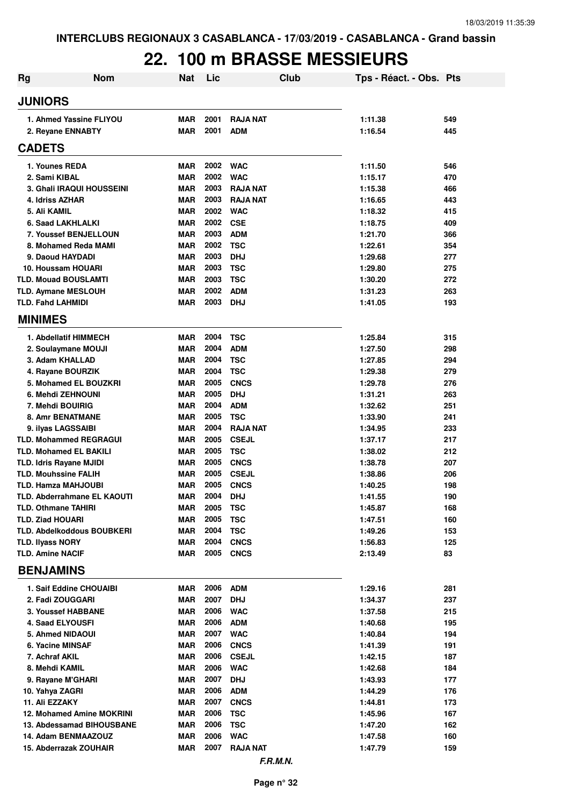# **22. 100 m BRASSE MESSIEURS**

| <b>Rg</b>                                          | <b>Nom</b>                                   | <b>Nat</b>               | Lic          | Club                       | Tps - Réact. - Obs. Pts |            |
|----------------------------------------------------|----------------------------------------------|--------------------------|--------------|----------------------------|-------------------------|------------|
| <b>JUNIORS</b>                                     |                                              |                          |              |                            |                         |            |
|                                                    | 1. Ahmed Yassine FLIYOU                      | <b>MAR</b>               | 2001         | <b>RAJA NAT</b>            | 1:11.38                 | 549        |
|                                                    | 2. Reyane ENNABTY                            | <b>MAR</b>               | 2001         | <b>ADM</b>                 | 1:16.54                 | 445        |
| <b>CADETS</b>                                      |                                              |                          |              |                            |                         |            |
| 1. Younes REDA                                     |                                              | <b>MAR</b>               | 2002         | <b>WAC</b>                 | 1:11.50                 | 546        |
| 2. Sami KIBAL                                      |                                              | <b>MAR</b>               | 2002         | <b>WAC</b>                 | 1:15.17                 | 470        |
|                                                    | <b>3. Ghali IRAQUI HOUSSEINI</b>             | <b>MAR</b>               | 2003         | <b>RAJA NAT</b>            | 1:15.38                 | 466        |
| 4. Idriss AZHAR                                    |                                              | <b>MAR</b>               | 2003         | <b>RAJA NAT</b>            | 1:16.65                 | 443        |
| 5. Ali KAMIL                                       |                                              | <b>MAR</b>               | 2002         | <b>WAC</b>                 | 1:18.32                 | 415        |
|                                                    | 6. Saad LAKHLALKI                            | <b>MAR</b>               | 2002         | <b>CSE</b>                 | 1:18.75                 | 409        |
|                                                    | 7. Youssef BENJELLOUN                        | <b>MAR</b>               | 2003         | <b>ADM</b>                 | 1:21.70                 | 366        |
|                                                    | 8. Mohamed Reda MAMI                         | <b>MAR</b>               | 2002         | <b>TSC</b>                 | 1:22.61                 | 354        |
| 9. Daoud HAYDADI                                   |                                              | <b>MAR</b><br><b>MAR</b> | 2003<br>2003 | <b>DHJ</b><br><b>TSC</b>   | 1:29.68<br>1:29.80      | 277        |
| <b>TLD. Mouad BOUSLAMTI</b>                        | 10. Houssam HOUARI                           | <b>MAR</b>               | 2003         | <b>TSC</b>                 | 1:30.20                 | 275<br>272 |
| <b>TLD. Aymane MESLOUH</b>                         |                                              | <b>MAR</b>               | 2002         | <b>ADM</b>                 | 1:31.23                 | 263        |
| <b>TLD. Fahd LAHMIDI</b>                           |                                              | <b>MAR</b>               | 2003         | <b>DHJ</b>                 | 1:41.05                 | 193        |
| <b>MINIMES</b>                                     |                                              |                          |              |                            |                         |            |
|                                                    |                                              |                          |              |                            |                         |            |
|                                                    | 1. Abdellatif HIMMECH<br>2. Soulaymane MOUJI | <b>MAR</b><br><b>MAR</b> | 2004<br>2004 | <b>TSC</b><br><b>ADM</b>   | 1:25.84                 | 315        |
| 3. Adam KHALLAD                                    |                                              | <b>MAR</b>               | 2004         | <b>TSC</b>                 | 1:27.50<br>1:27.85      | 298<br>294 |
|                                                    | 4. Rayane BOURZIK                            | <b>MAR</b>               | 2004         | <b>TSC</b>                 | 1:29.38                 | 279        |
|                                                    | 5. Mohamed EL BOUZKRI                        | <b>MAR</b>               | 2005         | <b>CNCS</b>                | 1:29.78                 | 276        |
|                                                    | 6. Mehdi ZEHNOUNI                            | <b>MAR</b>               | 2005         | <b>DHJ</b>                 | 1:31.21                 | 263        |
| 7. Mehdi BOUIRIG                                   |                                              | <b>MAR</b>               | 2004         | <b>ADM</b>                 | 1:32.62                 | 251        |
|                                                    | <b>8. Amr BENATMANE</b>                      | <b>MAR</b>               | 2005         | <b>TSC</b>                 | 1:33.90                 | 241        |
| 9. ilyas LAGSSAIBI                                 |                                              | <b>MAR</b>               | 2004         | <b>RAJA NAT</b>            | 1:34.95                 | 233        |
|                                                    | <b>TLD. Mohammed REGRAGUI</b>                | <b>MAR</b>               | 2005         | <b>CSEJL</b>               | 1:37.17                 | 217        |
|                                                    | <b>TLD. Mohamed EL BAKILI</b>                | <b>MAR</b>               | 2005         | <b>TSC</b>                 | 1:38.02                 | 212        |
| <b>TLD. Idris Rayane MJIDI</b>                     |                                              | <b>MAR</b>               | 2005         | <b>CNCS</b>                | 1:38.78                 | 207        |
| <b>TLD. Mouhssine FALIH</b>                        |                                              | <b>MAR</b>               | 2005         | <b>CSEJL</b>               | 1:38.86                 | 206        |
| <b>TLD. Hamza MAHJOUBI</b>                         |                                              | <b>MAR</b>               | 2005         | <b>CNCS</b>                | 1:40.25                 | 198        |
|                                                    | TLD. Abderrahmane EL KAOUTI                  | <b>MAR</b>               | 2004         | <b>DHJ</b>                 | 1:41.55                 | 190        |
| <b>TLD. Othmane TAHIRI</b>                         |                                              | <b>MAR</b>               | 2005         | <b>TSC</b>                 | 1:45.87                 | 168        |
| <b>TLD. Ziad HOUARI</b>                            |                                              | <b>MAR</b>               | 2005         | <b>TSC</b>                 | 1:47.51                 | 160        |
|                                                    | TLD. Abdelkoddous BOUBKERI                   | <b>MAR</b>               | 2004         | <b>TSC</b>                 | 1:49.26                 | 153        |
| <b>TLD. IIvass NORY</b><br><b>TLD. Amine NACIF</b> |                                              | <b>MAR</b><br><b>MAR</b> | 2004<br>2005 | <b>CNCS</b><br><b>CNCS</b> | 1:56.83<br>2:13.49      | 125<br>83  |
| <b>BENJAMINS</b>                                   |                                              |                          |              |                            |                         |            |
|                                                    | 1. Saif Eddine CHOUAIBI                      | <b>MAR</b>               | 2006         | <b>ADM</b>                 | 1:29.16                 | 281        |
| 2. Fadi ZOUGGARI                                   |                                              | <b>MAR</b>               | 2007         | <b>DHJ</b>                 | 1:34.37                 | 237        |
|                                                    | 3. Youssef HABBANE                           | <b>MAR</b>               | 2006         | <b>WAC</b>                 | 1:37.58                 | 215        |
| 4. Saad ELYOUSFI                                   |                                              | <b>MAR</b>               | 2006         | <b>ADM</b>                 | 1:40.68                 | 195        |
| 5. Ahmed NIDAOUI                                   |                                              | <b>MAR</b>               | 2007         | <b>WAC</b>                 | 1:40.84                 | 194        |
| 6. Yacine MINSAF                                   |                                              | <b>MAR</b>               | 2006         | <b>CNCS</b>                | 1:41.39                 | 191        |
| 7. Achraf AKIL                                     |                                              | <b>MAR</b>               | 2006         | <b>CSEJL</b>               | 1:42.15                 | 187        |
| 8. Mehdi KAMIL                                     |                                              | <b>MAR</b>               | 2006         | <b>WAC</b>                 | 1:42.68                 | 184        |
| 9. Rayane M'GHARI                                  |                                              | <b>MAR</b>               | 2007         | <b>DHJ</b>                 | 1:43.93                 | 177        |
| 10. Yahya ZAGRI                                    |                                              | <b>MAR</b>               | 2006         | <b>ADM</b>                 | 1:44.29                 | 176        |
| 11. Ali EZZAKY                                     |                                              | <b>MAR</b>               | 2007         | <b>CNCS</b>                | 1:44.81                 | 173        |
|                                                    | 12. Mohamed Amine MOKRINI                    | <b>MAR</b>               | 2006         | <b>TSC</b>                 | 1:45.96                 | 167        |
|                                                    | 13. Abdessamad BIHOUSBANE                    | <b>MAR</b>               | 2006         | <b>TSC</b>                 | 1:47.20                 | 162        |
|                                                    | 14. Adam BENMAAZOUZ                          | <b>MAR</b>               | 2006         | <b>WAC</b>                 | 1:47.58                 | 160        |
|                                                    | 15. Abderrazak ZOUHAIR                       | <b>MAR</b>               | 2007         | <b>RAJA NAT</b>            | 1:47.79                 | 159        |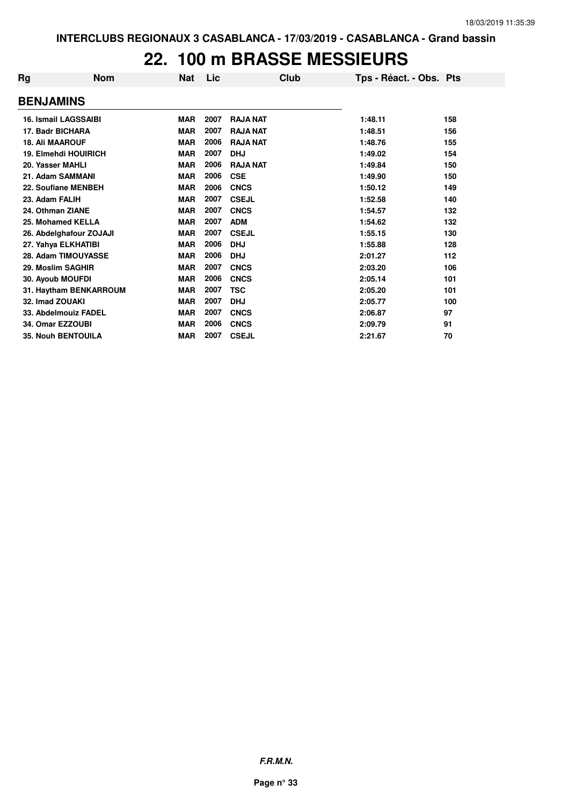### **22. 100 m BRASSE MESSIEURS**

| Rg                          | <b>Nom</b> | <b>Nat</b> | Lic  |                 | Club | Tps - Réact. - Obs. Pts |     |
|-----------------------------|------------|------------|------|-----------------|------|-------------------------|-----|
| <b>BENJAMINS</b>            |            |            |      |                 |      |                         |     |
| <b>16. Ismail LAGSSAIBI</b> |            | <b>MAR</b> | 2007 | <b>RAJA NAT</b> |      | 1:48.11                 | 158 |
| 17. Badr BICHARA            |            | <b>MAR</b> | 2007 | <b>RAJA NAT</b> |      | 1:48.51                 | 156 |
| <b>18. Ali MAAROUF</b>      |            | <b>MAR</b> | 2006 | <b>RAJA NAT</b> |      | 1:48.76                 | 155 |
| 19. Elmehdi HOUIRICH        |            | <b>MAR</b> | 2007 | <b>DHJ</b>      |      | 1:49.02                 | 154 |
| 20. Yasser MAHLI            |            | <b>MAR</b> | 2006 | <b>RAJA NAT</b> |      | 1:49.84                 | 150 |
| 21. Adam SAMMANI            |            | <b>MAR</b> | 2006 | <b>CSE</b>      |      | 1:49.90                 | 150 |
| 22. Soufiane MENBEH         |            | <b>MAR</b> | 2006 | <b>CNCS</b>     |      | 1:50.12                 | 149 |
| 23. Adam FALIH              |            | <b>MAR</b> | 2007 | <b>CSEJL</b>    |      | 1:52.58                 | 140 |
| 24. Othman ZIANE            |            | <b>MAR</b> | 2007 | <b>CNCS</b>     |      | 1:54.57                 | 132 |
| 25. Mohamed KELLA           |            | <b>MAR</b> | 2007 | <b>ADM</b>      |      | 1:54.62                 | 132 |
| 26. Abdelghafour ZOJAJI     |            | <b>MAR</b> | 2007 | <b>CSEJL</b>    |      | 1:55.15                 | 130 |
| 27. Yahya ELKHATIBI         |            | <b>MAR</b> | 2006 | <b>DHJ</b>      |      | 1:55.88                 | 128 |
| 28. Adam TIMOUYASSE         |            | <b>MAR</b> | 2006 | <b>DHJ</b>      |      | 2:01.27                 | 112 |
| 29. Moslim SAGHIR           |            | <b>MAR</b> | 2007 | <b>CNCS</b>     |      | 2:03.20                 | 106 |
| 30. Ayoub MOUFDI            |            | <b>MAR</b> | 2006 | <b>CNCS</b>     |      | 2:05.14                 | 101 |
| 31. Haytham BENKARROUM      |            | <b>MAR</b> | 2007 | <b>TSC</b>      |      | 2:05.20                 | 101 |
| 32. Imad ZOUAKI             |            | <b>MAR</b> | 2007 | <b>DHJ</b>      |      | 2:05.77                 | 100 |
| 33. Abdelmouiz FADEL        |            | <b>MAR</b> | 2007 | <b>CNCS</b>     |      | 2:06.87                 | 97  |
| 34. Omar EZZOUBI            |            | <b>MAR</b> | 2006 | <b>CNCS</b>     |      | 2:09.79                 | 91  |
| <b>35. Nouh BENTOUILA</b>   |            | <b>MAR</b> | 2007 | <b>CSEJL</b>    |      | 2:21.67                 | 70  |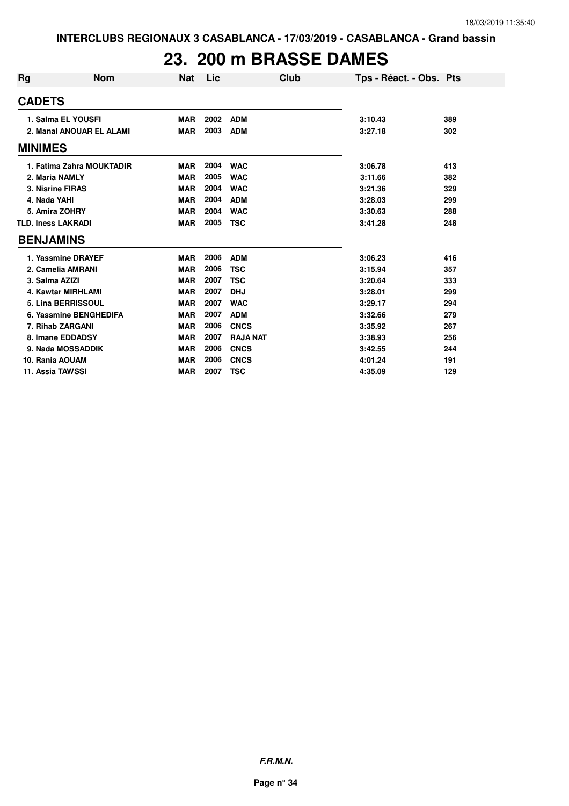## **23. 200 m BRASSE DAMES**

| <b>Rg</b>                 | <b>Nom</b>                | <b>Nat</b> | Lic  | Club            | Tps - Réact. - Obs. Pts |     |
|---------------------------|---------------------------|------------|------|-----------------|-------------------------|-----|
| <b>CADETS</b>             |                           |            |      |                 |                         |     |
|                           | 1. Salma EL YOUSFI        | <b>MAR</b> | 2002 | <b>ADM</b>      | 3:10.43                 | 389 |
|                           | 2. Manal ANOUAR EL ALAMI  | <b>MAR</b> | 2003 | <b>ADM</b>      | 3:27.18                 | 302 |
| <b>MINIMES</b>            |                           |            |      |                 |                         |     |
|                           | 1. Fatima Zahra MOUKTADIR | <b>MAR</b> | 2004 | <b>WAC</b>      | 3:06.78                 | 413 |
| 2. Maria NAMLY            |                           | <b>MAR</b> | 2005 | <b>WAC</b>      | 3:11.66                 | 382 |
| 3. Nisrine FIRAS          |                           | <b>MAR</b> | 2004 | <b>WAC</b>      | 3:21.36                 | 329 |
| 4. Nada YAHI              |                           | <b>MAR</b> | 2004 | <b>ADM</b>      | 3:28.03                 | 299 |
| 5. Amira ZOHRY            |                           | <b>MAR</b> | 2004 | <b>WAC</b>      | 3:30.63                 | 288 |
| <b>TLD. Iness LAKRADI</b> |                           | <b>MAR</b> | 2005 | <b>TSC</b>      | 3:41.28                 | 248 |
| <b>BENJAMINS</b>          |                           |            |      |                 |                         |     |
|                           | 1. Yassmine DRAYEF        | <b>MAR</b> | 2006 | <b>ADM</b>      | 3:06.23                 | 416 |
|                           | 2. Camelia AMRANI         | <b>MAR</b> | 2006 | <b>TSC</b>      | 3:15.94                 | 357 |
| 3. Salma AZIZI            |                           | <b>MAR</b> | 2007 | <b>TSC</b>      | 3:20.64                 | 333 |
|                           | 4. Kawtar MIRHLAMI        | <b>MAR</b> | 2007 | <b>DHJ</b>      | 3:28.01                 | 299 |
|                           | 5. Lina BERRISSOUL        | <b>MAR</b> | 2007 | <b>WAC</b>      | 3:29.17                 | 294 |
|                           | 6. Yassmine BENGHEDIFA    | <b>MAR</b> | 2007 | <b>ADM</b>      | 3:32.66                 | 279 |
| 7. Rihab ZARGANI          |                           | <b>MAR</b> | 2006 | <b>CNCS</b>     | 3:35.92                 | 267 |
|                           | 8. Imane EDDADSY          | <b>MAR</b> | 2007 | <b>RAJA NAT</b> | 3:38.93                 | 256 |
|                           | 9. Nada MOSSADDIK         | <b>MAR</b> | 2006 | <b>CNCS</b>     | 3:42.55                 | 244 |
| 10. Rania AOUAM           |                           | <b>MAR</b> | 2006 | <b>CNCS</b>     | 4:01.24                 | 191 |
| 11. Assia TAWSSI          |                           | <b>MAR</b> | 2007 | TSC             | 4:35.09                 | 129 |

**F.R.M.N.**

**Page n° 34**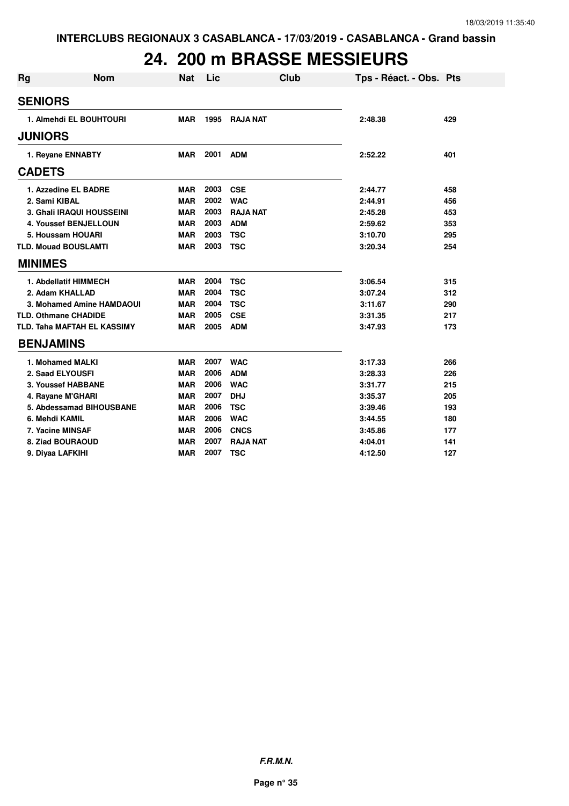# **24. 200 m BRASSE MESSIEURS**

| <b>Rg</b>                          | <b>Nom</b>                | <b>Nat</b> | Lic  | <b>Club</b>     | Tps - Réact. - Obs. Pts |     |
|------------------------------------|---------------------------|------------|------|-----------------|-------------------------|-----|
| <b>SENIORS</b>                     |                           |            |      |                 |                         |     |
| 1. Almehdi EL BOUHTOURI            |                           | <b>MAR</b> | 1995 | <b>RAJA NAT</b> | 2:48.38                 | 429 |
| <b>JUNIORS</b>                     |                           |            |      |                 |                         |     |
| 1. Reyane ENNABTY                  |                           | MAR        | 2001 | <b>ADM</b>      | 2:52.22                 | 401 |
| <b>CADETS</b>                      |                           |            |      |                 |                         |     |
| 1. Azzedine EL BADRE               |                           | <b>MAR</b> | 2003 | <b>CSE</b>      | 2:44.77                 | 458 |
| 2. Sami KIBAL                      |                           | <b>MAR</b> | 2002 | <b>WAC</b>      | 2:44.91                 | 456 |
| 3. Ghali IRAQUI HOUSSEINI          |                           | <b>MAR</b> | 2003 | <b>RAJA NAT</b> | 2:45.28                 | 453 |
| <b>4. Youssef BENJELLOUN</b>       |                           | <b>MAR</b> | 2003 | <b>ADM</b>      | 2:59.62                 | 353 |
| 5. Houssam HOUARI                  |                           | <b>MAR</b> | 2003 | <b>TSC</b>      | 3:10.70                 | 295 |
| <b>TLD. Mouad BOUSLAMTI</b>        |                           | <b>MAR</b> | 2003 | <b>TSC</b>      | 3:20.34                 | 254 |
| <b>MINIMES</b>                     |                           |            |      |                 |                         |     |
| 1. Abdellatif HIMMECH              |                           | <b>MAR</b> | 2004 | <b>TSC</b>      | 3:06.54                 | 315 |
| 2. Adam KHALLAD                    |                           | <b>MAR</b> | 2004 | <b>TSC</b>      | 3:07.24                 | 312 |
|                                    | 3. Mohamed Amine HAMDAOUI | <b>MAR</b> | 2004 | <b>TSC</b>      | 3:11.67                 | 290 |
| <b>TLD. Othmane CHADIDE</b>        |                           | <b>MAR</b> | 2005 | <b>CSE</b>      | 3:31.35                 | 217 |
| <b>TLD. Taha MAFTAH EL KASSIMY</b> |                           | <b>MAR</b> | 2005 | <b>ADM</b>      | 3:47.93                 | 173 |
| <b>BENJAMINS</b>                   |                           |            |      |                 |                         |     |
| 1. Mohamed MALKI                   |                           | <b>MAR</b> | 2007 | <b>WAC</b>      | 3:17.33                 | 266 |
| 2. Saad ELYOUSFI                   |                           | <b>MAR</b> | 2006 | <b>ADM</b>      | 3:28.33                 | 226 |
| 3. Youssef HABBANE                 |                           | <b>MAR</b> | 2006 | <b>WAC</b>      | 3:31.77                 | 215 |
| 4. Rayane M'GHARI                  |                           | <b>MAR</b> | 2007 | <b>DHJ</b>      | 3:35.37                 | 205 |
| 5. Abdessamad BIHOUSBANE           |                           | <b>MAR</b> | 2006 | <b>TSC</b>      | 3:39.46                 | 193 |
| 6. Mehdi KAMIL                     |                           | <b>MAR</b> | 2006 | <b>WAC</b>      | 3:44.55                 | 180 |
| 7. Yacine MINSAF                   |                           | <b>MAR</b> | 2006 | <b>CNCS</b>     | 3:45.86                 | 177 |
| 8. Ziad BOURAOUD                   |                           | <b>MAR</b> | 2007 | <b>RAJA NAT</b> | 4:04.01                 | 141 |
| 9. Diyaa LAFKIHI                   |                           | <b>MAR</b> | 2007 | <b>TSC</b>      | 4:12.50                 | 127 |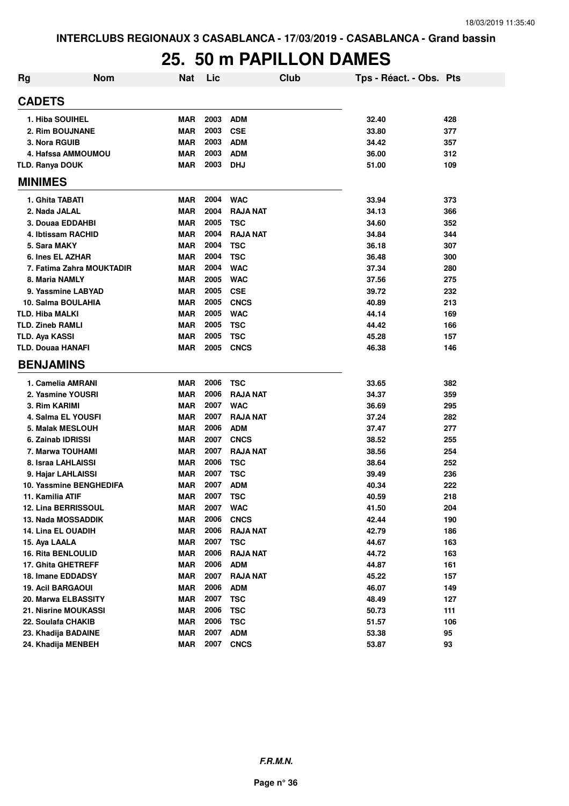### **25. 50 m PAPILLON DAMES**

| <b>Rg</b> | <b>Nom</b>                 | <b>Nat</b> | Lic  | <b>Club</b>     | Tps - Réact. - Obs. Pts |     |
|-----------|----------------------------|------------|------|-----------------|-------------------------|-----|
|           | <b>CADETS</b>              |            |      |                 |                         |     |
|           | 1. Hiba SOUIHEL            | <b>MAR</b> | 2003 | <b>ADM</b>      | 32.40                   | 428 |
|           | 2. Rim BOUJNANE            | <b>MAR</b> | 2003 | <b>CSE</b>      | 33.80                   | 377 |
|           | 3. Nora RGUIB              | <b>MAR</b> | 2003 | <b>ADM</b>      | 34.42                   | 357 |
|           | 4. Hafssa AMMOUMOU         | MAR        | 2003 | <b>ADM</b>      | 36.00                   | 312 |
|           | <b>TLD. Ranya DOUK</b>     | <b>MAR</b> | 2003 | <b>DHJ</b>      | 51.00                   | 109 |
|           | <b>MINIMES</b>             |            |      |                 |                         |     |
|           | 1. Ghita TABATI            | <b>MAR</b> | 2004 | <b>WAC</b>      | 33.94                   | 373 |
|           | 2. Nada JALAL              | <b>MAR</b> | 2004 | <b>RAJA NAT</b> | 34.13                   | 366 |
|           | 3. Douaa EDDAHBI           | <b>MAR</b> | 2005 | <b>TSC</b>      | 34.60                   | 352 |
|           | 4. Ibtissam RACHID         | <b>MAR</b> | 2004 | <b>RAJA NAT</b> | 34.84                   | 344 |
|           | 5. Sara MAKY               | <b>MAR</b> | 2004 | <b>TSC</b>      | 36.18                   | 307 |
|           | 6. Ines EL AZHAR           | <b>MAR</b> | 2004 | <b>TSC</b>      | 36.48                   | 300 |
|           | 7. Fatima Zahra MOUKTADIR  | <b>MAR</b> | 2004 | <b>WAC</b>      | 37.34                   | 280 |
|           | 8. Maria NAMLY             | <b>MAR</b> | 2005 | <b>WAC</b>      | 37.56                   | 275 |
|           | 9. Yassmine LABYAD         | <b>MAR</b> | 2005 | <b>CSE</b>      | 39.72                   | 232 |
|           | 10. Salma BOULAHIA         | <b>MAR</b> | 2005 | <b>CNCS</b>     | 40.89                   | 213 |
|           | <b>TLD. Hiba MALKI</b>     | <b>MAR</b> | 2005 | <b>WAC</b>      | 44.14                   | 169 |
|           | <b>TLD. Zineb RAMLI</b>    | <b>MAR</b> | 2005 | <b>TSC</b>      | 44.42                   | 166 |
|           | <b>TLD. Aya KASSI</b>      | <b>MAR</b> | 2005 | <b>TSC</b>      | 45.28                   | 157 |
|           | <b>TLD. Douaa HANAFI</b>   | <b>MAR</b> | 2005 | <b>CNCS</b>     | 46.38                   | 146 |
|           |                            |            |      |                 |                         |     |
|           | <b>BENJAMINS</b>           |            |      |                 |                         |     |
|           | 1. Camelia AMRANI          | <b>MAR</b> | 2006 | <b>TSC</b>      | 33.65                   | 382 |
|           | 2. Yasmine YOUSRI          | <b>MAR</b> | 2006 | <b>RAJA NAT</b> | 34.37                   | 359 |
|           | 3. Rim KARIMI              | <b>MAR</b> | 2007 | <b>WAC</b>      | 36.69                   | 295 |
|           | 4. Salma EL YOUSFI         | <b>MAR</b> | 2007 | <b>RAJA NAT</b> | 37.24                   | 282 |
|           | 5. Malak MESLOUH           | <b>MAR</b> | 2006 | <b>ADM</b>      | 37.47                   | 277 |
|           | 6. Zainab IDRISSI          | <b>MAR</b> | 2007 | <b>CNCS</b>     | 38.52                   | 255 |
|           | 7. Marwa TOUHAMI           | <b>MAR</b> | 2007 | <b>RAJA NAT</b> | 38.56                   | 254 |
|           | 8. Israa LAHLAISSI         | <b>MAR</b> | 2006 | <b>TSC</b>      | 38.64                   | 252 |
|           | 9. Hajar LAHLAISSI         | <b>MAR</b> | 2007 | <b>TSC</b>      | 39.49                   | 236 |
|           | 10. Yassmine BENGHEDIFA    | <b>MAR</b> | 2007 | <b>ADM</b>      | 40.34                   | 222 |
|           | 11. Kamilia ATIF           | <b>MAR</b> | 2007 | <b>TSC</b>      | 40.59                   | 218 |
|           | <b>12. Lina BERRISSOUL</b> | <b>MAR</b> | 2007 | <b>WAC</b>      | 41.50                   | 204 |
|           | 13. Nada MOSSADDIK         | <b>MAR</b> | 2006 | <b>CNCS</b>     | 42.44                   | 190 |
|           | <b>14. Lina EL OUADIH</b>  | <b>MAR</b> | 2006 | <b>RAJA NAT</b> | 42.79                   | 186 |
|           | 15. Aya LAALA              | <b>MAR</b> | 2007 | <b>TSC</b>      | 44.67                   | 163 |
|           | <b>16. Rita BENLOULID</b>  | <b>MAR</b> | 2006 | <b>RAJA NAT</b> | 44.72                   | 163 |
|           | 17. Ghita GHETREFF         | <b>MAR</b> | 2006 | <b>ADM</b>      | 44.87                   | 161 |
|           | 18. Imane EDDADSY          | <b>MAR</b> | 2007 | <b>RAJA NAT</b> | 45.22                   | 157 |
|           | <b>19. Acil BARGAOUI</b>   | <b>MAR</b> | 2006 | <b>ADM</b>      | 46.07                   | 149 |
|           | 20. Marwa ELBASSITY        | <b>MAR</b> | 2007 | <b>TSC</b>      | 48.49                   | 127 |
|           | 21. Nisrine MOUKASSI       | <b>MAR</b> | 2006 | <b>TSC</b>      | 50.73                   | 111 |
|           | 22. Soulafa CHAKIB         | <b>MAR</b> | 2006 | <b>TSC</b>      | 51.57                   | 106 |
|           | 23. Khadija BADAINE        | <b>MAR</b> | 2007 | <b>ADM</b>      | 53.38                   | 95  |
|           | 24. Khadija MENBEH         | <b>MAR</b> | 2007 | <b>CNCS</b>     | 53.87                   | 93  |
|           |                            |            |      |                 |                         |     |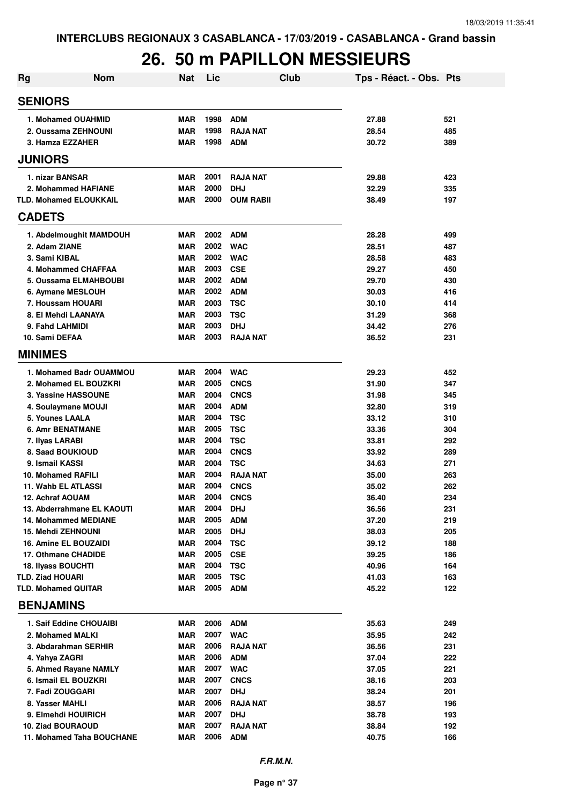# **26. 50 m PAPILLON MESSIEURS**

| Rg                         | <b>Nom</b>                                                | <b>Nat</b>               | Lic          | <b>Club</b>              | Tps - Réact. - Obs. Pts |            |
|----------------------------|-----------------------------------------------------------|--------------------------|--------------|--------------------------|-------------------------|------------|
| <b>SENIORS</b>             |                                                           |                          |              |                          |                         |            |
|                            | 1. Mohamed OUAHMID                                        | <b>MAR</b>               | 1998         | <b>ADM</b>               | 27.88                   | 521        |
|                            | 2. Oussama ZEHNOUNI                                       | <b>MAR</b>               | 1998         | <b>RAJA NAT</b>          | 28.54                   | 485        |
| 3. Hamza EZZAHER           |                                                           | <b>MAR</b>               | 1998         | <b>ADM</b>               | 30.72                   | 389        |
| <b>JUNIORS</b>             |                                                           |                          |              |                          |                         |            |
|                            |                                                           |                          |              |                          |                         |            |
| 1. nizar BANSAR            |                                                           | <b>MAR</b>               | 2001         | <b>RAJA NAT</b>          | 29.88                   | 423        |
|                            | 2. Mohammed HAFIANE                                       | <b>MAR</b>               | 2000         | <b>DHJ</b>               | 32.29                   | 335        |
|                            | <b>TLD. Mohamed ELOUKKAIL</b>                             | <b>MAR</b>               | 2000         | <b>OUM RABII</b>         | 38.49                   | 197        |
| <b>CADETS</b>              |                                                           |                          |              |                          |                         |            |
|                            | 1. Abdelmoughit MAMDOUH                                   | <b>MAR</b>               | 2002         | <b>ADM</b>               | 28.28                   | 499        |
| 2. Adam ZIANE              |                                                           | <b>MAR</b>               | 2002         | <b>WAC</b>               | 28.51                   | 487        |
| 3. Sami KIBAL              |                                                           | <b>MAR</b>               | 2002         | <b>WAC</b>               | 28.58                   | 483        |
|                            | 4. Mohammed CHAFFAA                                       | <b>MAR</b>               | 2003         | <b>CSE</b>               | 29.27                   | 450        |
|                            | 5. Oussama ELMAHBOUBI                                     | <b>MAR</b>               | 2002         | <b>ADM</b>               | 29.70                   | 430        |
| 6. Aymane MESLOUH          |                                                           | <b>MAR</b>               | 2002         | <b>ADM</b>               | 30.03                   | 416        |
| 7. Houssam HOUARI          |                                                           | <b>MAR</b>               | 2003         | <b>TSC</b>               | 30.10                   | 414        |
| 8. El Mehdi LAANAYA        |                                                           | <b>MAR</b>               | 2003         | <b>TSC</b>               | 31.29                   | 368        |
| 9. Fahd LAHMIDI            |                                                           | <b>MAR</b>               | 2003         | <b>DHJ</b>               | 34.42                   | 276        |
| 10. Sami DEFAA             |                                                           | <b>MAR</b>               | 2003         | <b>RAJA NAT</b>          | 36.52                   | 231        |
| <b>MINIMES</b>             |                                                           |                          |              |                          |                         |            |
|                            | 1. Mohamed Badr OUAMMOU                                   | <b>MAR</b>               | 2004         | <b>WAC</b>               | 29.23                   | 452        |
|                            | 2. Mohamed EL BOUZKRI                                     | <b>MAR</b>               | 2005         | <b>CNCS</b>              | 31.90                   | 347        |
|                            | 3. Yassine HASSOUNE                                       | <b>MAR</b>               | 2004         | <b>CNCS</b>              | 31.98                   | 345        |
|                            | 4. Soulaymane MOUJI                                       | <b>MAR</b>               | 2004         | <b>ADM</b>               | 32.80                   | 319        |
| 5. Younes LAALA            |                                                           | <b>MAR</b>               | 2004         | <b>TSC</b>               | 33.12                   | 310        |
| <b>6. Amr BENATMANE</b>    |                                                           | <b>MAR</b>               | 2005         | <b>TSC</b>               | 33.36                   | 304        |
| 7. Ilyas LARABI            |                                                           | <b>MAR</b>               | 2004         | <b>TSC</b>               | 33.81                   | 292        |
| 8. Saad BOUKIOUD           |                                                           | <b>MAR</b>               | 2004         | <b>CNCS</b>              | 33.92                   | 289        |
| 9. Ismail KASSI            |                                                           | <b>MAR</b>               | 2004         | <b>TSC</b>               | 34.63                   | 271        |
| <b>10. Mohamed RAFILI</b>  |                                                           | <b>MAR</b>               | 2004         | <b>RAJA NAT</b>          | 35.00                   | 263        |
| 11. Wahb EL ATLASSI        |                                                           | <b>MAR</b>               | 2004         | <b>CNCS</b>              | 35.02                   | 262        |
| 12. Achraf AOUAM           |                                                           | <b>MAR</b>               | 2004         | <b>CNCS</b>              | 36.40                   | 234        |
|                            | 13. Abderrahmane EL KAOUTI<br><b>14. Mohammed MEDIANE</b> | MAR                      | 2004<br>2005 | <b>DHJ</b><br><b>ADM</b> | 36.56                   | 231        |
| <b>15. Mehdi ZEHNOUNI</b>  |                                                           | <b>MAR</b><br><b>MAR</b> | 2005         | <b>DHJ</b>               | 37.20<br>38.03          | 219<br>205 |
|                            | 16. Amine EL BOUZAIDI                                     | <b>MAR</b>               | 2004         | <b>TSC</b>               | 39.12                   | 188        |
| 17. Othmane CHADIDE        |                                                           | <b>MAR</b>               | 2005         | <b>CSE</b>               | 39.25                   | 186        |
| <b>18. Ilyass BOUCHTI</b>  |                                                           | <b>MAR</b>               | 2004         | <b>TSC</b>               | 40.96                   | 164        |
| <b>TLD. Ziad HOUARI</b>    |                                                           | <b>MAR</b>               | 2005         | <b>TSC</b>               | 41.03                   | 163        |
| <b>TLD. Mohamed QUITAR</b> |                                                           | <b>MAR</b>               | 2005         | <b>ADM</b>               | 45.22                   | 122        |
| <b>BENJAMINS</b>           |                                                           |                          |              |                          |                         |            |
|                            | 1. Saif Eddine CHOUAIBI                                   | MAR                      | 2006         | <b>ADM</b>               | 35.63                   | 249        |
| 2. Mohamed MALKI           |                                                           | <b>MAR</b>               | 2007         | <b>WAC</b>               | 35.95                   | 242        |
|                            | 3. Abdarahman SERHIR                                      | <b>MAR</b>               | 2006         | <b>RAJA NAT</b>          | 36.56                   | 231        |
| 4. Yahya ZAGRI             |                                                           | <b>MAR</b>               | 2006         | <b>ADM</b>               | 37.04                   | 222        |
|                            | 5. Ahmed Rayane NAMLY                                     | <b>MAR</b>               | 2007         | <b>WAC</b>               | 37.05                   | 221        |
|                            | 6. Ismail EL BOUZKRI                                      | <b>MAR</b>               | 2007         | <b>CNCS</b>              | 38.16                   | 203        |
| 7. Fadi ZOUGGARI           |                                                           | <b>MAR</b>               | 2007         | <b>DHJ</b>               | 38.24                   | 201        |
| 8. Yasser MAHLI            |                                                           | <b>MAR</b>               | 2006         | <b>RAJA NAT</b>          | 38.57                   | 196        |
|                            | 9. Elmehdi HOUIRICH                                       | <b>MAR</b>               | 2007         | <b>DHJ</b>               | 38.78                   | 193        |
| 10. Ziad BOURAOUD          |                                                           | <b>MAR</b>               | 2007         | <b>RAJA NAT</b>          | 38.84                   | 192        |
|                            | 11. Mohamed Taha BOUCHANE                                 | <b>MAR</b>               | 2006         | <b>ADM</b>               | 40.75                   | 166        |
|                            |                                                           |                          |              |                          |                         |            |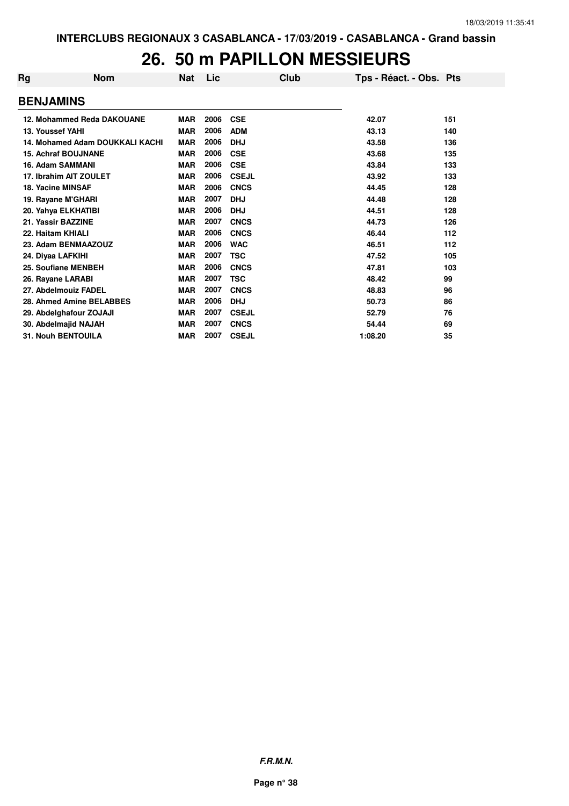### **26. 50 m PAPILLON MESSIEURS**

| Rg | <b>Nom</b>                      | <b>Nat</b> | Lic  | Club         | Tps - Réact. - Obs. Pts |     |
|----|---------------------------------|------------|------|--------------|-------------------------|-----|
|    | <b>BENJAMINS</b>                |            |      |              |                         |     |
|    | 12. Mohammed Reda DAKOUANE      | <b>MAR</b> | 2006 | <b>CSE</b>   | 42.07                   | 151 |
|    | 13. Youssef YAHI                | <b>MAR</b> | 2006 | <b>ADM</b>   | 43.13                   | 140 |
|    | 14. Mohamed Adam DOUKKALI KACHI | <b>MAR</b> | 2006 | <b>DHJ</b>   | 43.58                   | 136 |
|    | <b>15. Achraf BOUJNANE</b>      | <b>MAR</b> | 2006 | <b>CSE</b>   | 43.68                   | 135 |
|    | 16. Adam SAMMANI                | <b>MAR</b> | 2006 | <b>CSE</b>   | 43.84                   | 133 |
|    | 17. Ibrahim AIT ZOULET          | <b>MAR</b> | 2006 | <b>CSEJL</b> | 43.92                   | 133 |
|    | 18. Yacine MINSAF               | <b>MAR</b> | 2006 | <b>CNCS</b>  | 44.45                   | 128 |
|    | 19. Rayane M'GHARI              | <b>MAR</b> | 2007 | <b>DHJ</b>   | 44.48                   | 128 |
|    | 20. Yahya ELKHATIBI             | <b>MAR</b> | 2006 | <b>DHJ</b>   | 44.51                   | 128 |
|    | 21. Yassir BAZZINE              | <b>MAR</b> | 2007 | <b>CNCS</b>  | 44.73                   | 126 |
|    | 22. Haitam KHIALI               | <b>MAR</b> | 2006 | <b>CNCS</b>  | 46.44                   | 112 |
|    | 23. Adam BENMAAZOUZ             | <b>MAR</b> | 2006 | <b>WAC</b>   | 46.51                   | 112 |
|    | 24. Diyaa LAFKIHI               | <b>MAR</b> | 2007 | <b>TSC</b>   | 47.52                   | 105 |
|    | 25. Soufiane MENBEH             | <b>MAR</b> | 2006 | <b>CNCS</b>  | 47.81                   | 103 |
|    | 26. Rayane LARABI               | <b>MAR</b> | 2007 | <b>TSC</b>   | 48.42                   | 99  |
|    | 27. Abdelmouiz FADEL            | <b>MAR</b> | 2007 | <b>CNCS</b>  | 48.83                   | 96  |
|    | 28. Ahmed Amine BELABBES        | <b>MAR</b> | 2006 | <b>DHJ</b>   | 50.73                   | 86  |
|    | 29. Abdelghafour ZOJAJI         | <b>MAR</b> | 2007 | <b>CSEJL</b> | 52.79                   | 76  |
|    | 30. Abdelmajid NAJAH            | <b>MAR</b> | 2007 | <b>CNCS</b>  | 54.44                   | 69  |
|    | <b>31. Nouh BENTOUILA</b>       | <b>MAR</b> | 2007 | <b>CSEJL</b> | 1:08.20                 | 35  |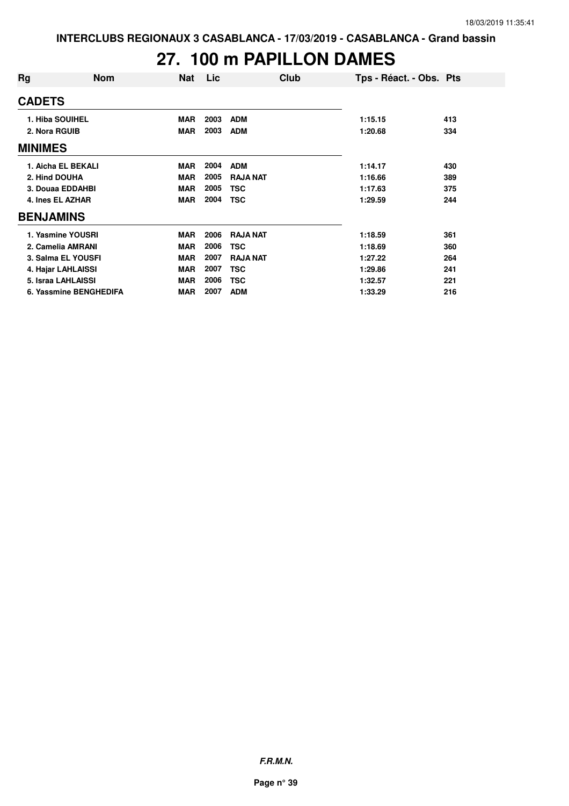# **27. 100 m PAPILLON DAMES**

| Rg               | <b>Nom</b>             | <b>Nat</b> | Lic  | Club            | Tps - Réact. - Obs. Pts |     |
|------------------|------------------------|------------|------|-----------------|-------------------------|-----|
| <b>CADETS</b>    |                        |            |      |                 |                         |     |
| 1. Hiba SOUIHEL  |                        | <b>MAR</b> | 2003 | <b>ADM</b>      | 1:15.15                 | 413 |
| 2. Nora RGUIB    |                        | <b>MAR</b> | 2003 | <b>ADM</b>      | 1:20.68                 | 334 |
| <b>MINIMES</b>   |                        |            |      |                 |                         |     |
|                  | 1. Aicha EL BEKALI     | <b>MAR</b> | 2004 | <b>ADM</b>      | 1:14.17                 | 430 |
| 2. Hind DOUHA    |                        | <b>MAR</b> | 2005 | <b>RAJA NAT</b> | 1:16.66                 | 389 |
|                  | 3. Douaa EDDAHBI       | <b>MAR</b> | 2005 | <b>TSC</b>      | 1:17.63                 | 375 |
| 4. Ines EL AZHAR |                        | <b>MAR</b> | 2004 | <b>TSC</b>      | 1:29.59                 | 244 |
| <b>BENJAMINS</b> |                        |            |      |                 |                         |     |
|                  | 1. Yasmine YOUSRI      | <b>MAR</b> | 2006 | <b>RAJA NAT</b> | 1:18.59                 | 361 |
|                  | 2. Camelia AMRANI      | <b>MAR</b> | 2006 | TSC             | 1:18.69                 | 360 |
|                  | 3. Salma EL YOUSFI     | <b>MAR</b> | 2007 | <b>RAJA NAT</b> | 1:27.22                 | 264 |
|                  | 4. Hajar LAHLAISSI     | <b>MAR</b> | 2007 | TSC             | 1:29.86                 | 241 |
|                  | 5. Israa LAHLAISSI     | <b>MAR</b> | 2006 | <b>TSC</b>      | 1:32.57                 | 221 |
|                  | 6. Yassmine BENGHEDIFA | <b>MAR</b> | 2007 | <b>ADM</b>      | 1:33.29                 | 216 |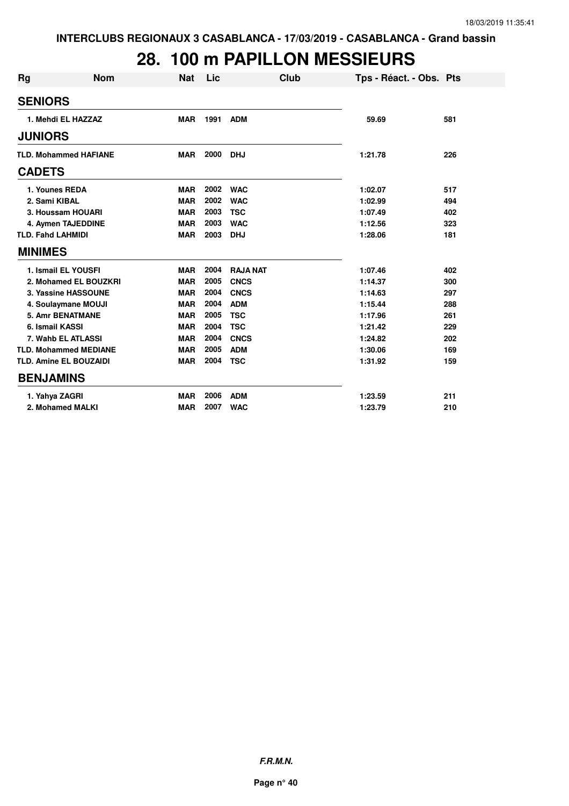## **28. 100 m PAPILLON MESSIEURS**

| <b>Rg</b>      | <b>Nom</b>                    | <b>Nat</b> | Lic  | Club            | Tps - Réact. - Obs. Pts |     |
|----------------|-------------------------------|------------|------|-----------------|-------------------------|-----|
| <b>SENIORS</b> |                               |            |      |                 |                         |     |
|                | 1. Mehdi EL HAZZAZ            | <b>MAR</b> | 1991 | <b>ADM</b>      | 59.69                   | 581 |
| <b>JUNIORS</b> |                               |            |      |                 |                         |     |
|                | <b>TLD. Mohammed HAFIANE</b>  | <b>MAR</b> | 2000 | <b>DHJ</b>      | 1:21.78                 | 226 |
| <b>CADETS</b>  |                               |            |      |                 |                         |     |
|                | 1. Younes REDA                | <b>MAR</b> | 2002 | <b>WAC</b>      | 1:02.07                 | 517 |
|                | 2. Sami KIBAL                 | <b>MAR</b> | 2002 | <b>WAC</b>      | 1:02.99                 | 494 |
|                | 3. Houssam HOUARI             | <b>MAR</b> | 2003 | <b>TSC</b>      | 1:07.49                 | 402 |
|                | 4. Aymen TAJEDDINE            | <b>MAR</b> | 2003 | <b>WAC</b>      | 1:12.56                 | 323 |
|                | <b>TLD. Fahd LAHMIDI</b>      | <b>MAR</b> | 2003 | <b>DHJ</b>      | 1:28.06                 | 181 |
| <b>MINIMES</b> |                               |            |      |                 |                         |     |
|                | 1. Ismail EL YOUSFI           | <b>MAR</b> | 2004 | <b>RAJA NAT</b> | 1:07.46                 | 402 |
|                | 2. Mohamed EL BOUZKRI         | <b>MAR</b> | 2005 | <b>CNCS</b>     | 1:14.37                 | 300 |
|                | 3. Yassine HASSOUNE           | <b>MAR</b> | 2004 | <b>CNCS</b>     | 1:14.63                 | 297 |
|                | 4. Soulaymane MOUJI           | <b>MAR</b> | 2004 | <b>ADM</b>      | 1:15.44                 | 288 |
|                | <b>5. Amr BENATMANE</b>       | <b>MAR</b> | 2005 | <b>TSC</b>      | 1:17.96                 | 261 |
|                | 6. Ismail KASSI               | <b>MAR</b> | 2004 | <b>TSC</b>      | 1:21.42                 | 229 |
|                | 7. Wahb EL ATLASSI            | <b>MAR</b> | 2004 | <b>CNCS</b>     | 1:24.82                 | 202 |
|                | <b>TLD. Mohammed MEDIANE</b>  | <b>MAR</b> | 2005 | <b>ADM</b>      | 1:30.06                 | 169 |
|                | <b>TLD. Amine EL BOUZAIDI</b> | <b>MAR</b> | 2004 | <b>TSC</b>      | 1:31.92                 | 159 |
|                | <b>BENJAMINS</b>              |            |      |                 |                         |     |
|                | 1. Yahya ZAGRI                | <b>MAR</b> | 2006 | <b>ADM</b>      | 1:23.59                 | 211 |
|                | 2. Mohamed MALKI              | <b>MAR</b> | 2007 | <b>WAC</b>      | 1:23.79                 | 210 |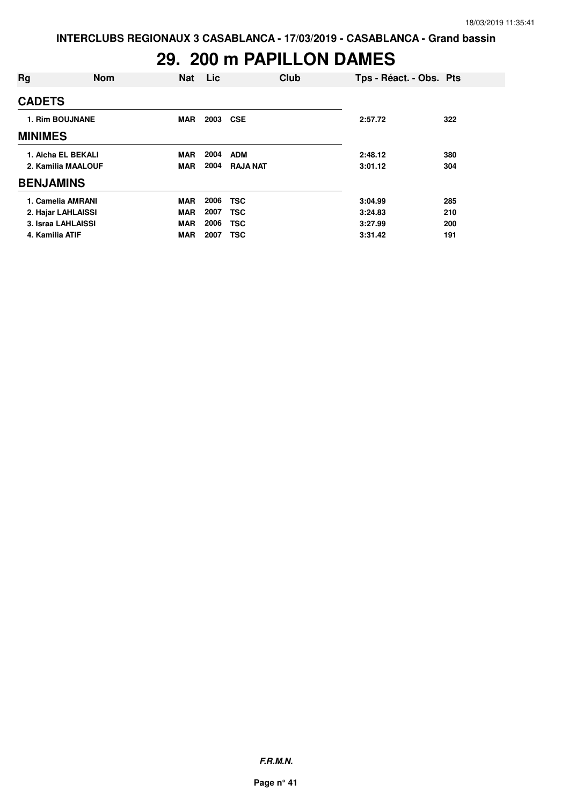# **29. 200 m PAPILLON DAMES**

| Rg                     | <b>Nom</b> | <b>Nat</b> | Lic  | Club            | Tps - Réact. - Obs. Pts |     |
|------------------------|------------|------------|------|-----------------|-------------------------|-----|
| <b>CADETS</b>          |            |            |      |                 |                         |     |
| <b>1. Rim BOUJNANE</b> |            | <b>MAR</b> | 2003 | <b>CSE</b>      | 2:57.72                 | 322 |
| <b>MINIMES</b>         |            |            |      |                 |                         |     |
| 1. Aicha EL BEKALI     |            | <b>MAR</b> | 2004 | <b>ADM</b>      | 2:48.12                 | 380 |
| 2. Kamilia MAALOUF     |            | <b>MAR</b> | 2004 | <b>RAJA NAT</b> | 3:01.12                 | 304 |
| <b>BENJAMINS</b>       |            |            |      |                 |                         |     |
| 1. Camelia AMRANI      |            | <b>MAR</b> | 2006 | <b>TSC</b>      | 3:04.99                 | 285 |
| 2. Hajar LAHLAISSI     |            | <b>MAR</b> | 2007 | <b>TSC</b>      | 3:24.83                 | 210 |
| 3. Israa LAHLAISSI     |            | <b>MAR</b> | 2006 | <b>TSC</b>      | 3:27.99                 | 200 |
| 4. Kamilia ATIF        |            | <b>MAR</b> | 2007 | <b>TSC</b>      | 3:31.42                 | 191 |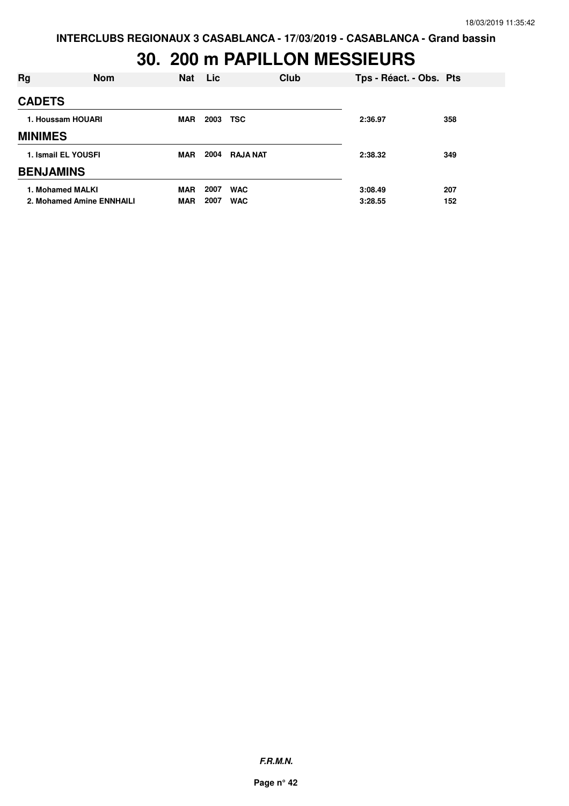### **30. 200 m PAPILLON MESSIEURS**

| Rg               | <b>Nom</b>                | <b>Nat</b> | Lic  | Club            | Tps - Réact. - Obs. Pts |     |
|------------------|---------------------------|------------|------|-----------------|-------------------------|-----|
| <b>CADETS</b>    |                           |            |      |                 |                         |     |
|                  | 1. Houssam HOUARI         | <b>MAR</b> | 2003 | TSC             | 2:36.97                 | 358 |
| <b>MINIMES</b>   |                           |            |      |                 |                         |     |
|                  | 1. Ismail EL YOUSFI       | <b>MAR</b> | 2004 | <b>RAJA NAT</b> | 2:38.32                 | 349 |
| <b>BENJAMINS</b> |                           |            |      |                 |                         |     |
|                  | 1. Mohamed MALKI          | <b>MAR</b> | 2007 | <b>WAC</b>      | 3:08.49                 | 207 |
|                  | 2. Mohamed Amine ENNHAILI | <b>MAR</b> | 2007 | <b>WAC</b>      | 3:28.55                 | 152 |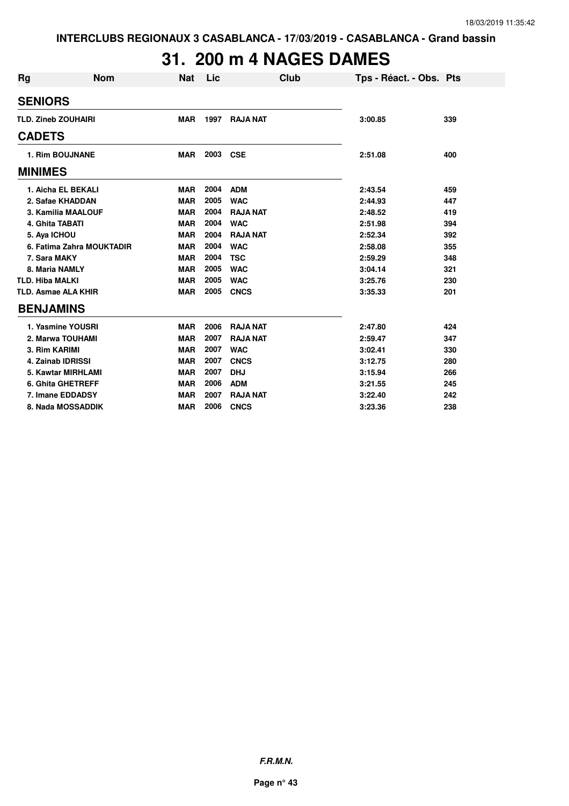# **31. 200 m 4 NAGES DAMES**

| Rg                     | <b>Nom</b>                 | <b>Nat</b> | Lic  | <b>Club</b>     | Tps - Réact. - Obs. Pts |     |
|------------------------|----------------------------|------------|------|-----------------|-------------------------|-----|
| <b>SENIORS</b>         |                            |            |      |                 |                         |     |
|                        | <b>TLD. Zineb ZOUHAIRI</b> | <b>MAR</b> | 1997 | <b>RAJA NAT</b> | 3:00.85                 | 339 |
| <b>CADETS</b>          |                            |            |      |                 |                         |     |
|                        | 1. Rim BOUJNANE            | <b>MAR</b> | 2003 | <b>CSE</b>      | 2:51.08                 | 400 |
| <b>MINIMES</b>         |                            |            |      |                 |                         |     |
|                        | 1. Aicha EL BEKALI         | <b>MAR</b> | 2004 | <b>ADM</b>      | 2:43.54                 | 459 |
|                        | 2. Safae KHADDAN           | <b>MAR</b> | 2005 | <b>WAC</b>      | 2:44.93                 | 447 |
|                        | 3. Kamilia MAALOUF         | <b>MAR</b> | 2004 | <b>RAJA NAT</b> | 2:48.52                 | 419 |
| 4. Ghita TABATI        |                            | <b>MAR</b> | 2004 | <b>WAC</b>      | 2:51.98                 | 394 |
| 5. Aya ICHOU           |                            | <b>MAR</b> | 2004 | <b>RAJA NAT</b> | 2:52.34                 | 392 |
|                        | 6. Fatima Zahra MOUKTADIR  | <b>MAR</b> | 2004 | <b>WAC</b>      | 2:58.08                 | 355 |
| 7. Sara MAKY           |                            | <b>MAR</b> | 2004 | <b>TSC</b>      | 2:59.29                 | 348 |
|                        | 8. Maria NAMLY             | <b>MAR</b> | 2005 | <b>WAC</b>      | 3:04.14                 | 321 |
| <b>TLD. Hiba MALKI</b> |                            | <b>MAR</b> | 2005 | <b>WAC</b>      | 3:25.76                 | 230 |
|                        | <b>TLD. Asmae ALA KHIR</b> | <b>MAR</b> | 2005 | <b>CNCS</b>     | 3:35.33                 | 201 |
| <b>BENJAMINS</b>       |                            |            |      |                 |                         |     |
|                        | 1. Yasmine YOUSRI          | <b>MAR</b> | 2006 | <b>RAJA NAT</b> | 2:47.80                 | 424 |
|                        | 2. Marwa TOUHAMI           | <b>MAR</b> | 2007 | <b>RAJA NAT</b> | 2:59.47                 | 347 |
| 3. Rim KARIMI          |                            | <b>MAR</b> | 2007 | <b>WAC</b>      | 3:02.41                 | 330 |
|                        | <b>4. Zainab IDRISSI</b>   | <b>MAR</b> | 2007 | <b>CNCS</b>     | 3:12.75                 | 280 |
|                        | 5. Kawtar MIRHLAMI         | <b>MAR</b> | 2007 | <b>DHJ</b>      | 3:15.94                 | 266 |
|                        | <b>6. Ghita GHETREFF</b>   | <b>MAR</b> | 2006 | <b>ADM</b>      | 3:21.55                 | 245 |
|                        | 7. Imane EDDADSY           | <b>MAR</b> | 2007 | <b>RAJA NAT</b> | 3:22.40                 | 242 |
|                        | 8. Nada MOSSADDIK          | <b>MAR</b> | 2006 | <b>CNCS</b>     | 3:23.36                 | 238 |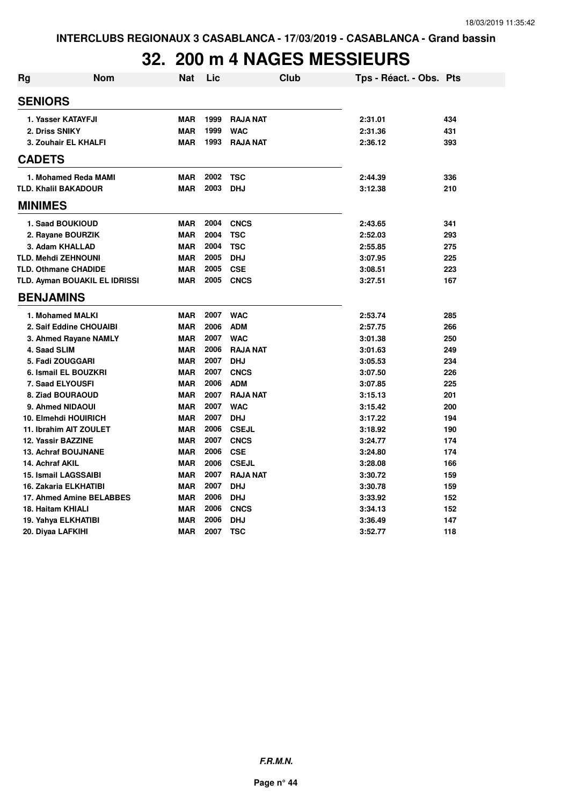# **32. 200 m 4 NAGES MESSIEURS**

| <b>Rg</b> | <b>Nom</b>                    | Nat        | Lic  | <b>Club</b>     | Tps - Réact. - Obs. Pts |     |
|-----------|-------------------------------|------------|------|-----------------|-------------------------|-----|
|           | <b>SENIORS</b>                |            |      |                 |                         |     |
|           | 1. Yasser KATAYFJI            | <b>MAR</b> | 1999 | <b>RAJA NAT</b> | 2:31.01                 | 434 |
|           | 2. Driss SNIKY                | <b>MAR</b> | 1999 | <b>WAC</b>      | 2:31.36                 | 431 |
|           | 3. Zouhair EL KHALFI          | <b>MAR</b> | 1993 | <b>RAJA NAT</b> | 2:36.12                 | 393 |
|           | <b>CADETS</b>                 |            |      |                 |                         |     |
|           | 1. Mohamed Reda MAMI          | <b>MAR</b> | 2002 | <b>TSC</b>      | 2:44.39                 | 336 |
|           | <b>TLD. Khalil BAKADOUR</b>   | <b>MAR</b> | 2003 | <b>DHJ</b>      | 3:12.38                 | 210 |
|           | <b>MINIMES</b>                |            |      |                 |                         |     |
|           | 1. Saad BOUKIOUD              | <b>MAR</b> | 2004 | <b>CNCS</b>     | 2:43.65                 | 341 |
|           | 2. Rayane BOURZIK             | <b>MAR</b> | 2004 | <b>TSC</b>      | 2:52.03                 | 293 |
|           | 3. Adam KHALLAD               | <b>MAR</b> | 2004 | <b>TSC</b>      | 2:55.85                 | 275 |
|           | <b>TLD. Mehdi ZEHNOUNI</b>    | <b>MAR</b> | 2005 | <b>DHJ</b>      | 3:07.95                 | 225 |
|           | <b>TLD. Othmane CHADIDE</b>   | <b>MAR</b> | 2005 | <b>CSE</b>      | 3:08.51                 | 223 |
|           | TLD. Ayman BOUAKIL EL IDRISSI | <b>MAR</b> | 2005 | <b>CNCS</b>     | 3:27.51                 | 167 |
|           | <b>BENJAMINS</b>              |            |      |                 |                         |     |
|           | 1. Mohamed MALKI              | <b>MAR</b> | 2007 | <b>WAC</b>      | 2:53.74                 | 285 |
|           | 2. Saif Eddine CHOUAIBI       | <b>MAR</b> | 2006 | <b>ADM</b>      | 2:57.75                 | 266 |
|           | 3. Ahmed Rayane NAMLY         | <b>MAR</b> | 2007 | <b>WAC</b>      | 3:01.38                 | 250 |
|           | 4. Saad SLIM                  | <b>MAR</b> | 2006 | <b>RAJA NAT</b> | 3:01.63                 | 249 |
|           | 5. Fadi ZOUGGARI              | <b>MAR</b> | 2007 | <b>DHJ</b>      | 3:05.53                 | 234 |
|           | 6. Ismail EL BOUZKRI          | <b>MAR</b> | 2007 | <b>CNCS</b>     | 3:07.50                 | 226 |
|           | <b>7. Saad ELYOUSFI</b>       | <b>MAR</b> | 2006 | <b>ADM</b>      | 3:07.85                 | 225 |
|           | 8. Ziad BOURAOUD              | <b>MAR</b> | 2007 | <b>RAJA NAT</b> | 3:15.13                 | 201 |
|           | 9. Ahmed NIDAOUI              | <b>MAR</b> | 2007 | <b>WAC</b>      | 3:15.42                 | 200 |
|           | 10. Elmehdi HOUIRICH          | <b>MAR</b> | 2007 | <b>DHJ</b>      | 3:17.22                 | 194 |
|           | 11. Ibrahim AIT ZOULET        | <b>MAR</b> | 2006 | <b>CSEJL</b>    | 3:18.92                 | 190 |
|           | 12. Yassir BAZZINE            | <b>MAR</b> | 2007 | <b>CNCS</b>     | 3:24.77                 | 174 |
|           | <b>13. Achraf BOUJNANE</b>    | <b>MAR</b> | 2006 | <b>CSE</b>      | 3:24.80                 | 174 |
|           | 14. Achraf AKIL               | <b>MAR</b> | 2006 | <b>CSEJL</b>    | 3:28.08                 | 166 |
|           | <b>15. Ismail LAGSSAIBI</b>   | <b>MAR</b> | 2007 | <b>RAJA NAT</b> | 3:30.72                 | 159 |
|           | 16. Zakaria ELKHATIBI         | <b>MAR</b> | 2007 | <b>DHJ</b>      | 3:30.78                 | 159 |
|           | 17. Ahmed Amine BELABBES      | <b>MAR</b> | 2006 | <b>DHJ</b>      | 3:33.92                 | 152 |
|           | 18. Haitam KHIALI             | <b>MAR</b> | 2006 | <b>CNCS</b>     | 3:34.13                 | 152 |
|           | 19. Yahya ELKHATIBI           | <b>MAR</b> | 2006 | <b>DHJ</b>      | 3:36.49                 | 147 |
|           | 20. Diyaa LAFKIHI             | <b>MAR</b> | 2007 | <b>TSC</b>      | 3:52.77                 | 118 |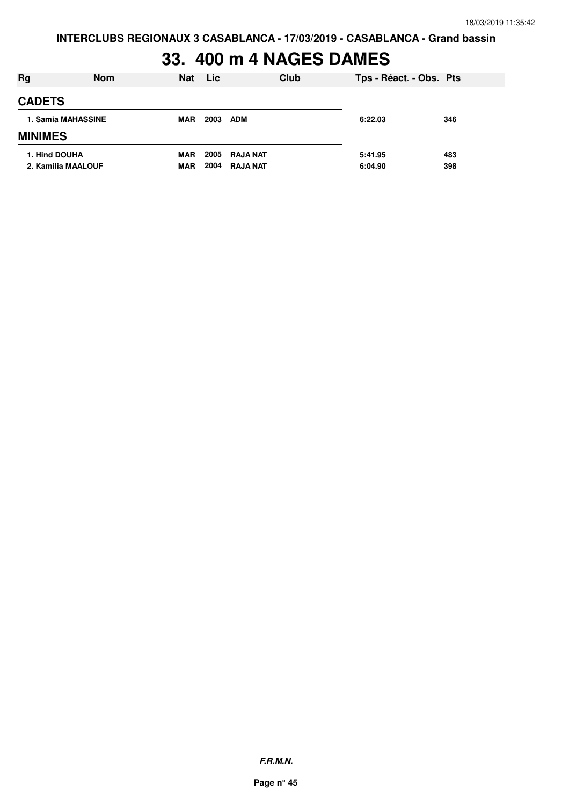# **33. 400 m 4 NAGES DAMES**

| Rg                                  | <b>Nom</b> | Nat                      | <b>Lic</b>   | Club                               | Tps - Réact. - Obs. Pts |            |
|-------------------------------------|------------|--------------------------|--------------|------------------------------------|-------------------------|------------|
| <b>CADETS</b>                       |            |                          |              |                                    |                         |            |
| 1. Samia MAHASSINE                  |            | <b>MAR</b>               | 2003         | <b>ADM</b>                         | 6:22.03                 | 346        |
| <b>MINIMES</b>                      |            |                          |              |                                    |                         |            |
| 1. Hind DOUHA<br>2. Kamilia MAALOUF |            | <b>MAR</b><br><b>MAR</b> | 2005<br>2004 | <b>RAJA NAT</b><br><b>RAJA NAT</b> | 5:41.95<br>6:04.90      | 483<br>398 |

**F.R.M.N.**

**Page n° 45**